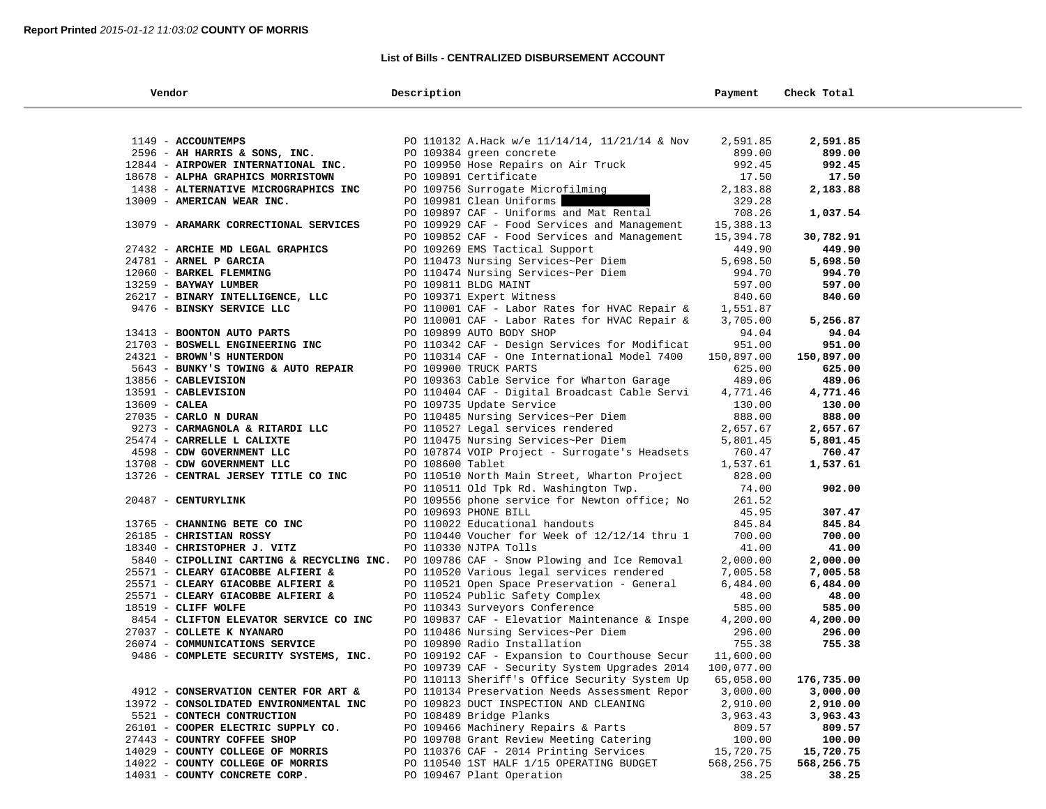## **List of Bills - CENTRALIZED DISBURSEMENT ACCOUNT**

| Vendor                                                               | Description                                                                            | Payment              | Check Total          |
|----------------------------------------------------------------------|----------------------------------------------------------------------------------------|----------------------|----------------------|
|                                                                      |                                                                                        |                      |                      |
| 1149 - ACCOUNTEMPS                                                   | PO 110132 A.Hack w/e 11/14/14, 11/21/14 & Nov                                          | 2,591.85             | 2,591.85             |
| 2596 - AH HARRIS & SONS, INC.                                        | PO 109384 green concrete                                                               | 899.00               | 899.00               |
| 12844 - AIRPOWER INTERNATIONAL INC.                                  | PO 109950 Hose Repairs on Air Truck                                                    | 992.45               | 992.45               |
| 18678 - ALPHA GRAPHICS MORRISTOWN                                    | PO 109891 Certificate                                                                  | 17.50                | 17.50                |
| 1438 - ALTERNATIVE MICROGRAPHICS INC                                 | PO 109756 Surrogate Microfilming                                                       | 2,183.88             | 2,183.88             |
| 13009 - AMERICAN WEAR INC.                                           | PO 109981 Clean Uniforms                                                               | 329.28               |                      |
|                                                                      | PO 109897 CAF - Uniforms and Mat Rental                                                | 708.26               | 1,037.54             |
| 13079 - ARAMARK CORRECTIONAL SERVICES                                | PO 109929 CAF - Food Services and Management                                           | 15,388.13            |                      |
|                                                                      | PO 109852 CAF - Food Services and Management                                           | 15,394.78            | 30,782.91            |
| 27432 - ARCHIE MD LEGAL GRAPHICS                                     | PO 109269 EMS Tactical Support                                                         | 449.90               | 449.90               |
| 24781 - ARNEL P GARCIA                                               | PO 110473 Nursing Services~Per Diem                                                    | 5,698.50             | 5,698.50             |
| 12060 - BARKEL FLEMMING                                              | PO 110474 Nursing Services~Per Diem                                                    | 994.70               | 994.70               |
| 13259 - BAYWAY LUMBER                                                | PO 109811 BLDG MAINT                                                                   | 597.00               | 597.00               |
| 26217 - BINARY INTELLIGENCE, LLC                                     | PO 109371 Expert Witness                                                               | 840.60               | 840.60               |
| 9476 - BINSKY SERVICE LLC                                            | PO 110001 CAF - Labor Rates for HVAC Repair &                                          | 1,551.87             |                      |
|                                                                      | PO 110001 CAF - Labor Rates for HVAC Repair &                                          | 3,705.00             | 5,256.87             |
| 13413 - BOONTON AUTO PARTS                                           | PO 109899 AUTO BODY SHOP                                                               | 94.04                | 94.04                |
| 21703 - BOSWELL ENGINEERING INC                                      | PO 110342 CAF - Design Services for Modificat                                          | 951.00               | 951.00               |
| 24321 - BROWN'S HUNTERDON                                            | PO 110314 CAF - One International Model 7400                                           | 150,897.00           | 150,897.00           |
| 5643 - BUNKY'S TOWING & AUTO REPAIR                                  | PO 109900 TRUCK PARTS                                                                  | 625.00               | 625.00               |
| 13856 - CABLEVISION                                                  | PO 109363 Cable Service for Wharton Garage                                             | 489.06               | 489.06               |
| 13591 - CABLEVISION                                                  | PO 110404 CAF - Digital Broadcast Cable Servi                                          | 4,771.46             | 4,771.46             |
| $13609$ - CALEA                                                      | PO 109735 Update Service                                                               | 130.00               | 130.00               |
| 27035 - CARLO N DURAN                                                | PO 110485 Nursing Services~Per Diem                                                    | 888.00               | 888.00               |
| 9273 - CARMAGNOLA & RITARDI LLC<br>25474 - CARRELLE L CALIXTE        | PO 110527 Legal services rendered<br>PO 110475 Nursing Services~Per Diem               | 2,657.67             | 2,657.67<br>5,801.45 |
| 4598 - CDW GOVERNMENT LLC                                            | PO 107874 VOIP Project - Surrogate's Headsets                                          | 5,801.45<br>760.47   | 760.47               |
| 13708 - CDW GOVERNMENT LLC                                           | PO 108600 Tablet                                                                       | 1,537.61             | 1,537.61             |
| 13726 - CENTRAL JERSEY TITLE CO INC                                  | PO 110510 North Main Street, Wharton Project                                           | 828.00               |                      |
|                                                                      | PO 110511 Old Tpk Rd. Washington Twp.                                                  | 74.00                | 902.00               |
| 20487 - CENTURYLINK                                                  | PO 109556 phone service for Newton office; No                                          | 261.52               |                      |
|                                                                      | PO 109693 PHONE BILL                                                                   | 45.95                | 307.47               |
| 13765 - CHANNING BETE CO INC                                         | PO 110022 Educational handouts                                                         | 845.84               | 845.84               |
| 26185 - CHRISTIAN ROSSY                                              | PO 110440 Voucher for Week of 12/12/14 thru 1                                          | 700.00               | 700.00               |
| 18340 - CHRISTOPHER J. VITZ                                          | PO 110330 NJTPA Tolls                                                                  | 41.00                | 41.00                |
|                                                                      | 5840 - CIPOLLINI CARTING & RECYCLING INC. PO 109786 CAF - Snow Plowing and Ice Removal | 2,000.00             | 2,000.00             |
| 25571 - CLEARY GIACOBBE ALFIERI &                                    | PO 110520 Various legal services rendered                                              | 7,005.58             | 7,005.58             |
| 25571 - CLEARY GIACOBBE ALFIERI &                                    | PO 110521 Open Space Preservation - General                                            | 6,484.00             | 6,484.00             |
| 25571 - CLEARY GIACOBBE ALFIERI &                                    | PO 110524 Public Safety Complex                                                        | 48.00                | 48.00                |
| 18519 - CLIFF WOLFE                                                  | PO 110343 Surveyors Conference                                                         | 585.00               | 585.00               |
| 8454 - CLIFTON ELEVATOR SERVICE CO INC                               | PO 109837 CAF - Elevatior Maintenance & Inspe                                          | 4,200.00             | 4,200.00             |
| 27037 - COLLETE K NYANARO                                            | PO 110486 Nursing Services~Per Diem                                                    | 296.00               | 296.00               |
| 26074 - COMMUNICATIONS SERVICE                                       | PO 109890 Radio Installation                                                           | 755.38               | 755.38               |
| 9486 - COMPLETE SECURITY SYSTEMS, INC.                               | PO 109192 CAF - Expansion to Courthouse Secur                                          | 11,600.00            |                      |
|                                                                      | PO 109739 CAF - Security System Upgrades 2014                                          | 100,077.00           |                      |
|                                                                      | PO 110113 Sheriff's Office Security System Up                                          | 65,058.00            | 176,735.00           |
| 4912 - CONSERVATION CENTER FOR ART &                                 | PO 110134 Preservation Needs Assessment Repor                                          | 3,000.00<br>2,910.00 | 3,000.00             |
| 13972 - CONSOLIDATED ENVIRONMENTAL INC<br>5521 - CONTECH CONTRUCTION | PO 109823 DUCT INSPECTION AND CLEANING<br>PO 108489 Bridge Planks                      |                      | 2,910.00             |
| 26101 - COOPER ELECTRIC SUPPLY CO.                                   | PO 109466 Machinery Repairs & Parts                                                    | 3,963.43<br>809.57   | 3,963.43<br>809.57   |
| 27443 - COUNTRY COFFEE SHOP                                          | PO 109708 Grant Review Meeting Catering                                                | 100.00               | 100.00               |
| 14029 - COUNTY COLLEGE OF MORRIS                                     | PO 110376 CAF - 2014 Printing Services                                                 | 15,720.75            | 15,720.75            |
| 14022 - COUNTY COLLEGE OF MORRIS                                     | PO 110540 1ST HALF 1/15 OPERATING BUDGET                                               | 568,256.75           | 568,256.75           |
| 14031 - COUNTY CONCRETE CORP.                                        | PO 109467 Plant Operation                                                              | 38.25                | 38.25                |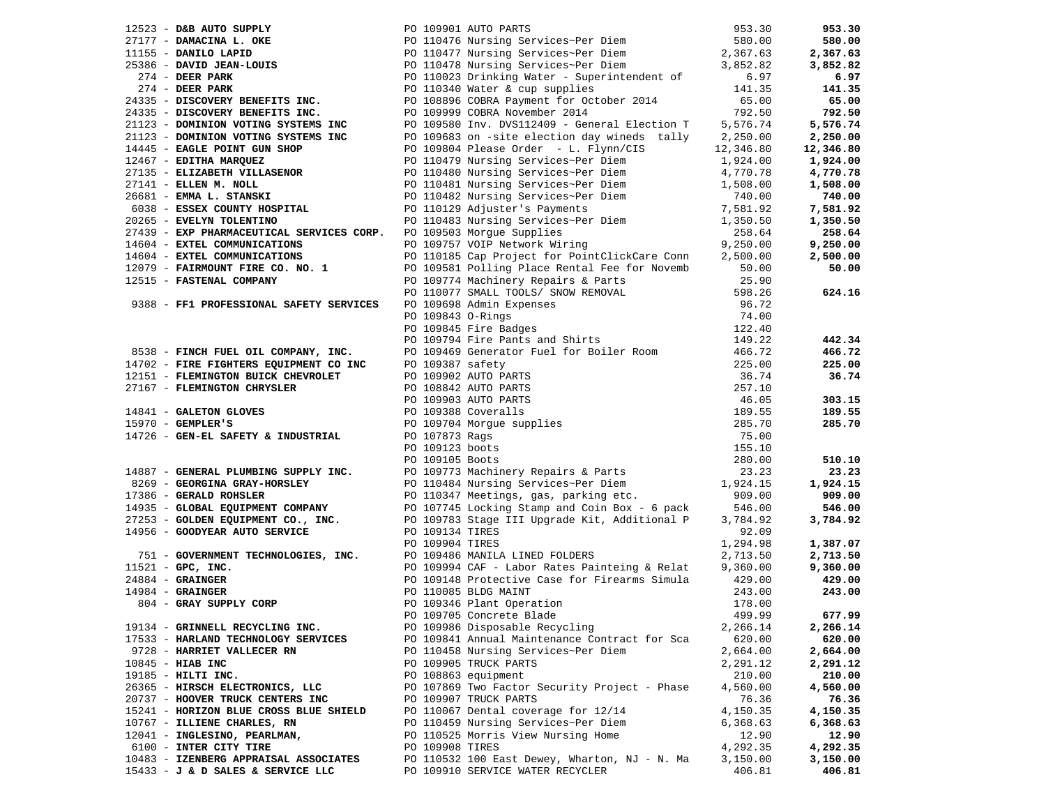|                     |                                                                                                                              |                 | 12523 - D&B AUTO SUPPLY<br>27177 - DAMACINA L. OKE<br>27177 - DAMACINA L. OKE<br>27177 - DAMACINA L. OKE<br>27177 - DAMILO LAPID<br>27386 - DAVID JEAN-LOUIS<br>274 - DEER PARK<br>274 - DEER PARK<br>274 - DEER PARK<br>274 - DEER PARK<br>274 -                                 |          | 953.30    |
|---------------------|------------------------------------------------------------------------------------------------------------------------------|-----------------|-----------------------------------------------------------------------------------------------------------------------------------------------------------------------------------------------------------------------------------------------------------------------------------|----------|-----------|
|                     |                                                                                                                              |                 |                                                                                                                                                                                                                                                                                   |          | 580.00    |
|                     |                                                                                                                              |                 |                                                                                                                                                                                                                                                                                   |          | 2,367.63  |
|                     |                                                                                                                              |                 |                                                                                                                                                                                                                                                                                   |          | 3,852.82  |
|                     |                                                                                                                              |                 |                                                                                                                                                                                                                                                                                   |          | 6.97      |
|                     |                                                                                                                              |                 |                                                                                                                                                                                                                                                                                   |          | 141.35    |
|                     |                                                                                                                              |                 |                                                                                                                                                                                                                                                                                   |          | 65.00     |
|                     | 24335 - DISCOVERY BENEFITS INC.                                                                                              |                 |                                                                                                                                                                                                                                                                                   |          | 792.50    |
|                     | 21123 - DOMINION VOTING SYSTEMS INC                                                                                          |                 | PO 109999 COBRA November 2014 192.50<br>PO 109580 Inv. DVS112409 - General Election T 5,576.74                                                                                                                                                                                    |          | 5,576.74  |
|                     |                                                                                                                              |                 |                                                                                                                                                                                                                                                                                   |          | 2,250.00  |
|                     |                                                                                                                              |                 |                                                                                                                                                                                                                                                                                   |          |           |
|                     |                                                                                                                              |                 |                                                                                                                                                                                                                                                                                   |          | 12,346.80 |
|                     | 12467 - EDITHA MARQUEZ                                                                                                       |                 | PO 110479 Nursing Services~Per Diem<br>PO 110479 Nursing Services~rer Liem<br>PO 110480 Nursing Services~Per Diem<br>PO 110481 Nursing Services~Per Diem<br>PO 110482 Nursing Services~Per Diem<br>PO 110129 Adjuster's Payments<br>PO 110129 Adjuster's Payments<br>PO 110129 Nu | 1,924.00 | 1,924.00  |
|                     | 27135 - ELIZABETH VILLASENOR                                                                                                 |                 |                                                                                                                                                                                                                                                                                   |          | 4,770.78  |
|                     | 27141 - ELLEN M. NOLL<br>26681 - EMMA L. STANSKI                                                                             |                 |                                                                                                                                                                                                                                                                                   |          | 1,508.00  |
|                     |                                                                                                                              |                 |                                                                                                                                                                                                                                                                                   |          | 740.00    |
|                     | 6038 - ESSEX COUNTY HOSPITAL                                                                                                 |                 |                                                                                                                                                                                                                                                                                   |          | 7,581.92  |
|                     | 20265 - EVELYN TOLENTINO                                                                                                     |                 | PO 110483 Nursing Services~Per Diem<br>PO 109503 Morgue Supplies<br>PO 109757 VOIP Network Wiring<br>9,250.00                                                                                                                                                                     |          | 1,350.50  |
|                     | 27439 - EXP PHARMACEUTICAL SERVICES CORP. PO 109503 Morgue Supplies                                                          |                 |                                                                                                                                                                                                                                                                                   |          | 258.64    |
|                     | 14604 - EXTEL COMMUNICATIONS                                                                                                 |                 |                                                                                                                                                                                                                                                                                   | 9,250.00 | 9,250.00  |
|                     | 14604 - EXTEL COMMUNICATIONS                                                                                                 |                 | PO 110185 Cap Project for PointClickCare Conn                                                                                                                                                                                                                                     | 2,500.00 | 2,500.00  |
|                     | 12079 - FAIRMOUNT FIRE CO. NO. 1                                                                                             |                 | PO 109581 Polling Place Rental Fee for Novemb                                                                                                                                                                                                                                     | 50.00    | 50.00     |
|                     | 12515 - FASTENAL COMPANY                                                                                                     |                 | PO 109774 Machinery Repairs & Parts                                                                                                                                                                                                                                               | 25.90    |           |
|                     |                                                                                                                              |                 |                                                                                                                                                                                                                                                                                   | 598.26   | 624.16    |
|                     |                                                                                                                              |                 |                                                                                                                                                                                                                                                                                   | 96.72    |           |
|                     |                                                                                                                              |                 | 9388 - FF1 PROFESSIONAL SAFETY SERVICES<br>PO 110077 SMALL TOOLS/ SNOW REMOVAL<br>PO 109698 Admin Expenses<br>PO 109843 O-Rings<br>PO 109845 Fire Badges<br>PO 109794 Fire Pants and Shirts<br>PO 109794 Fire Pants and Shirts<br>PO 109794                                       | 74.00    |           |
|                     |                                                                                                                              |                 |                                                                                                                                                                                                                                                                                   | 122.40   |           |
|                     |                                                                                                                              |                 |                                                                                                                                                                                                                                                                                   | 149.22   | 442.34    |
|                     |                                                                                                                              |                 |                                                                                                                                                                                                                                                                                   | 466.72   |           |
|                     |                                                                                                                              |                 |                                                                                                                                                                                                                                                                                   |          | 466.72    |
|                     |                                                                                                                              |                 |                                                                                                                                                                                                                                                                                   | 225.00   | 225.00    |
|                     |                                                                                                                              |                 |                                                                                                                                                                                                                                                                                   | 36.74    | 36.74     |
|                     |                                                                                                                              |                 |                                                                                                                                                                                                                                                                                   | 257.10   |           |
|                     |                                                                                                                              |                 |                                                                                                                                                                                                                                                                                   | 46.05    | 303.15    |
|                     |                                                                                                                              |                 |                                                                                                                                                                                                                                                                                   | 189.55   | 189.55    |
|                     |                                                                                                                              |                 |                                                                                                                                                                                                                                                                                   | 285.70   | 285.70    |
|                     |                                                                                                                              |                 | 9538 - FINCH FUEL OIL COMPANY, INC.<br>14702 - FIRE FIGHTERS EQUIPMENT CO INC<br>12151 - FLEMINGTON BUICK CHEVROLET<br>27167 - FLEMINGTON CHRYSLER<br>14841 - GALETON GLOVES<br>15970 - GEMPLER'S<br>14726 - GEN-EL SAFETY & INDUSTRIAL<br>1                                      | 75.00    |           |
|                     |                                                                                                                              |                 |                                                                                                                                                                                                                                                                                   | 155.10   |           |
|                     |                                                                                                                              |                 |                                                                                                                                                                                                                                                                                   | 280.00   | 510.10    |
|                     | 14887 - GENERAL PLUMBING SUPPLY INC.                                                                                         |                 | PO 109773 Machinery Repairs & Parts                                                                                                                                                                                                                                               | 23.23    | 23.23     |
|                     | 8269 - GEORGINA GRAY-HORSLEY                                                                                                 |                 | PO 110484 Nursing Services~Per Diem<br>PO 110347 Meetings, gas, parking etc.                                                                                                                                                                                                      | 1,924.15 | 1,924.15  |
|                     | 17386 - GERALD ROHSLER                                                                                                       |                 |                                                                                                                                                                                                                                                                                   | 909.00   | 909.00    |
|                     | 14935 - GLOBAL EQUIPMENT COMPANY                                                                                             |                 | PO 107745 Locking Stamp and Coin Box - 6 pack                                                                                                                                                                                                                                     | 546.00   | 546.00    |
|                     | 27253 - GOLDEN EQUIPMENT CO., INC.                                                                                           |                 | PO 107745 Locking Stamp and Coin Box - 6 pack<br>PO 109783 Stage III Upgrade Kit, Additional P                                                                                                                                                                                    | 3,784.92 | 3,784.92  |
|                     | 14956 - GOODYEAR AUTO SERVICE                                                                                                | PO 109134 TIRES |                                                                                                                                                                                                                                                                                   | 92.09    |           |
|                     |                                                                                                                              | PO 109904 TIRES |                                                                                                                                                                                                                                                                                   | 1,294.98 | 1,387.07  |
|                     |                                                                                                                              |                 |                                                                                                                                                                                                                                                                                   | 2,713.50 | 2,713.50  |
| $11521$ - GPC, INC. | 751 - GOVERNMENT TECHNOLOGIES, INC. PO 109486 MANILA LINED FOLDERS<br>1521 - GPC, INC. PO 109994 CAF - Labor Rates Painteing |                 | PO 109994 CAF - Labor Rates Painteing & Relat 9,360.00                                                                                                                                                                                                                            |          | 9,360.00  |
|                     |                                                                                                                              |                 |                                                                                                                                                                                                                                                                                   |          |           |
| $24884$ - GRAINGER  | 1984 - GRAINGER<br>1984 - GRAINGER<br>804 - GRAY SUPPLY CORP                                                                 |                 | PO 109148 Protective Case for Firearms Simula 429.00                                                                                                                                                                                                                              |          | 429.00    |
| $14984$ - GRAINGER  |                                                                                                                              |                 | PO 110085 BLDG MAINT                                                                                                                                                                                                                                                              | 243.00   | 243.00    |
|                     |                                                                                                                              |                 | PO 109346 Plant Operation                                                                                                                                                                                                                                                         | 178.00   |           |
|                     |                                                                                                                              |                 | PO 109705 Concrete Blade                                                                                                                                                                                                                                                          | 499.99   | 677.99    |
|                     | 19134 - GRINNELL RECYCLING INC.                                                                                              |                 | PO 109986 Disposable Recycling                                                                                                                                                                                                                                                    | 2,266.14 | 2,266.14  |
|                     | 17533 - HARLAND TECHNOLOGY SERVICES                                                                                          |                 | PO 109841 Annual Maintenance Contract for Sca                                                                                                                                                                                                                                     | 620.00   | 620.00    |
|                     | 9728 - HARRIET VALLECER RN                                                                                                   |                 | PO 110458 Nursing Services~Per Diem                                                                                                                                                                                                                                               | 2,664.00 | 2,664.00  |
| $10845$ - HIAB INC  |                                                                                                                              |                 | PO 109905 TRUCK PARTS                                                                                                                                                                                                                                                             | 2,291.12 | 2,291.12  |
| 19185 - HILTI INC.  |                                                                                                                              |                 | PO 108863 equipment                                                                                                                                                                                                                                                               | 210.00   | 210.00    |
|                     | 26365 - HIRSCH ELECTRONICS, LLC                                                                                              |                 | PO 107869 Two Factor Security Project - Phase                                                                                                                                                                                                                                     | 4,560.00 | 4,560.00  |
|                     | 20737 - HOOVER TRUCK CENTERS INC                                                                                             |                 | PO 109907 TRUCK PARTS                                                                                                                                                                                                                                                             | 76.36    | 76.36     |
|                     | 15241 - HORIZON BLUE CROSS BLUE SHIELD                                                                                       |                 | PO 110067 Dental coverage for 12/14                                                                                                                                                                                                                                               | 4,150.35 | 4,150.35  |
|                     | 10767 - ILLIENE CHARLES, RN                                                                                                  |                 | PO 110459 Nursing Services~Per Diem                                                                                                                                                                                                                                               | 6,368.63 | 6,368.63  |
|                     | 12041 - INGLESINO, PEARLMAN,                                                                                                 |                 | PO 110525 Morris View Nursing Home                                                                                                                                                                                                                                                | 12.90    | 12.90     |
|                     | 6100 - INTER CITY TIRE                                                                                                       | PO 109908 TIRES |                                                                                                                                                                                                                                                                                   | 4,292.35 | 4,292.35  |
|                     | 10483 - IZENBERG APPRAISAL ASSOCIATES                                                                                        |                 | PO 110532 100 East Dewey, Wharton, NJ - N. Ma                                                                                                                                                                                                                                     | 3,150.00 | 3,150.00  |
|                     | 15433 - J & D SALES & SERVICE LLC                                                                                            |                 | PO 109910 SERVICE WATER RECYCLER                                                                                                                                                                                                                                                  | 406.81   | 406.81    |
|                     |                                                                                                                              |                 |                                                                                                                                                                                                                                                                                   |          |           |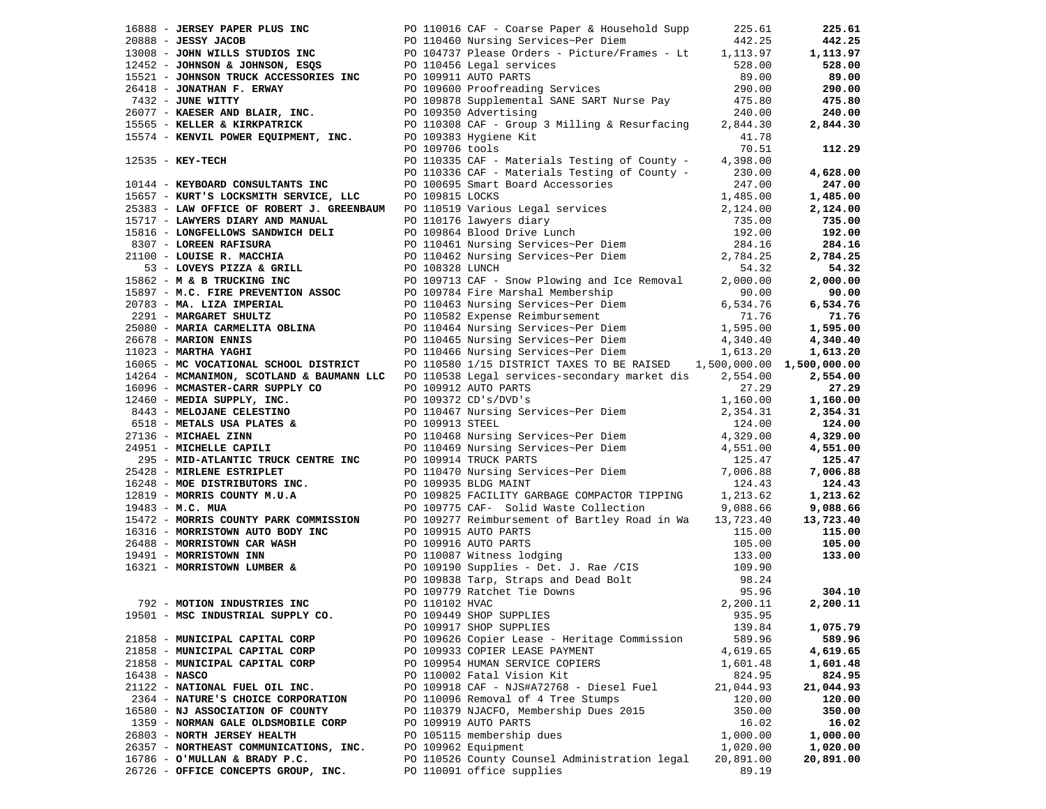|                 |                                                           |  | 16888 - JERSEY PAPER PLUS INC<br>20888 - JESSY JACOB<br>2008 - JESSY JACOB<br>20100 - JOHN SON ESCOPE DE POLOGO Nursing Services-Per Diem<br>212452 - JOHNSON & JOHNSON, ESQS<br>2010 - JOHNSON TRUCK ACCESSORIES INC<br>26418 - JOHNSON |           | 225.61             |
|-----------------|-----------------------------------------------------------|--|------------------------------------------------------------------------------------------------------------------------------------------------------------------------------------------------------------------------------------------|-----------|--------------------|
|                 |                                                           |  |                                                                                                                                                                                                                                          |           | 442.25             |
|                 |                                                           |  |                                                                                                                                                                                                                                          |           | 1,113.97           |
|                 |                                                           |  |                                                                                                                                                                                                                                          |           |                    |
|                 |                                                           |  |                                                                                                                                                                                                                                          |           | 528.00             |
|                 |                                                           |  |                                                                                                                                                                                                                                          |           | 89.00              |
|                 |                                                           |  |                                                                                                                                                                                                                                          |           | 290.00             |
|                 |                                                           |  |                                                                                                                                                                                                                                          |           | 475.80             |
|                 |                                                           |  |                                                                                                                                                                                                                                          |           |                    |
|                 |                                                           |  |                                                                                                                                                                                                                                          |           | 240.00             |
|                 |                                                           |  |                                                                                                                                                                                                                                          |           | 2,844.30           |
|                 |                                                           |  |                                                                                                                                                                                                                                          |           |                    |
|                 |                                                           |  |                                                                                                                                                                                                                                          |           | 112.29             |
|                 |                                                           |  |                                                                                                                                                                                                                                          |           |                    |
|                 | $12535 - KEY-TECH$                                        |  | PO 110335 CAF - Materials Testing of County - 4,398.00<br>PO 110335 CAF - Materials Testing of County - 230.00                                                                                                                           |           |                    |
|                 |                                                           |  | PO 110336 CAF - Materials Testing of County - 230.00<br>PO 100695 Smart Board Accessories 247.00                                                                                                                                         |           | 4,628.00           |
|                 |                                                           |  |                                                                                                                                                                                                                                          |           | 247.00             |
|                 |                                                           |  | 10144 - KEYBOARD CONSULTANTS INC<br>FO 100695 Smart Board Accessories                                                                                                                                                                    |           | 1,485.00           |
|                 |                                                           |  | 25383 - LAW OFFICE OF ROBERT J. GREENBAUM PO 110519 Various Legal services (1,485.00<br>15717 - LAWYERS DIARY AND MANUAL PO 110519 Various Legal services (2,124.00                                                                      |           |                    |
|                 |                                                           |  |                                                                                                                                                                                                                                          |           | 2,124.00           |
|                 |                                                           |  |                                                                                                                                                                                                                                          |           | 735.00             |
|                 |                                                           |  |                                                                                                                                                                                                                                          |           | 192.00             |
|                 |                                                           |  |                                                                                                                                                                                                                                          |           | 284.16             |
|                 |                                                           |  |                                                                                                                                                                                                                                          |           |                    |
|                 |                                                           |  |                                                                                                                                                                                                                                          |           | 2,784.25           |
|                 |                                                           |  |                                                                                                                                                                                                                                          |           | 54.32              |
|                 |                                                           |  |                                                                                                                                                                                                                                          |           | 2,000.00           |
|                 |                                                           |  |                                                                                                                                                                                                                                          |           | 90.00              |
|                 |                                                           |  |                                                                                                                                                                                                                                          |           | 6,534.76           |
|                 |                                                           |  |                                                                                                                                                                                                                                          |           |                    |
|                 |                                                           |  | 25383 - LAW OFFICE OF ROBERT J. GREENBAUM PO 110519 Various Legal services - 2, 124.00<br>1517 - LAWYERLLOWS SANDWALTHE PO 110176 lawyers diary and the UNIT of LAWING THE COREEN RAFISURA<br>2010 - LOREEN RAFISURA PO 110461 Nu        |           | 71.76              |
|                 |                                                           |  |                                                                                                                                                                                                                                          |           | 1,595.00           |
|                 |                                                           |  |                                                                                                                                                                                                                                          |           | 4,340.40           |
|                 |                                                           |  |                                                                                                                                                                                                                                          |           | 1,613.20           |
|                 | 16065 - MC VOCATIONAL SCHOOL DISTRICT                     |  | PO 110580 1/15 DISTRICT TAXES TO BE RAISED 1,500,000.00 1,500,000.00                                                                                                                                                                     |           |                    |
|                 |                                                           |  |                                                                                                                                                                                                                                          |           |                    |
|                 |                                                           |  | 14264 - MCMANIMON, SCOTLAND & BAUMANN LLC PO 110538 Legal services-secondary market dis 2,554.00                                                                                                                                         |           | 2,554.00           |
|                 |                                                           |  |                                                                                                                                                                                                                                          |           | 27.29              |
|                 |                                                           |  |                                                                                                                                                                                                                                          |           | 1,160.00           |
|                 |                                                           |  |                                                                                                                                                                                                                                          |           | 2,354.31           |
|                 |                                                           |  |                                                                                                                                                                                                                                          |           |                    |
|                 |                                                           |  |                                                                                                                                                                                                                                          |           | 124.00             |
|                 |                                                           |  |                                                                                                                                                                                                                                          |           | 4,329.00           |
|                 |                                                           |  |                                                                                                                                                                                                                                          |           | 4,551.00           |
|                 |                                                           |  |                                                                                                                                                                                                                                          |           | 125.47<br>7,006.88 |
|                 |                                                           |  |                                                                                                                                                                                                                                          |           |                    |
|                 |                                                           |  |                                                                                                                                                                                                                                          |           |                    |
|                 |                                                           |  |                                                                                                                                                                                                                                          |           | 124.43<br>1,213.62 |
|                 |                                                           |  |                                                                                                                                                                                                                                          |           |                    |
|                 |                                                           |  |                                                                                                                                                                                                                                          |           | 9,088.66           |
|                 |                                                           |  |                                                                                                                                                                                                                                          |           | 13,723.40          |
|                 |                                                           |  |                                                                                                                                                                                                                                          |           | 115.00             |
|                 |                                                           |  |                                                                                                                                                                                                                                          |           |                    |
|                 |                                                           |  |                                                                                                                                                                                                                                          |           | 105.00             |
|                 |                                                           |  |                                                                                                                                                                                                                                          |           | 133.00             |
|                 |                                                           |  | 14054 - MCMAINON SCOTIAND & BAUWANN LLC PO 110538 Legal services-secondary market dis<br>14054 - MCMAINON, SCOTIAND & BAUWANN LLC PO 110538 Legal services-secondary market dis<br>16096 - MEDIA SUPER, THOM CONTENT CONTENT CON         |           |                    |
|                 |                                                           |  |                                                                                                                                                                                                                                          |           |                    |
|                 |                                                           |  |                                                                                                                                                                                                                                          |           | 304.10             |
|                 |                                                           |  |                                                                                                                                                                                                                                          |           |                    |
|                 |                                                           |  |                                                                                                                                                                                                                                          |           | 2,200.11           |
|                 | 19501 - MSC INDUSTRIAL SUPPLY CO. DO 109449 SHOP SUPPLIES |  |                                                                                                                                                                                                                                          | 935.95    |                    |
|                 |                                                           |  | PO 109917 SHOP SUPPLIES                                                                                                                                                                                                                  | 139.84    | 1,075.79           |
|                 | 21858 - MUNICIPAL CAPITAL CORP                            |  | PO 109626 Copier Lease - Heritage Commission                                                                                                                                                                                             | 589.96    | 589.96             |
|                 | 21858 - MUNICIPAL CAPITAL CORP                            |  | PO 109933 COPIER LEASE PAYMENT                                                                                                                                                                                                           | 4,619.65  | 4,619.65           |
|                 |                                                           |  |                                                                                                                                                                                                                                          |           |                    |
|                 | 21858 - MUNICIPAL CAPITAL CORP                            |  | PO 109954 HUMAN SERVICE COPIERS                                                                                                                                                                                                          | 1,601.48  | 1,601.48           |
| $16438 - NASCO$ |                                                           |  | PO 110002 Fatal Vision Kit                                                                                                                                                                                                               | 824.95    | 824.95             |
|                 | 21122 - NATIONAL FUEL OIL INC.                            |  | PO 109918 CAF - NJS#A72768 - Diesel Fuel                                                                                                                                                                                                 | 21,044.93 | 21,044.93          |
|                 | 2364 - NATURE'S CHOICE CORPORATION                        |  | PO 110096 Removal of 4 Tree Stumps                                                                                                                                                                                                       | 120.00    | 120.00             |
|                 | 16580 - NJ ASSOCIATION OF COUNTY                          |  | PO 110379 NJACFO, Membership Dues 2015                                                                                                                                                                                                   | 350.00    | 350.00             |
|                 |                                                           |  |                                                                                                                                                                                                                                          |           |                    |
|                 | 1359 - NORMAN GALE OLDSMOBILE CORP                        |  | PO 109919 AUTO PARTS                                                                                                                                                                                                                     | 16.02     | 16.02              |
|                 | 26803 - NORTH JERSEY HEALTH                               |  | PO 105115 membership dues                                                                                                                                                                                                                | 1,000.00  | 1,000.00           |
|                 | 26357 - NORTHEAST COMMUNICATIONS, INC.                    |  | PO 109962 Equipment                                                                                                                                                                                                                      | 1,020.00  | 1,020.00           |
|                 | 16786 - O'MULLAN & BRADY P.C.                             |  | PO 110526 County Counsel Administration legal                                                                                                                                                                                            | 20,891.00 | 20,891.00          |
|                 | 26726 - OFFICE CONCEPTS GROUP, INC.                       |  | PO 110091 office supplies                                                                                                                                                                                                                | 89.19     |                    |
|                 |                                                           |  |                                                                                                                                                                                                                                          |           |                    |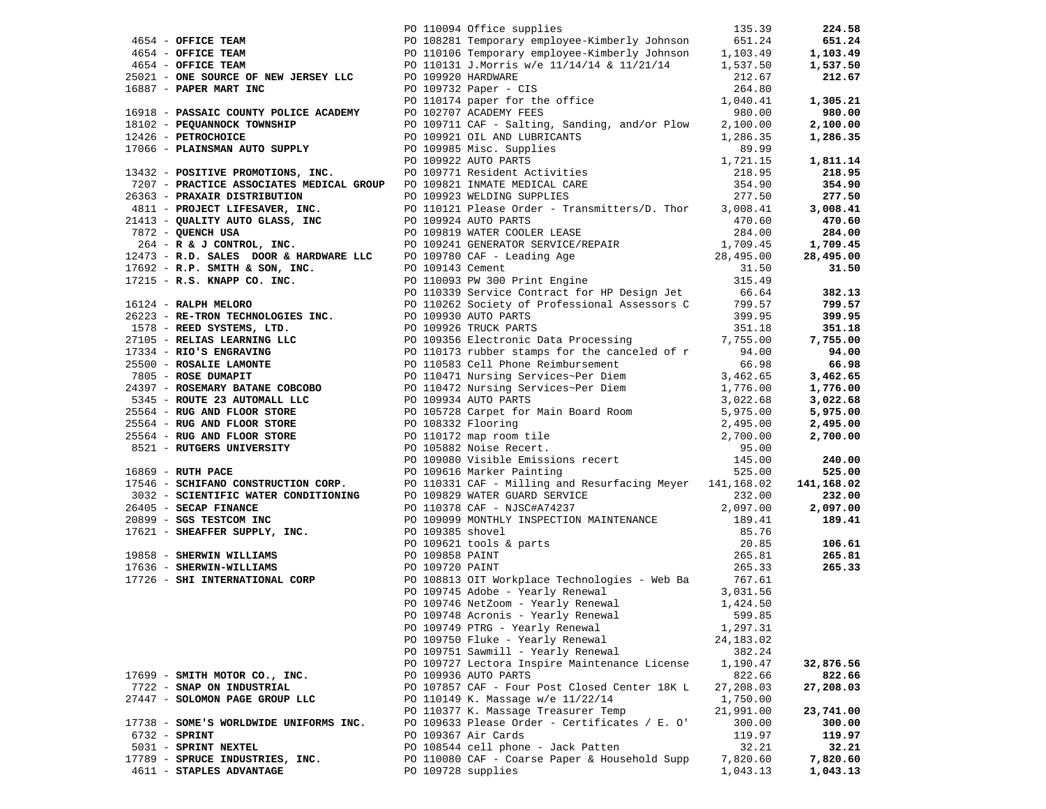|                                        |  |                                                                                                                                                                                                                                                           |            | 224.58     |
|----------------------------------------|--|-----------------------------------------------------------------------------------------------------------------------------------------------------------------------------------------------------------------------------------------------------------|------------|------------|
|                                        |  |                                                                                                                                                                                                                                                           |            | 651.24     |
|                                        |  |                                                                                                                                                                                                                                                           |            | 1,103.49   |
|                                        |  | PO 110094 Office supplies<br>PO 110094 Office supplies<br>PO 108281 Temporary employee-Kimberly Johnson 651.24<br>PO 110106 Temporary employee-Kimberly Johnson 1,103.49<br>PO 110131 J.Morris w/e 11/14/14 & 11/21/14 1,537.50                           |            | 1,537.50   |
|                                        |  |                                                                                                                                                                                                                                                           |            | 212.67     |
|                                        |  |                                                                                                                                                                                                                                                           |            |            |
|                                        |  |                                                                                                                                                                                                                                                           |            |            |
|                                        |  |                                                                                                                                                                                                                                                           |            | 1,305.21   |
|                                        |  |                                                                                                                                                                                                                                                           |            | 980.00     |
|                                        |  |                                                                                                                                                                                                                                                           |            | 2,100.00   |
|                                        |  |                                                                                                                                                                                                                                                           |            | 1,286.35   |
|                                        |  |                                                                                                                                                                                                                                                           |            |            |
|                                        |  |                                                                                                                                                                                                                                                           |            | 1,811.14   |
|                                        |  |                                                                                                                                                                                                                                                           |            | 218.95     |
|                                        |  |                                                                                                                                                                                                                                                           |            | 354.90     |
|                                        |  |                                                                                                                                                                                                                                                           |            |            |
|                                        |  |                                                                                                                                                                                                                                                           |            | 277.50     |
|                                        |  |                                                                                                                                                                                                                                                           |            | 3,008.41   |
|                                        |  |                                                                                                                                                                                                                                                           |            | 470.60     |
|                                        |  |                                                                                                                                                                                                                                                           |            | 284.00     |
|                                        |  |                                                                                                                                                                                                                                                           |            | 1,709.45   |
|                                        |  |                                                                                                                                                                                                                                                           |            | 28,495.00  |
|                                        |  |                                                                                                                                                                                                                                                           |            | 31.50      |
|                                        |  |                                                                                                                                                                                                                                                           |            |            |
|                                        |  |                                                                                                                                                                                                                                                           |            | 382.13     |
|                                        |  |                                                                                                                                                                                                                                                           |            |            |
|                                        |  |                                                                                                                                                                                                                                                           |            | 799.57     |
|                                        |  |                                                                                                                                                                                                                                                           |            | 399.95     |
|                                        |  |                                                                                                                                                                                                                                                           |            | 351.18     |
|                                        |  |                                                                                                                                                                                                                                                           |            | 7,755.00   |
|                                        |  |                                                                                                                                                                                                                                                           |            | 94.00      |
|                                        |  |                                                                                                                                                                                                                                                           |            | 66.98      |
|                                        |  |                                                                                                                                                                                                                                                           |            | 3,462.65   |
|                                        |  |                                                                                                                                                                                                                                                           |            | 1,776.00   |
|                                        |  |                                                                                                                                                                                                                                                           |            | 3,022.68   |
|                                        |  |                                                                                                                                                                                                                                                           |            | 5,975.00   |
|                                        |  |                                                                                                                                                                                                                                                           |            |            |
|                                        |  |                                                                                                                                                                                                                                                           |            | 2,495.00   |
|                                        |  |                                                                                                                                                                                                                                                           |            | 2,700.00   |
|                                        |  |                                                                                                                                                                                                                                                           |            |            |
|                                        |  | 4954 <b>OPTIES TRANS DESCRIPE TO 110115 Temporary employer Nineting (A) 2013-19 11014, 49<br/> 1921 <b>OPTIES TRANS TRANS TRANS INC.</b> (C) 110313 DEFINITE V/s 11/21/14 &amp; 11/21/14<br/> 1933 <b>PARE RANS TRANS TRANS TRANS INC.</b> (2) 109732</b> |            | 240.00     |
|                                        |  |                                                                                                                                                                                                                                                           |            | 525.00     |
|                                        |  |                                                                                                                                                                                                                                                           |            | 141,168.02 |
|                                        |  | 1/546 - SCHLFANO CONSTRUCTION CORP.<br>3032 - SCIENTIFIC WATER CONDITIONING<br>2010 - SECAP FINANCE<br>2010 - SECAP FINANCE<br>2010 - SECAP FINANCE<br>2010 - SECAP FINANCE<br>2010 - SECAP FINANCE<br>2010 - SECAP FINANCE<br>2010 - SECAP F             |            | 232.00     |
|                                        |  |                                                                                                                                                                                                                                                           |            | 2,097.00   |
|                                        |  |                                                                                                                                                                                                                                                           |            | 189.41     |
|                                        |  |                                                                                                                                                                                                                                                           |            |            |
|                                        |  |                                                                                                                                                                                                                                                           |            | 106.61     |
|                                        |  |                                                                                                                                                                                                                                                           |            | 265.81     |
|                                        |  |                                                                                                                                                                                                                                                           |            |            |
|                                        |  |                                                                                                                                                                                                                                                           |            | 265.33     |
|                                        |  |                                                                                                                                                                                                                                                           |            |            |
|                                        |  |                                                                                                                                                                                                                                                           |            |            |
|                                        |  | PO 109745 Adobe - Yearly Renewal 3,031.56<br>PO 109746 NetZoom - Yearly Renewal 1,424.50<br>PO 109748 Agropia - Yearly Renewal 1,500 05                                                                                                                   |            |            |
|                                        |  | PO 109748 Acronis - Yearly Renewal 599.85                                                                                                                                                                                                                 |            |            |
|                                        |  | PO 109749 PTRG - Yearly Renewal                                                                                                                                                                                                                           | 1,297.31   |            |
|                                        |  | PO 109750 Fluke - Yearly Renewal                                                                                                                                                                                                                          | 24, 183.02 |            |
|                                        |  | PO 109751 Sawmill - Yearly Renewal                                                                                                                                                                                                                        | 382.24     |            |
|                                        |  | PO 109727 Lectora Inspire Maintenance License                                                                                                                                                                                                             | 1,190.47   | 32,876.56  |
| 17699 - SMITH MOTOR CO., INC.          |  | PO 109936 AUTO PARTS                                                                                                                                                                                                                                      | 822.66     | 822.66     |
| 7722 - SNAP ON INDUSTRIAL              |  | PO 107857 CAF - Four Post Closed Center 18K L                                                                                                                                                                                                             | 27,208.03  | 27,208.03  |
|                                        |  |                                                                                                                                                                                                                                                           |            |            |
| 27447 - SOLOMON PAGE GROUP LLC         |  | PO 110149 K. Massage w/e 11/22/14                                                                                                                                                                                                                         | 1,750.00   |            |
|                                        |  | PO 110377 K. Massage Treasurer Temp                                                                                                                                                                                                                       | 21,991.00  | 23,741.00  |
| 17738 - SOME'S WORLDWIDE UNIFORMS INC. |  | PO 109633 Please Order - Certificates / E. O'                                                                                                                                                                                                             | 300.00     | 300.00     |
| $6732 - SPRINT$                        |  | PO 109367 Air Cards                                                                                                                                                                                                                                       | 119.97     | 119.97     |
| 5031 - SPRINT NEXTEL                   |  | PO 108544 cell phone - Jack Patten                                                                                                                                                                                                                        | 32.21      | 32.21      |
| 17789 - SPRUCE INDUSTRIES, INC.        |  | PO 110080 CAF - Coarse Paper & Household Supp                                                                                                                                                                                                             | 7,820.60   | 7,820.60   |
| 4611 - STAPLES ADVANTAGE               |  | PO 109728 supplies                                                                                                                                                                                                                                        | 1,043.13   | 1,043.13   |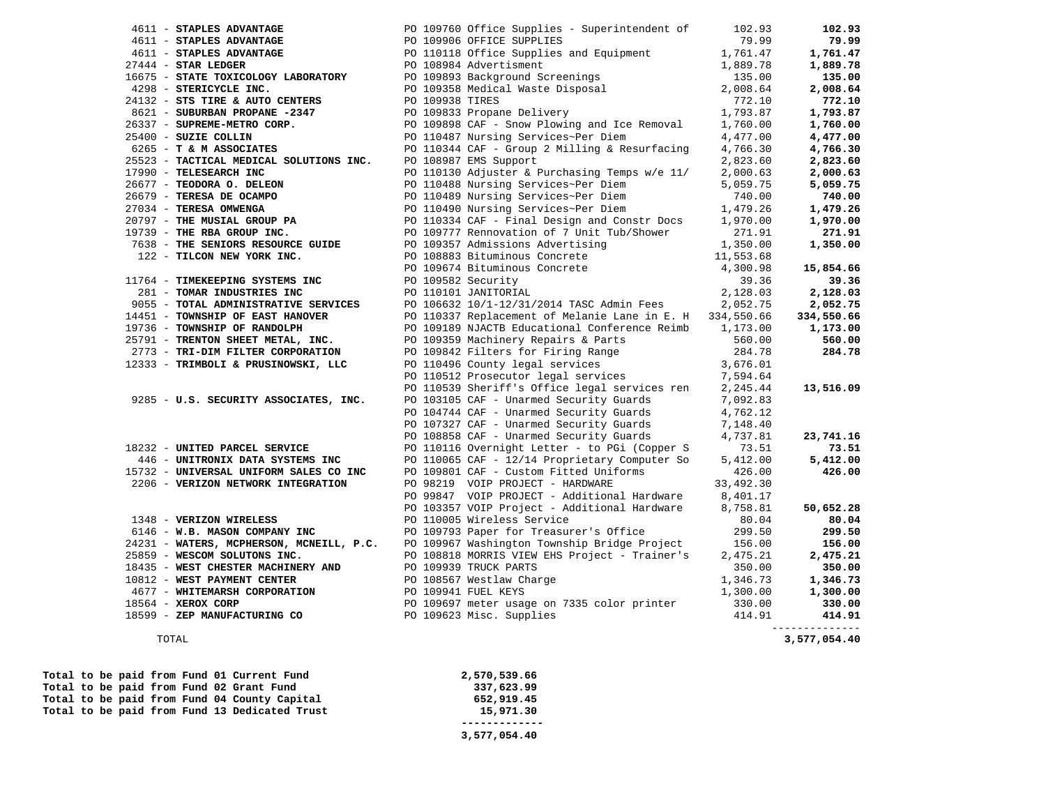|                                                                                                                                                |                                                                                                                                                                                                                                                                    |                       | 102.93         |
|------------------------------------------------------------------------------------------------------------------------------------------------|--------------------------------------------------------------------------------------------------------------------------------------------------------------------------------------------------------------------------------------------------------------------|-----------------------|----------------|
|                                                                                                                                                |                                                                                                                                                                                                                                                                    |                       | 79.99          |
|                                                                                                                                                | 4611 <b>- STAPLES ADVANTAGE</b><br>4611 <b>- STAPLES ADVANTAGE</b> PO 109906 OFFICE SUPPLIES<br>4611 <b>- STAPLES ADVANTAGE</b> PO 109906 OFFICE SUPPLIES<br>4611 <b>- STAPLES ADVANTAGE</b> PO 110118 Office Supplies and Equipment<br>27444 <b>- STAR LEDGER</b> |                       | 1,761.47       |
| $27444 - STAR LEDGER$                                                                                                                          |                                                                                                                                                                                                                                                                    |                       | 1,889.78       |
|                                                                                                                                                | 16675 - STATE TOXICOLOGY LABORATORY PO 109893 Background Screenings (135.00)<br>4298 - STERICYCLE INC. PO 109358 Medical Waste Disposal (2,008.64)                                                                                                                 |                       | 135.00         |
|                                                                                                                                                |                                                                                                                                                                                                                                                                    |                       | 2,008.64       |
| 24132 - STS TIRE & AUTO CENTERS                                                                                                                |                                                                                                                                                                                                                                                                    | 772.10                | 772.10         |
| 8621 - SUBURBAN PROPANE -2347                                                                                                                  | PO 109938 TIRES<br>PO 109833 Propane Delivery                                                                                                                                                                                                                      | 1,793.87              | 1,793.87       |
| $26337 - \text{SUPREME-METRO CORP.}$                                                                                                           | PO 109898 CAF - Snow Plowing and Ice Removal                                                                                                                                                                                                                       | 1,760.00              | 1,760.00       |
| 25400 - SUZIE COLLIN                                                                                                                           | PO 110487 Nursing Services~Per Diem                                                                                                                                                                                                                                | 4,477.00              | 4,477.00       |
| 6265 - T & M ASSOCIATES                                                                                                                        | PO 110344 CAF - Group 2 Milling & Resurfacing                                                                                                                                                                                                                      | 4,766.30              | 4,766.30       |
| 25523 - TACTICAL MEDICAL SOLUTIONS INC.                                                                                                        | PO 108987 EMS Support                                                                                                                                                                                                                                              | 2,823.60              | 2,823.60       |
| 17990 - TELESEARCH INC                                                                                                                         | PO 110130 Adjuster & Purchasing Temps w/e 11/                                                                                                                                                                                                                      | 2,000.63              | 2,000.63       |
| $26677$ - TEODORA O. DELEON                                                                                                                    | PO 110488 Nursing Services~Per Diem                                                                                                                                                                                                                                | 5,059.75              | 5,059.75       |
| 26679 - TERESA DE OCAMPO                                                                                                                       | PO 110489 Nursing Services~Per Diem<br>PO 110490 Nursing Services~Per Diem                                                                                                                                                                                         | 740.00                | 740.00         |
| 27034 - TERESA OMWENGA                                                                                                                         |                                                                                                                                                                                                                                                                    | 1,479.26              | 1,479.26       |
| 20797 - THE MUSIAL GROUP PA<br>19739 - THE RBA GROUP INC.                                                                                      | PO 110334 CAF - Final Design and Constr Docs                                                                                                                                                                                                                       | 1,970.00              | 1,970.00       |
|                                                                                                                                                | PO 109777 Rennovation of 7 Unit Tub/Shower                                                                                                                                                                                                                         | 271.91                | 271.91         |
| 7638 - THE SENIORS RESOURCE GUIDE                                                                                                              | PO 109357 Admissions Advertising                                                                                                                                                                                                                                   | 1,350.00              | 1,350.00       |
| 122 - TILCON NEW YORK INC.                                                                                                                     | PO 108883 Bituminous Concrete                                                                                                                                                                                                                                      | 1,350.00<br>11,553.68 |                |
|                                                                                                                                                |                                                                                                                                                                                                                                                                    | 4,300.98              | 15,854.66      |
| 11764 - TIMEKEEPING SYSTEMS INC                                                                                                                | PO 109674 Bituminous Concrete<br>PO 109582 Security<br>PO 110101 JANITORIAL                                                                                                                                                                                        | 39.36                 | 39.36          |
| 281 - TOMAR INDUSTRIES INC                                                                                                                     |                                                                                                                                                                                                                                                                    | 2,128.03              | 2,128.03       |
| 9055 - TOTAL ADMINISTRATIVE SERVICES                                                                                                           | PO 106632 10/1-12/31/2014 TASC Admin Fees 2,052.75                                                                                                                                                                                                                 |                       | 2,052.75       |
| 14451 - TOWNSHIP OF EAST HANOVER                                                                                                               | PO 110337 Replacement of Melanie Lane in E. H 334,550.66                                                                                                                                                                                                           |                       | 334,550.66     |
| 19736 - TOWNSHIP OF RANDOLPH                                                                                                                   | PO 109189 NJACTB Educational Conference Reimb 1,173.00                                                                                                                                                                                                             |                       | 1,173.00       |
| 25791 - TRENTON SHEET METAL, INC.                                                                                                              | PO 109359 Machinery Repairs & Parts                                                                                                                                                                                                                                | 560.00                | 560.00         |
| 2773 - TRI-DIM FILTER CORPORATION                                                                                                              |                                                                                                                                                                                                                                                                    |                       | 284.78         |
| 12333 - TRIMBOLI & PRUSINOWSKI, LLC                                                                                                            | PO 109842 Filters for Firing Range 284.78<br>PO 109842 Filters for Firing Range 284.78<br>PO 110496 County legal services 3,676.01<br>PO 110512 Prosecutor legal services 7,594.64                                                                                 |                       |                |
|                                                                                                                                                |                                                                                                                                                                                                                                                                    |                       |                |
|                                                                                                                                                | PO 110539 Sheriff's Office legal services ren                                                                                                                                                                                                                      | 2,245.44              | 13,516.09      |
| 9285 - U.S. SECURITY ASSOCIATES, INC.                                                                                                          |                                                                                                                                                                                                                                                                    | 7,092.83              |                |
|                                                                                                                                                | PO 103105 CAF - Unarmed Security Guards<br>PO 104744 CAF - Unarmed Security Guards                                                                                                                                                                                 | 4,762.12              |                |
|                                                                                                                                                | PO 107327 CAF - Unarmed Security Guards<br>PO 108858 CAF - Unarmed Security Guards                                                                                                                                                                                 | 7,148.40              |                |
|                                                                                                                                                |                                                                                                                                                                                                                                                                    | 4,737.81              | 23,741.16      |
| 18232 - UNITED PARCEL SERVICE                                                                                                                  | PO 110116 Overnight Letter - to PGi (Copper S                                                                                                                                                                                                                      | 73.51                 | 73.51          |
| 446 - UNITRONIX DATA SYSTEMS INC                                                                                                               | PO 110065 CAF - 12/14 Proprietary Computer So                                                                                                                                                                                                                      | 5,412.00              | 5,412.00       |
| 15732 - UNIVERSAL UNIFORM SALES CO INC                                                                                                         | PO 109801 CAF - Custom Fitted Uniforms                                                                                                                                                                                                                             | 426.00                | 426.00         |
| 2206 - VERIZON NETWORK INTEGRATION                                                                                                             | PO 98219 VOIP PROJECT - HARDWARE                                                                                                                                                                                                                                   | 33,492.30             |                |
|                                                                                                                                                | PO 99847 VOIP PROJECT - Additional Hardware 8,401.17                                                                                                                                                                                                               |                       |                |
|                                                                                                                                                | PO 103357 VOIP Project - Additional Hardware                                                                                                                                                                                                                       | 8,758.81              | 50,652.28      |
| 1348 - VERIZON WIRELESS                                                                                                                        | PO 110005 Wireless Service                                                                                                                                                                                                                                         | 80.04                 | 80.04          |
| 6146 - W.B. MASON COMPANY INC                                                                                                                  | PO 109793 Paper for Treasurer's Office                                                                                                                                                                                                                             | 299.50                | 299.50         |
| 24231 - WATERS, MCPHERSON, MCNEILL, P.C.                                                                                                       | PO 109967 Washington Township Bridge Project                                                                                                                                                                                                                       | 156.00                | 156.00         |
| 21221 - WESCOM SOLUTONS INC.<br>18435 - WEST CHESTER MACHINERY AND DE 109939 TRUCK PARTS<br>10010 - WEST PAYMENT CENTER DE DE 100041 FUEL KEYS | PO 108818 MORRIS VIEW EHS Project - Trainer's                                                                                                                                                                                                                      | 2,475.21              | 2,475.21       |
|                                                                                                                                                |                                                                                                                                                                                                                                                                    | 350.00                | 350.00         |
|                                                                                                                                                |                                                                                                                                                                                                                                                                    | 1,346.73              | 1,346.73       |
|                                                                                                                                                |                                                                                                                                                                                                                                                                    | 1,300.00              | 1,300.00       |
| 18564 - XEROX CORP                                                                                                                             |                                                                                                                                                                                                                                                                    | 330.00                | 330.00         |
| 18599 - ZEP MANUFACTURING CO PO 109623 Misc. Supplies                                                                                          |                                                                                                                                                                                                                                                                    | 414.91                | 414.91         |
|                                                                                                                                                |                                                                                                                                                                                                                                                                    |                       | -------------- |

**Total to be paid from Fund 01 Current Fund 2,570,539.66**<br> **Total to be paid from Fund 02 Grant Fund** 237,623.99 Total to be paid from Fund 02 Grant Fund 337,623.99<br>Total to be paid from Fund 04 County Capital **337,623.99** 652,919.45 Total to be paid from Fund 04 County Capital 652,919.45<br> **Total to be paid from Fund 13 Dedicated Trust** 652,971.30 Total to be paid from Fund 13 Dedicated Trust  **-------------** 

 **3,577,054.40** 

TOTAL **3,577,054.40**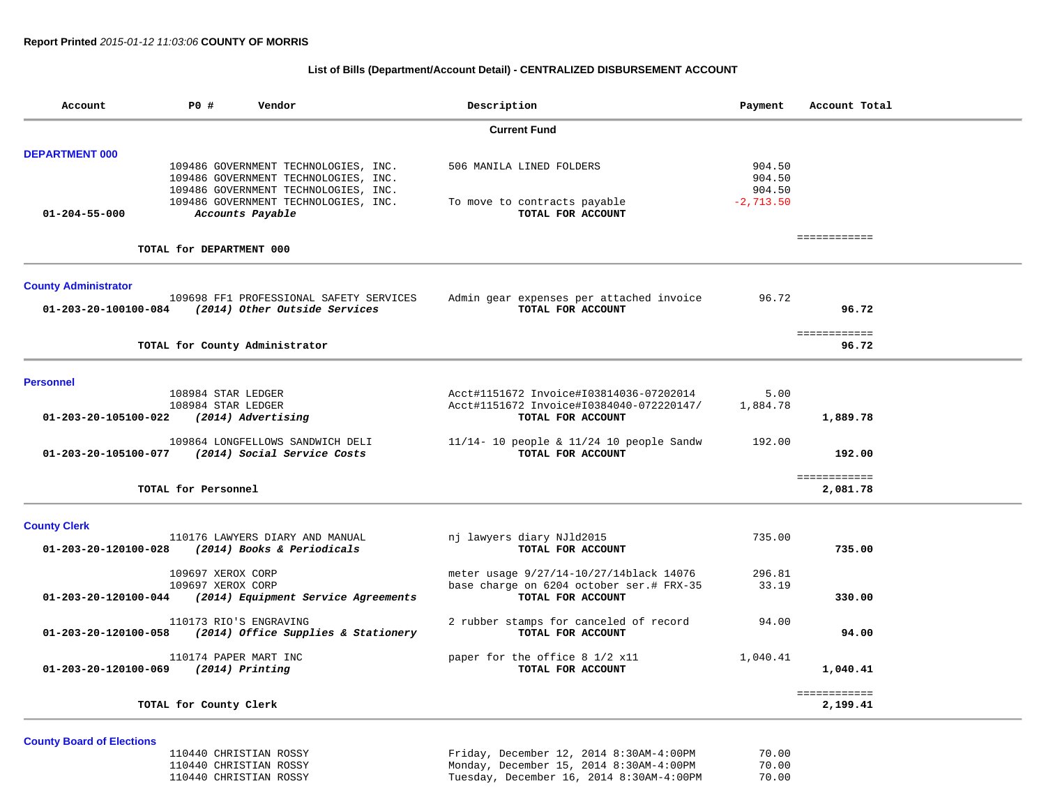## **List of Bills (Department/Account Detail) - CENTRALIZED DISBURSEMENT ACCOUNT**

| Account                        | P0 #                                     | Vendor                                                                       | Description                                                                         | Payment          | Account Total            |  |  |  |
|--------------------------------|------------------------------------------|------------------------------------------------------------------------------|-------------------------------------------------------------------------------------|------------------|--------------------------|--|--|--|
|                                | <b>Current Fund</b>                      |                                                                              |                                                                                     |                  |                          |  |  |  |
| <b>DEPARTMENT 000</b>          |                                          |                                                                              |                                                                                     |                  |                          |  |  |  |
|                                |                                          | 109486 GOVERNMENT TECHNOLOGIES, INC.<br>109486 GOVERNMENT TECHNOLOGIES, INC. | 506 MANILA LINED FOLDERS                                                            | 904.50<br>904.50 |                          |  |  |  |
|                                |                                          | 109486 GOVERNMENT TECHNOLOGIES, INC.                                         |                                                                                     | 904.50           |                          |  |  |  |
| $01 - 204 - 55 - 000$          |                                          | 109486 GOVERNMENT TECHNOLOGIES, INC.<br>Accounts Payable                     | To move to contracts payable<br>TOTAL FOR ACCOUNT                                   | $-2,713.50$      |                          |  |  |  |
|                                | TOTAL for DEPARTMENT 000                 |                                                                              |                                                                                     |                  | ============             |  |  |  |
|                                |                                          |                                                                              |                                                                                     |                  |                          |  |  |  |
| <b>County Administrator</b>    |                                          |                                                                              |                                                                                     |                  |                          |  |  |  |
| 01-203-20-100100-084           |                                          | 109698 FF1 PROFESSIONAL SAFETY SERVICES<br>(2014) Other Outside Services     | Admin gear expenses per attached invoice<br>TOTAL FOR ACCOUNT                       | 96.72            | 96.72                    |  |  |  |
|                                |                                          |                                                                              |                                                                                     |                  |                          |  |  |  |
|                                |                                          | TOTAL for County Administrator                                               |                                                                                     |                  | ============<br>96.72    |  |  |  |
|                                |                                          |                                                                              |                                                                                     |                  |                          |  |  |  |
| <b>Personnel</b>               |                                          |                                                                              |                                                                                     |                  |                          |  |  |  |
|                                | 108984 STAR LEDGER<br>108984 STAR LEDGER |                                                                              | Acct#1151672 Invoice#I03814036-07202014<br>Acct#1151672 Invoice#I0384040-072220147/ | 5.00<br>1,884.78 |                          |  |  |  |
| $01 - 203 - 20 - 105100 - 022$ |                                          | (2014) Advertising                                                           | TOTAL FOR ACCOUNT                                                                   |                  | 1,889.78                 |  |  |  |
|                                |                                          | 109864 LONGFELLOWS SANDWICH DELI                                             | 11/14- 10 people & 11/24 10 people Sandw                                            | 192.00           |                          |  |  |  |
| 01-203-20-105100-077           |                                          | (2014) Social Service Costs                                                  | TOTAL FOR ACCOUNT                                                                   |                  | 192.00                   |  |  |  |
|                                | TOTAL for Personnel                      |                                                                              |                                                                                     |                  | ============<br>2,081.78 |  |  |  |
|                                |                                          |                                                                              |                                                                                     |                  |                          |  |  |  |
| <b>County Clerk</b>            |                                          |                                                                              |                                                                                     |                  |                          |  |  |  |
| 01-203-20-120100-028           |                                          | 110176 LAWYERS DIARY AND MANUAL<br>(2014) Books & Periodicals                | nj lawyers diary NJld2015<br>TOTAL FOR ACCOUNT                                      | 735.00           | 735.00                   |  |  |  |
|                                | 109697 XEROX CORP                        |                                                                              | meter usage 9/27/14-10/27/14black 14076                                             | 296.81           |                          |  |  |  |
| 01-203-20-120100-044           | 109697 XEROX CORP                        | (2014) Equipment Service Agreements                                          | base charge on 6204 october ser.# FRX-35<br>TOTAL FOR ACCOUNT                       | 33.19            | 330.00                   |  |  |  |
|                                |                                          |                                                                              |                                                                                     |                  |                          |  |  |  |
| 01-203-20-120100-058           |                                          | 110173 RIO'S ENGRAVING<br>(2014) Office Supplies & Stationery                | 2 rubber stamps for canceled of record<br>TOTAL FOR ACCOUNT                         | 94.00            | 94.00                    |  |  |  |
|                                | 110174 PAPER MART INC                    |                                                                              | paper for the office 8 1/2 x11                                                      | 1,040.41         |                          |  |  |  |
| 01-203-20-120100-069           |                                          | $(2014)$ Printing                                                            | TOTAL FOR ACCOUNT                                                                   |                  | 1,040.41                 |  |  |  |
|                                | TOTAL for County Clerk                   |                                                                              |                                                                                     |                  | ============<br>2,199.41 |  |  |  |
|                                |                                          |                                                                              |                                                                                     |                  |                          |  |  |  |

**County Board of Elections**

| 110440 CHRISTIAN ROSSY | Friday, December 12, 2014 8:30AM-4:00PM  | 70.00 |
|------------------------|------------------------------------------|-------|
| 110440 CHRISTIAN ROSSY | Monday, December 15, 2014 8:30AM-4:00PM  | 70.00 |
| 110440 CHRISTIAN ROSSY | Tuesday, December 16, 2014 8:30AM-4:00PM | 70.00 |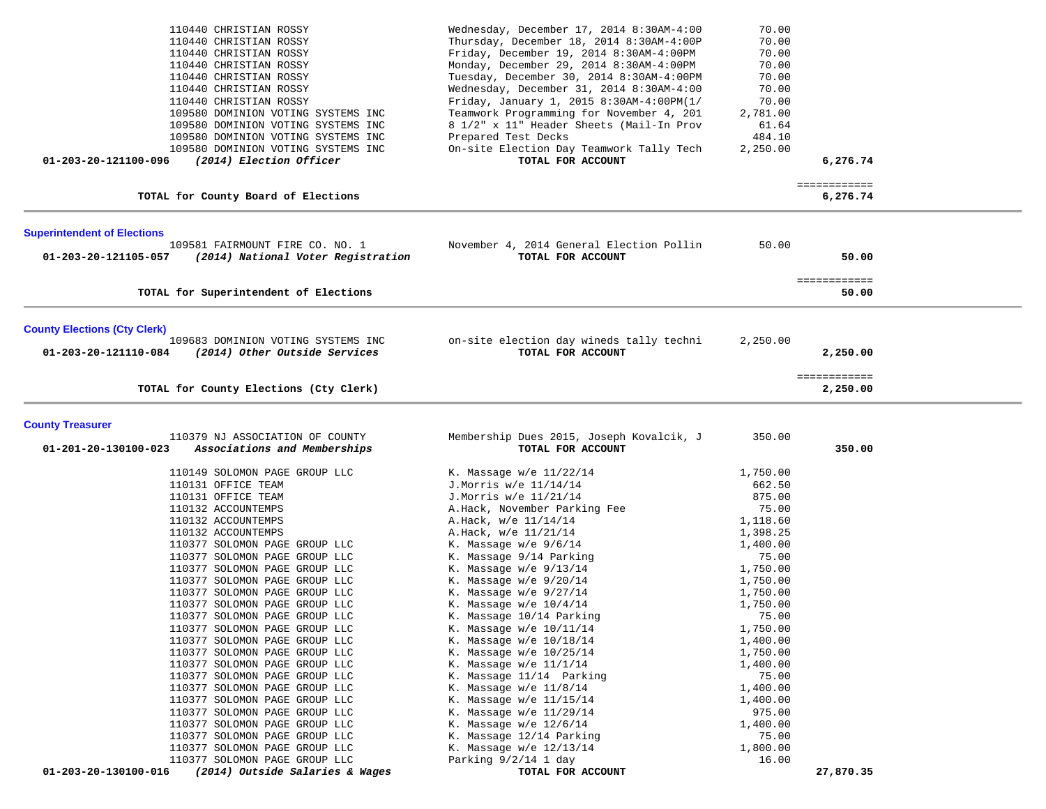| 110440 CHRISTIAN ROSSY<br>110440 CHRISTIAN ROSSY<br>110440 CHRISTIAN ROSSY<br>110440 CHRISTIAN ROSSY<br>110440 CHRISTIAN ROSSY<br>110440 CHRISTIAN ROSSY<br>110440 CHRISTIAN ROSSY<br>109580 DOMINION VOTING SYSTEMS INC<br>109580 DOMINION VOTING SYSTEMS INC<br>109580 DOMINION VOTING SYSTEMS INC<br>109580 DOMINION VOTING SYSTEMS INC<br>(2014) Election Officer<br>01-203-20-121100-096                                                                                                                                                                                                                                                                                                                                                                                                                                                             | Wednesday, December 17, 2014 8:30AM-4:00<br>Thursday, December 18, 2014 8:30AM-4:00P<br>Friday, December 19, 2014 8:30AM-4:00PM<br>Monday, December 29, 2014 8:30AM-4:00PM<br>Tuesday, December 30, 2014 8:30AM-4:00PM<br>Wednesday, December 31, 2014 8:30AM-4:00<br>Friday, January 1, 2015 8:30AM-4:00PM(1/<br>Teamwork Programming for November 4, 201<br>8 1/2" x 11" Header Sheets (Mail-In Prov<br>Prepared Test Decks<br>On-site Election Day Teamwork Tally Tech<br>TOTAL FOR ACCOUNT                                                                                                                                                                                                                                     | 70.00<br>70.00<br>70.00<br>70.00<br>70.00<br>70.00<br>70.00<br>2,781.00<br>61.64<br>484.10<br>2,250.00                                                                                                                                                                           | 6,276.74                 |  |
|-----------------------------------------------------------------------------------------------------------------------------------------------------------------------------------------------------------------------------------------------------------------------------------------------------------------------------------------------------------------------------------------------------------------------------------------------------------------------------------------------------------------------------------------------------------------------------------------------------------------------------------------------------------------------------------------------------------------------------------------------------------------------------------------------------------------------------------------------------------|------------------------------------------------------------------------------------------------------------------------------------------------------------------------------------------------------------------------------------------------------------------------------------------------------------------------------------------------------------------------------------------------------------------------------------------------------------------------------------------------------------------------------------------------------------------------------------------------------------------------------------------------------------------------------------------------------------------------------------|----------------------------------------------------------------------------------------------------------------------------------------------------------------------------------------------------------------------------------------------------------------------------------|--------------------------|--|
| TOTAL for County Board of Elections                                                                                                                                                                                                                                                                                                                                                                                                                                                                                                                                                                                                                                                                                                                                                                                                                       |                                                                                                                                                                                                                                                                                                                                                                                                                                                                                                                                                                                                                                                                                                                                    |                                                                                                                                                                                                                                                                                  | ============<br>6,276.74 |  |
| <b>Superintendent of Elections</b><br>109581 FAIRMOUNT FIRE CO. NO. 1<br>01-203-20-121105-057<br>(2014) National Voter Registration                                                                                                                                                                                                                                                                                                                                                                                                                                                                                                                                                                                                                                                                                                                       | November 4, 2014 General Election Pollin<br>TOTAL FOR ACCOUNT                                                                                                                                                                                                                                                                                                                                                                                                                                                                                                                                                                                                                                                                      | 50.00                                                                                                                                                                                                                                                                            | 50.00<br>============    |  |
| TOTAL for Superintendent of Elections                                                                                                                                                                                                                                                                                                                                                                                                                                                                                                                                                                                                                                                                                                                                                                                                                     |                                                                                                                                                                                                                                                                                                                                                                                                                                                                                                                                                                                                                                                                                                                                    |                                                                                                                                                                                                                                                                                  | 50.00                    |  |
| <b>County Elections (Cty Clerk)</b><br>109683 DOMINION VOTING SYSTEMS INC<br>01-203-20-121110-084 (2014) Other Outside Services                                                                                                                                                                                                                                                                                                                                                                                                                                                                                                                                                                                                                                                                                                                           | on-site election day wineds tally techni<br>TOTAL FOR ACCOUNT                                                                                                                                                                                                                                                                                                                                                                                                                                                                                                                                                                                                                                                                      | 2,250.00                                                                                                                                                                                                                                                                         | 2,250.00<br>============ |  |
| TOTAL for County Elections (Cty Clerk)                                                                                                                                                                                                                                                                                                                                                                                                                                                                                                                                                                                                                                                                                                                                                                                                                    |                                                                                                                                                                                                                                                                                                                                                                                                                                                                                                                                                                                                                                                                                                                                    |                                                                                                                                                                                                                                                                                  | 2,250.00                 |  |
| <b>County Treasurer</b><br>110379 NJ ASSOCIATION OF COUNTY<br>01-201-20-130100-023<br>Associations and Memberships                                                                                                                                                                                                                                                                                                                                                                                                                                                                                                                                                                                                                                                                                                                                        | Membership Dues 2015, Joseph Kovalcik, J<br>TOTAL FOR ACCOUNT                                                                                                                                                                                                                                                                                                                                                                                                                                                                                                                                                                                                                                                                      | 350.00                                                                                                                                                                                                                                                                           | 350.00                   |  |
| 110149 SOLOMON PAGE GROUP LLC<br>110131 OFFICE TEAM<br>110131 OFFICE TEAM<br>110132 ACCOUNTEMPS<br>110132 ACCOUNTEMPS<br>110132 ACCOUNTEMPS<br>110377 SOLOMON PAGE GROUP LLC<br>110377 SOLOMON PAGE GROUP LLC<br>110377 SOLOMON PAGE GROUP LLC<br>110377 SOLOMON PAGE GROUP LLC<br>110377 SOLOMON PAGE GROUP LLC<br>110377 SOLOMON PAGE GROUP LLC<br>110377 SOLOMON PAGE GROUP LLC<br>110377 SOLOMON PAGE GROUP LLC<br>110377 SOLOMON PAGE GROUP LLC<br>110377 SOLOMON PAGE GROUP LLC<br>110377 SOLOMON PAGE GROUP LLC<br>110377 SOLOMON PAGE GROUP LLC<br>110377 SOLOMON PAGE GROUP LLC<br>110377 SOLOMON PAGE GROUP LLC<br>110377 SOLOMON PAGE GROUP LLC<br>110377 SOLOMON PAGE GROUP LLC<br>110377 SOLOMON PAGE GROUP LLC<br>110377 SOLOMON PAGE GROUP LLC<br>110377 SOLOMON PAGE GROUP LLC<br>01-203-20-130100-016<br>(2014) Outside Salaries & Wages | K. Massage $w/e$ 11/22/14<br>J.Morris w/e 11/14/14<br>J.Morris w/e 11/21/14<br>A.Hack, November Parking Fee<br>A.Hack, w/e 11/14/14<br>A.Hack, w/e 11/21/14<br>K. Massage $w/e$ 9/6/14<br>K. Massage 9/14 Parking<br>K. Massage $w/e$ 9/13/14<br>K. Massage $w/e$ 9/20/14<br>K. Massage $w/e$ 9/27/14<br>K. Massage $w/e$ 10/4/14<br>K. Massage 10/14 Parking<br>K. Massage $w/e$ 10/11/14<br>K. Massage $w/e$ 10/18/14<br>K. Massage w/e 10/25/14<br>K. Massage $w/e$ 11/1/14<br>K. Massage 11/14 Parking<br>K. Massage $w/e$ 11/8/14<br>K. Massage $w/e$ 11/15/14<br>K. Massage $w/e$ 11/29/14<br>K. Massage $w/e$ 12/6/14<br>K. Massage 12/14 Parking<br>K. Massage w/e 12/13/14<br>Parking $9/2/14$ 1 day<br>TOTAL FOR ACCOUNT | 1,750.00<br>662.50<br>875.00<br>75.00<br>1,118.60<br>1,398.25<br>1,400.00<br>75.00<br>1,750.00<br>1,750.00<br>1,750.00<br>1,750.00<br>75.00<br>1,750.00<br>1,400.00<br>1,750.00<br>1,400.00<br>75.00<br>1,400.00<br>1,400.00<br>975.00<br>1,400.00<br>75.00<br>1,800.00<br>16.00 | 27,870.35                |  |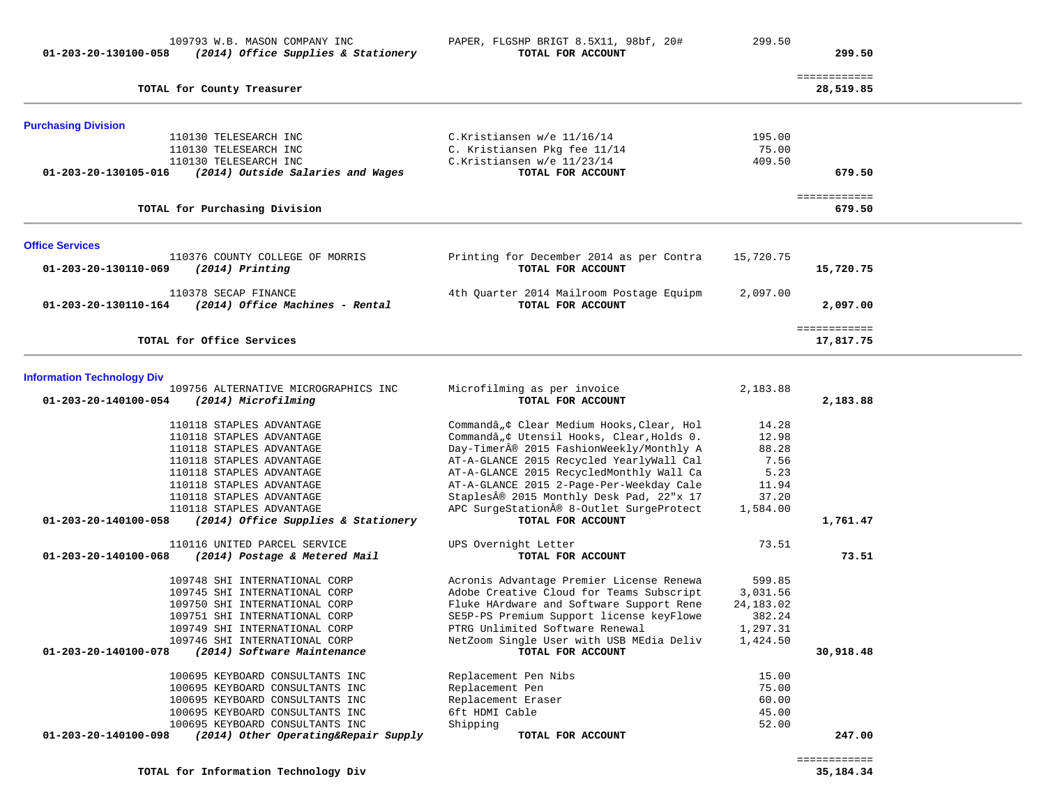| 109793 W.B. MASON COMPANY INC<br>(2014) Office Supplies & Stationery<br>01-203-20-130100-058    | PAPER, FLGSHP BRIGT 8.5X11, 98bf, 20#<br>TOTAL FOR ACCOUNT                           | 299.50          | 299.50                    |  |
|-------------------------------------------------------------------------------------------------|--------------------------------------------------------------------------------------|-----------------|---------------------------|--|
| TOTAL for County Treasurer                                                                      |                                                                                      |                 | ============<br>28,519.85 |  |
| <b>Purchasing Division</b>                                                                      |                                                                                      |                 |                           |  |
| 110130 TELESEARCH INC                                                                           | C.Kristiansen w/e 11/16/14                                                           | 195.00          |                           |  |
| 110130 TELESEARCH INC<br>110130 TELESEARCH INC                                                  | C. Kristiansen Pkg fee 11/14<br>C.Kristiansen w/e 11/23/14                           | 75.00<br>409.50 |                           |  |
| 01-203-20-130105-016<br>(2014) Outside Salaries and Wages                                       | TOTAL FOR ACCOUNT                                                                    |                 | 679.50                    |  |
| TOTAL for Purchasing Division                                                                   |                                                                                      |                 | ============<br>679.50    |  |
| <b>Office Services</b>                                                                          |                                                                                      |                 |                           |  |
| 110376 COUNTY COLLEGE OF MORRIS<br>01-203-20-130110-069<br>$(2014)$ Printing                    | Printing for December 2014 as per Contra<br>TOTAL FOR ACCOUNT                        | 15,720.75       | 15,720.75                 |  |
| 110378 SECAP FINANCE<br>(2014) Office Machines - Rental<br>01-203-20-130110-164                 | 4th Ouarter 2014 Mailroom Postage Equipm<br>TOTAL FOR ACCOUNT                        | 2,097.00        | 2,097.00                  |  |
| TOTAL for Office Services                                                                       |                                                                                      |                 | ============<br>17,817.75 |  |
| <b>Information Technology Div</b>                                                               |                                                                                      |                 |                           |  |
| 109756 ALTERNATIVE MICROGRAPHICS INC<br>01-203-20-140100-054<br>(2014) Microfilming             | Microfilming as per invoice<br>TOTAL FOR ACCOUNT                                     | 2,183.88        | 2,183.88                  |  |
| 110118 STAPLES ADVANTAGE                                                                        | Commandâ, ¢ Clear Medium Hooks, Clear, Hol                                           | 14.28           |                           |  |
| 110118 STAPLES ADVANTAGE                                                                        | Commandâ, ¢ Utensil Hooks, Clear, Holds 0.                                           | 12.98           |                           |  |
| 110118 STAPLES ADVANTAGE                                                                        | Day-Timer® 2015 FashionWeekly/Monthly A                                              | 88.28           |                           |  |
| 110118 STAPLES ADVANTAGE                                                                        | AT-A-GLANCE 2015 Recycled YearlyWall Cal                                             | 7.56            |                           |  |
| 110118 STAPLES ADVANTAGE<br>110118 STAPLES ADVANTAGE                                            | AT-A-GLANCE 2015 RecycledMonthly Wall Ca<br>AT-A-GLANCE 2015 2-Page-Per-Weekday Cale | 5.23<br>11.94   |                           |  |
| 110118 STAPLES ADVANTAGE                                                                        | Staples® 2015 Monthly Desk Pad, 22"x 17                                              | 37.20           |                           |  |
| 110118 STAPLES ADVANTAGE                                                                        | APC SurgeStation® 8-Outlet SurgeProtect                                              | 1,584.00        |                           |  |
| 01-203-20-140100-058<br>(2014) Office Supplies & Stationery                                     | TOTAL FOR ACCOUNT                                                                    |                 | 1,761.47                  |  |
| 110116 UNITED PARCEL SERVICE                                                                    | UPS Overnight Letter                                                                 | 73.51           |                           |  |
| 01-203-20-140100-068<br>(2014) Postage & Metered Mail                                           | TOTAL FOR ACCOUNT                                                                    |                 | 73.51                     |  |
| 109748 SHI INTERNATIONAL CORP                                                                   | Acronis Advantage Premier License Renewa                                             | 599.85          |                           |  |
| 109745 SHI INTERNATIONAL CORP                                                                   | Adobe Creative Cloud for Teams Subscript                                             | 3,031.56        |                           |  |
| 109750 SHI INTERNATIONAL CORP                                                                   | Fluke HArdware and Software Support Rene                                             | 24, 183.02      |                           |  |
| 109751 SHI INTERNATIONAL CORP                                                                   | SE5P-PS Premium Support license keyFlowe                                             | 382.24          |                           |  |
| 109749 SHI INTERNATIONAL CORP                                                                   | PTRG Unlimited Software Renewal                                                      | 1,297.31        |                           |  |
| 109746 SHI INTERNATIONAL CORP<br>(2014) Software Maintenance<br>01-203-20-140100-078            | NetZoom Single User with USB MEdia Deliv<br>TOTAL FOR ACCOUNT                        | 1,424.50        | 30,918.48                 |  |
| 100695 KEYBOARD CONSULTANTS INC                                                                 | Replacement Pen Nibs                                                                 | 15.00           |                           |  |
| 100695 KEYBOARD CONSULTANTS INC                                                                 | Replacement Pen                                                                      | 75.00           |                           |  |
| 100695 KEYBOARD CONSULTANTS INC                                                                 | Replacement Eraser                                                                   | 60.00           |                           |  |
| 100695 KEYBOARD CONSULTANTS INC                                                                 | 6ft HDMI Cable                                                                       | 45.00           |                           |  |
| 100695 KEYBOARD CONSULTANTS INC<br>(2014) Other Operating&Repair Supply<br>01-203-20-140100-098 | Shipping<br>TOTAL FOR ACCOUNT                                                        | 52.00           | 247.00                    |  |
|                                                                                                 |                                                                                      |                 |                           |  |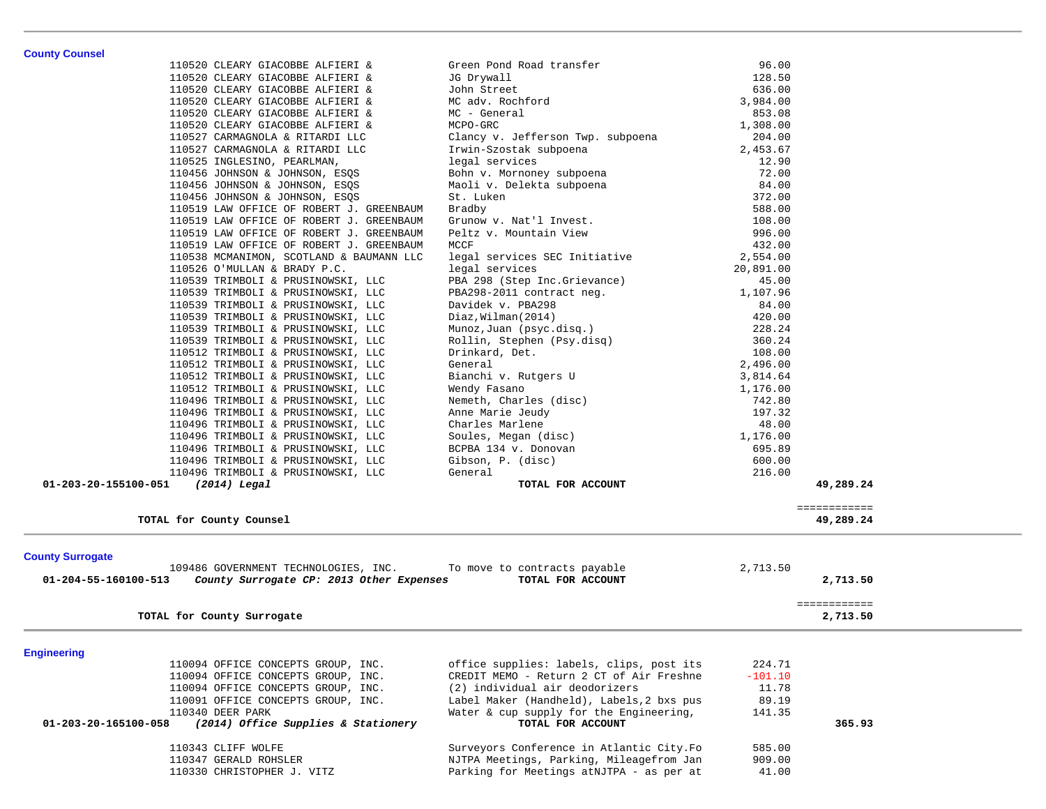| <b>County Counsel</b>   | 110520 CLEARY GIACOBBE ALFIERI &                                         | Green Pond Road transfer                                     | 96.00             |              |
|-------------------------|--------------------------------------------------------------------------|--------------------------------------------------------------|-------------------|--------------|
|                         | 110520 CLEARY GIACOBBE ALFIERI &                                         | JG Drywall                                                   | 128.50            |              |
|                         | 110520 CLEARY GIACOBBE ALFIERI &                                         | John Street                                                  | 636.00            |              |
|                         | 110520 CLEARY GIACOBBE ALFIERI &                                         | MC adv. Rochford                                             | 3,984.00          |              |
|                         | 110520 CLEARY GIACOBBE ALFIERI &                                         | MC - General                                                 | 853.08            |              |
|                         | 110520 CLEARY GIACOBBE ALFIERI &                                         | MCPO-GRC                                                     | 1,308.00          |              |
|                         | 110527 CARMAGNOLA & RITARDI LLC                                          | Clancy v. Jefferson Twp. subpoena                            | 204.00            |              |
|                         | 110527 CARMAGNOLA & RITARDI LLC                                          | Irwin-Szostak subpoena                                       | 2,453.67          |              |
|                         | 110525 INGLESINO, PEARLMAN,                                              | legal services                                               | 12.90             |              |
|                         | 110456 JOHNSON & JOHNSON, ESQS                                           | Bohn v. Mornoney subpoena                                    | 72.00             |              |
|                         | 110456 JOHNSON & JOHNSON, ESQS                                           | Maoli v. Delekta subpoena                                    | 84.00             |              |
|                         | 110456 JOHNSON & JOHNSON, ESQS                                           | St. Luken                                                    | 372.00            |              |
|                         | 110519 LAW OFFICE OF ROBERT J. GREENBAUM                                 | Bradby                                                       | 588.00            |              |
|                         | 110519 LAW OFFICE OF ROBERT J. GREENBAUM                                 | Grunow v. Nat'l Invest.                                      | 108.00            |              |
|                         | 110519 LAW OFFICE OF ROBERT J. GREENBAUM                                 | Peltz v. Mountain View                                       | 996.00            |              |
|                         | 110519 LAW OFFICE OF ROBERT J. GREENBAUM                                 | MCCF                                                         | 432.00            |              |
|                         | 110538 MCMANIMON, SCOTLAND & BAUMANN LLC                                 | legal services SEC Initiative                                | 2,554.00          |              |
|                         | 110526 O'MULLAN & BRADY P.C.                                             | legal services                                               | 20,891.00         |              |
|                         | 110539 TRIMBOLI & PRUSINOWSKI, LLC                                       | PBA 298 (Step Inc.Grievance)                                 | 45.00             |              |
|                         | 110539 TRIMBOLI & PRUSINOWSKI, LLC                                       | PBA298-2011 contract neg.<br>Davidek v. PBA298               | 1,107.96<br>84.00 |              |
|                         | 110539 TRIMBOLI & PRUSINOWSKI, LLC                                       |                                                              |                   |              |
|                         | 110539 TRIMBOLI & PRUSINOWSKI, LLC                                       | Diaz, Wilman (2014)                                          | 420.00            |              |
|                         | 110539 TRIMBOLI & PRUSINOWSKI, LLC<br>110539 TRIMBOLI & PRUSINOWSKI, LLC | Munoz,Juan (psyc.disq.)<br>Rollin, Stephen (Psy.disq)        | 228.24<br>360.24  |              |
|                         | 110512 TRIMBOLI & PRUSINOWSKI, LLC                                       | Drinkard, Det.                                               | 108.00            |              |
|                         | 110512 TRIMBOLI & PRUSINOWSKI, LLC                                       | General                                                      | 2,496.00          |              |
|                         | 110512 TRIMBOLI & PRUSINOWSKI, LLC                                       | Bianchi v. Rutgers U                                         | 3,814.64          |              |
|                         | 110512 TRIMBOLI & PRUSINOWSKI, LLC                                       | Wendy Fasano                                                 | 1,176.00          |              |
|                         | 110496 TRIMBOLI & PRUSINOWSKI, LLC                                       | Nemeth, Charles (disc)                                       | 742.80            |              |
|                         | 110496 TRIMBOLI & PRUSINOWSKI, LLC                                       | Anne Marie Jeudy                                             | 197.32            |              |
|                         | 110496 TRIMBOLI & PRUSINOWSKI, LLC                                       | Charles Marlene                                              | 48.00             |              |
|                         | 110496 TRIMBOLI & PRUSINOWSKI, LLC                                       | Soules, Megan (disc)                                         | 1,176.00          |              |
|                         | 110496 TRIMBOLI & PRUSINOWSKI, LLC                                       | BCPBA 134 v. Donovan                                         | 695.89            |              |
|                         | 110496 TRIMBOLI & PRUSINOWSKI, LLC                                       | Gibson, P. (disc)                                            | 600.00            |              |
|                         | 110496 TRIMBOLI & PRUSINOWSKI, LLC                                       | General                                                      | 216.00            |              |
| 01-203-20-155100-051    | (2014) Legal                                                             | TOTAL FOR ACCOUNT                                            |                   | 49,289.24    |
|                         |                                                                          |                                                              |                   | ============ |
|                         | TOTAL for County Counsel                                                 |                                                              |                   | 49,289.24    |
| <b>County Surrogate</b> |                                                                          |                                                              |                   |              |
|                         | 109486 GOVERNMENT TECHNOLOGIES, INC.                                     | To move to contracts payable                                 | 2,713.50          |              |
| 01-204-55-160100-513    | County Surrogate CP: 2013 Other Expenses                                 | TOTAL FOR ACCOUNT                                            |                   | 2,713.50     |
|                         |                                                                          |                                                              |                   | ============ |
|                         | TOTAL for County Surrogate                                               |                                                              |                   | 2,713.50     |
|                         |                                                                          |                                                              |                   |              |
| <b>Engineering</b>      |                                                                          |                                                              |                   |              |
|                         | 110094 OFFICE CONCEPTS GROUP, INC.                                       | office supplies: labels, clips, post its                     | 224.71            |              |
|                         | 110094 OFFICE CONCEPTS GROUP, INC.                                       | CREDIT MEMO - Return 2 CT of Air Freshne                     | $-101.10$         |              |
|                         | 110094 OFFICE CONCEPTS GROUP, INC.                                       | (2) individual air deodorizers                               | 11.78             |              |
|                         | 110091 OFFICE CONCEPTS GROUP, INC.<br>110340 DEER PARK                   | Label Maker (Handheld), Labels, 2 bxs pus                    | 89.19             |              |
| 01-203-20-165100-058    | (2014) Office Supplies & Stationery                                      | Water & cup supply for the Engineering,<br>TOTAL FOR ACCOUNT | 141.35            | 365.93       |
|                         |                                                                          |                                                              |                   |              |
|                         | 110343 CLIFF WOLFE                                                       | Surveyors Conference in Atlantic City. Fo                    | 585.00            |              |
|                         | 110347 GERALD ROHSLER                                                    | NJTPA Meetings, Parking, Mileagefrom Jan                     | 909.00            |              |
|                         | 110330 CHRISTOPHER J. VITZ                                               | Parking for Meetings atNJTPA - as per at                     | 41.00             |              |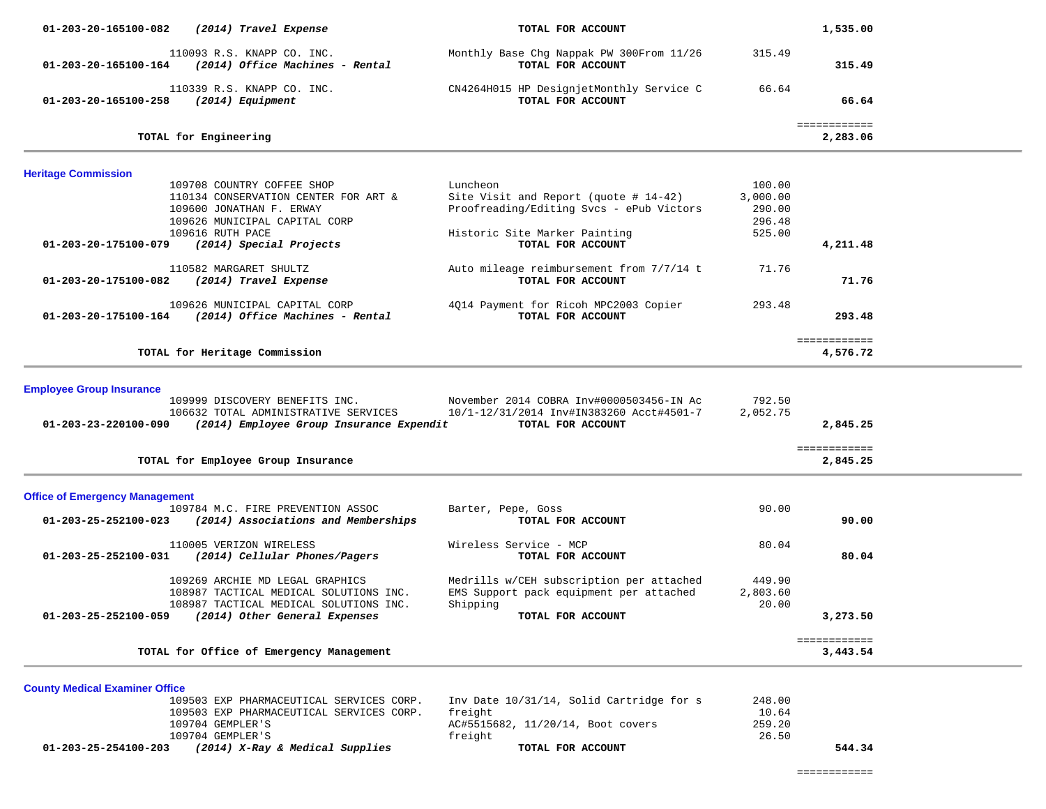| 01-203-20-165100-082                                    | (2014) Travel Expense                                                                                                                                                          | TOTAL FOR ACCOUNT                                                                                                                                      |                                                  | 1,535.00                 |
|---------------------------------------------------------|--------------------------------------------------------------------------------------------------------------------------------------------------------------------------------|--------------------------------------------------------------------------------------------------------------------------------------------------------|--------------------------------------------------|--------------------------|
| 01-203-20-165100-164                                    | 110093 R.S. KNAPP CO. INC.<br>(2014) Office Machines - Rental                                                                                                                  | Monthly Base Chg Nappak PW 300From 11/26<br>TOTAL FOR ACCOUNT                                                                                          | 315.49                                           | 315.49                   |
| 01-203-20-165100-258                                    | 110339 R.S. KNAPP CO. INC.<br>(2014) Equipment                                                                                                                                 | CN4264H015 HP DesignjetMonthly Service C<br>TOTAL FOR ACCOUNT                                                                                          | 66.64                                            | 66.64                    |
|                                                         | TOTAL for Engineering                                                                                                                                                          |                                                                                                                                                        |                                                  | ============<br>2,283.06 |
| <b>Heritage Commission</b>                              |                                                                                                                                                                                |                                                                                                                                                        |                                                  |                          |
| 01-203-20-175100-079                                    | 109708 COUNTRY COFFEE SHOP<br>110134 CONSERVATION CENTER FOR ART &<br>109600 JONATHAN F. ERWAY<br>109626 MUNICIPAL CAPITAL CORP<br>109616 RUTH PACE<br>(2014) Special Projects | Luncheon<br>Site Visit and Report (quote $# 14-42$ )<br>Proofreading/Editing Svcs - ePub Victors<br>Historic Site Marker Painting<br>TOTAL FOR ACCOUNT | 100.00<br>3,000.00<br>290.00<br>296.48<br>525.00 | 4,211.48                 |
| 01-203-20-175100-082                                    | 110582 MARGARET SHULTZ<br>(2014) Travel Expense                                                                                                                                | Auto mileage reimbursement from 7/7/14 t<br>TOTAL FOR ACCOUNT                                                                                          | 71.76                                            | 71.76                    |
| 01-203-20-175100-164                                    | 109626 MUNICIPAL CAPITAL CORP<br>(2014) Office Machines - Rental                                                                                                               | 4Q14 Payment for Ricoh MPC2003 Copier<br>TOTAL FOR ACCOUNT                                                                                             | 293.48                                           | 293.48                   |
|                                                         | TOTAL for Heritage Commission                                                                                                                                                  |                                                                                                                                                        |                                                  | ============<br>4,576.72 |
| <b>Employee Group Insurance</b><br>01-203-23-220100-090 | 109999 DISCOVERY BENEFITS INC.<br>106632 TOTAL ADMINISTRATIVE SERVICES<br>(2014) Employee Group Insurance Expendit                                                             | November 2014 COBRA Inv#0000503456-IN Ac<br>10/1-12/31/2014 Inv#IN383260 Acct#4501-7<br>TOTAL FOR ACCOUNT                                              | 792.50<br>2,052.75                               | 2,845.25                 |
|                                                         | TOTAL for Employee Group Insurance                                                                                                                                             |                                                                                                                                                        |                                                  | ============<br>2,845.25 |
| <b>Office of Emergency Management</b>                   |                                                                                                                                                                                |                                                                                                                                                        |                                                  |                          |
| 01-203-25-252100-023                                    | 109784 M.C. FIRE PREVENTION ASSOC<br>(2014) Associations and Memberships                                                                                                       | Barter, Pepe, Goss<br>TOTAL FOR ACCOUNT                                                                                                                | 90.00                                            | 90.00                    |
| 01-203-25-252100-031                                    | 110005 VERIZON WIRELESS<br>(2014) Cellular Phones/Pagers                                                                                                                       | Wireless Service - MCP<br>TOTAL FOR ACCOUNT                                                                                                            | 80.04                                            | 80.04                    |
| 01-203-25-252100-059                                    | 109269 ARCHIE MD LEGAL GRAPHICS<br>108987 TACTICAL MEDICAL SOLUTIONS INC.<br>108987 TACTICAL MEDICAL SOLUTIONS INC.<br>(2014) Other General Expenses                           | Medrills w/CEH subscription per attached<br>EMS Support pack equipment per attached<br>Shipping<br>TOTAL FOR ACCOUNT                                   | 449.90<br>2,803.60<br>20.00                      | 3,273.50                 |
|                                                         | TOTAL for Office of Emergency Management                                                                                                                                       |                                                                                                                                                        |                                                  | ============<br>3,443.54 |
| <b>County Medical Examiner Office</b>                   | 109503 EXP PHARMACEUTICAL SERVICES CORP.                                                                                                                                       | Inv Date 10/31/14, Solid Cartridge for s                                                                                                               | 248.00                                           |                          |

| 01-203-25-254100-203 | (2014) X-Ray & Medical Supplies          | TOTAL FOR ACCOUNT                 | 544.34 |
|----------------------|------------------------------------------|-----------------------------------|--------|
|                      | 109704 GEMPLER'S                         | freight                           | 26.50  |
|                      | 109704 GEMPLER'S                         | AC#5515682, 11/20/14, Boot covers | 259.20 |
|                      | 109503 EXP PHARMACEUTICAL SERVICES CORP. | freight                           | 10.64  |
|                      |                                          |                                   |        |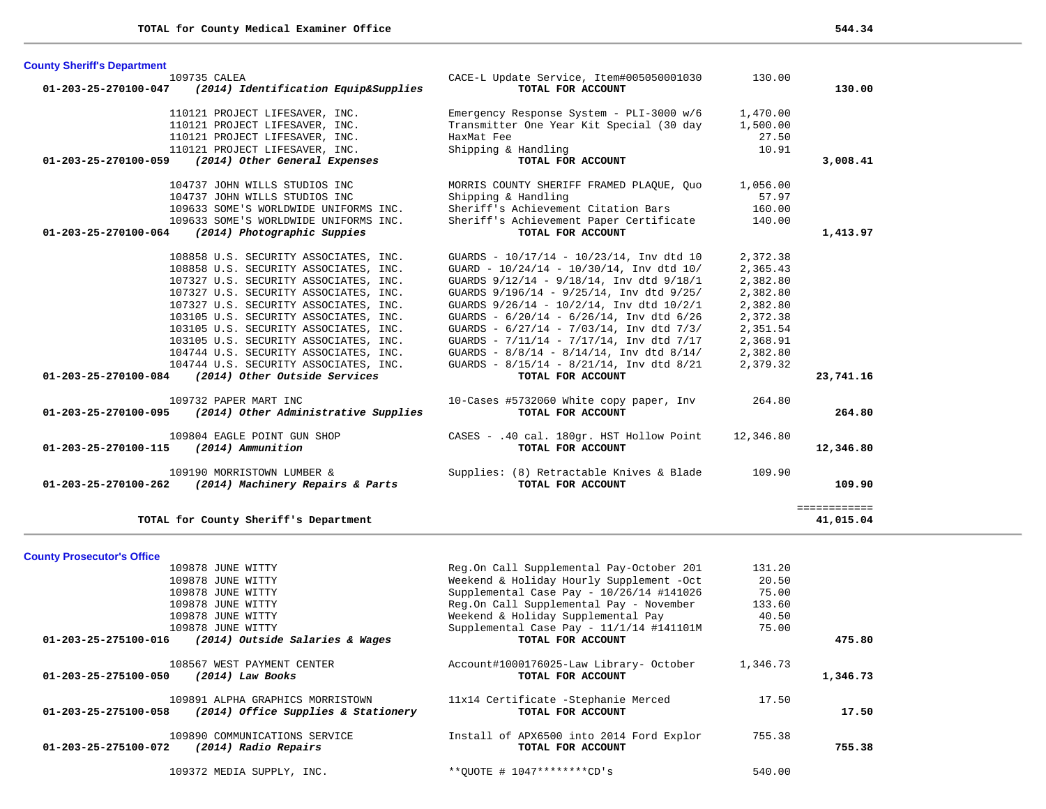**County Prosecutor's Office**

| <b>County Sheriff's Department</b>                 |                                       |                                                   |           |              |
|----------------------------------------------------|---------------------------------------|---------------------------------------------------|-----------|--------------|
| 109735 CALEA                                       |                                       | CACE-L Update Service, Item#005050001030          | 130.00    |              |
| 01-203-25-270100-047                               | (2014) Identification Equip&Supplies  | TOTAL FOR ACCOUNT                                 |           | 130.00       |
|                                                    | 110121 PROJECT LIFESAVER, INC.        | Emergency Response System - PLI-3000 w/6          | 1,470.00  |              |
|                                                    | 110121 PROJECT LIFESAVER, INC.        | Transmitter One Year Kit Special (30 day          | 1,500.00  |              |
|                                                    | 110121 PROJECT LIFESAVER, INC.        | HaxMat Fee                                        | 27.50     |              |
|                                                    | 110121 PROJECT LIFESAVER, INC.        | Shipping & Handling                               | 10.91     |              |
| 01-203-25-270100-059                               | (2014) Other General Expenses         | TOTAL FOR ACCOUNT                                 |           | 3,008.41     |
|                                                    | 104737 JOHN WILLS STUDIOS INC         | MORRIS COUNTY SHERIFF FRAMED PLAQUE, Quo          | 1,056.00  |              |
|                                                    | 104737 JOHN WILLS STUDIOS INC         | Shipping & Handling                               | 57.97     |              |
|                                                    | 109633 SOME'S WORLDWIDE UNIFORMS INC. | Sheriff's Achievement Citation Bars               | 160.00    |              |
|                                                    | 109633 SOME'S WORLDWIDE UNIFORMS INC. | Sheriff's Achievement Paper Certificate           | 140.00    |              |
| 01-203-25-270100-064                               | (2014) Photographic Suppies           | TOTAL FOR ACCOUNT                                 |           | 1,413.97     |
|                                                    | 108858 U.S. SECURITY ASSOCIATES, INC. | GUARDS - $10/17/14$ - $10/23/14$ , Inv dtd 10     | 2,372.38  |              |
|                                                    | 108858 U.S. SECURITY ASSOCIATES, INC. | GUARD - $10/24/14$ - $10/30/14$ , Inv dtd $10/$   | 2,365.43  |              |
|                                                    | 107327 U.S. SECURITY ASSOCIATES, INC. | GUARDS 9/12/14 - 9/18/14, Inv dtd 9/18/1          | 2,382.80  |              |
|                                                    | 107327 U.S. SECURITY ASSOCIATES, INC. | GUARDS 9/196/14 - 9/25/14, Inv dtd 9/25/          | 2,382.80  |              |
|                                                    | 107327 U.S. SECURITY ASSOCIATES, INC. | GUARDS 9/26/14 - 10/2/14, Inv dtd 10/2/1          | 2,382.80  |              |
|                                                    | 103105 U.S. SECURITY ASSOCIATES, INC. | GUARDS - 6/20/14 - 6/26/14, Inv dtd 6/26          | 2,372.38  |              |
|                                                    | 103105 U.S. SECURITY ASSOCIATES, INC. | GUARDS - $6/27/14$ - $7/03/14$ , Inv dtd $7/3/14$ | 2,351.54  |              |
|                                                    | 103105 U.S. SECURITY ASSOCIATES, INC. | GUARDS - $7/11/14$ - $7/17/14$ , Inv dtd $7/17$   | 2,368.91  |              |
|                                                    | 104744 U.S. SECURITY ASSOCIATES, INC. | GUARDS - $8/8/14$ - $8/14/14$ , Inv dtd $8/14/$   | 2,382.80  |              |
|                                                    | 104744 U.S. SECURITY ASSOCIATES, INC. | GUARDS - 8/15/14 - 8/21/14, Inv dtd 8/21          | 2,379.32  |              |
| 01-203-25-270100-084 (2014) Other Outside Services |                                       | TOTAL FOR ACCOUNT                                 |           | 23,741.16    |
|                                                    | 109732 PAPER MART INC                 | 10-Cases #5732060 White copy paper, Inv           | 264.80    |              |
| 01-203-25-270100-095                               | (2014) Other Administrative Supplies  | TOTAL FOR ACCOUNT                                 |           | 264.80       |
|                                                    | 109804 EAGLE POINT GUN SHOP           | CASES - .40 cal. 180gr. HST Hollow Point          | 12,346.80 |              |
| 01-203-25-270100-115                               | (2014) Ammunition                     | TOTAL FOR ACCOUNT                                 |           | 12,346.80    |
|                                                    | 109190 MORRISTOWN LUMBER &            | Supplies: (8) Retractable Knives & Blade          | 109.90    |              |
| 01-203-25-270100-262                               | (2014) Machinery Repairs & Parts      | TOTAL FOR ACCOUNT                                 |           | 109.90       |
|                                                    |                                       |                                                   |           | ============ |
|                                                    | TOTAL for County Sheriff's Department |                                                   |           | 41,015.04    |

 109878 JUNE WITTY Reg.On Call Supplemental Pay-October 201 131.20 109878 JUNE WITTY Weekend & Holiday Hourly Supplement -Oct 20.50 109878 JUNE WITTY Supplemental Case Pay - 10/26/14 #141026 75.00 109878 JUNE WITTY Reg.On Call Supplemental Pay - November 133.60 109878 JUNE WITTY Weekend & Holiday Supplemental Pay 40.50 109878 JUNE WITTY Supplemental Case Pay - 11/1/14 #141101M 75.00  **01-203-25-275100-016** *(2014) Outside Salaries & Wages* **TOTAL FOR ACCOUNT 475.80** 108567 WEST PAYMENT CENTER Account#1000176025-Law Library- October 1,346.73  **01-203-25-275100-050** *(2014) Law Books* **TOTAL FOR ACCOUNT 1,346.73** 109891 ALPHA GRAPHICS MORRISTOWN 11x14 Certificate -Stephanie Merced 17.50  **01-203-25-275100-058** *(2014) Office Supplies & Stationery* **TOTAL FOR ACCOUNT 17.50** 109890 COMMUNICATIONS SERVICE Install of APX6500 into 2014 Ford Explor 755.38  **01-203-25-275100-072** *(2014) Radio Repairs* **TOTAL FOR ACCOUNT 755.38** 109372 MEDIA SUPPLY, INC. \*\*QUOTE # 1047\*\*\*\*\*\*\*\*CD's 540.00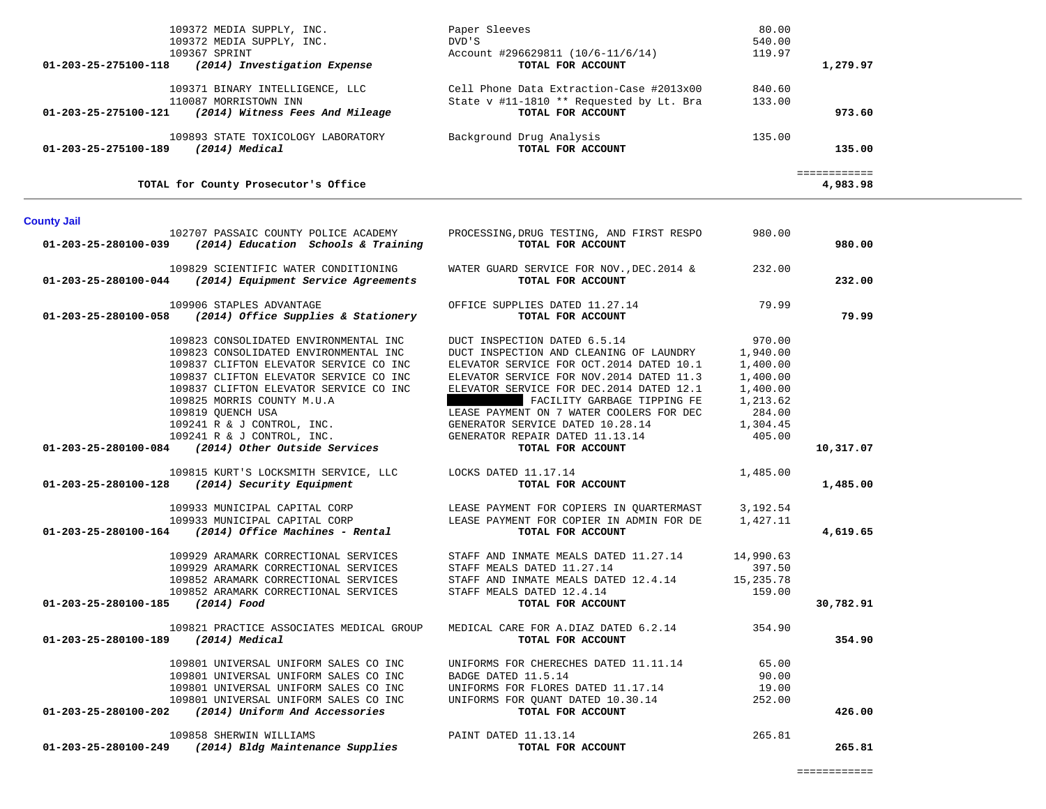| (2014) Medical<br>01-203-25-275100-189                  | TOTAL FOR ACCOUNT                        |        | 135.00<br>----------- |
|---------------------------------------------------------|------------------------------------------|--------|-----------------------|
| 109893 STATE TOXICOLOGY LABORATORY                      | Background Drug Analysis                 | 135.00 |                       |
| 01-203-25-275100-121<br>(2014) Witness Fees And Mileage | TOTAL FOR ACCOUNT                        |        | 973.60                |
| 110087 MORRISTOWN INN                                   | State v #11-1810 ** Requested by Lt. Bra | 133.00 |                       |
| 109371 BINARY INTELLIGENCE, LLC                         | Cell Phone Data Extraction-Case #2013x00 | 840.60 |                       |
| 01-203-25-275100-118<br>(2014) Investigation Expense    | TOTAL FOR ACCOUNT                        |        | 1,279.97              |
| 109367 SPRINT                                           | Account #296629811 (10/6-11/6/14)        | 119.97 |                       |
| 109372 MEDIA SUPPLY, INC.                               | DVD'S                                    | 540.00 |                       |
| 109372 MEDIA SUPPLY, INC.                               | Paper Sleeves                            | 80.00  |                       |

| <b>County Jail</b>                  |                                                                                                    |                                                                                                     |          |           |
|-------------------------------------|----------------------------------------------------------------------------------------------------|-----------------------------------------------------------------------------------------------------|----------|-----------|
|                                     | $01-203-25-280100-039$ (2014) Education Schools & Training                                         | 102707 PASSAIC COUNTY POLICE ACADEMY TROCESSING, DRUG TESTING, AND FIRST RESPO<br>TOTAL FOR ACCOUNT | 980.00   | 980.00    |
|                                     | 109829 SCIENTIFIC WATER CONDITIONING<br>$01-203-25-280100-044$ (2014) Equipment Service Agreements | WATER GUARD SERVICE FOR NOV., DEC. $2014 \& 232.00$<br>TOTAL FOR ACCOUNT                            |          | 232.00    |
|                                     | 109906 STAPLES ADVANTAGE<br>$01-203-25-280100-058$ (2014) Office Supplies & Stationery             | OFFICE SUPPLIES DATED 11.27.14 79.99<br>TOTAL FOR ACCOUNT                                           |          | 79.99     |
|                                     | 109823 CONSOLIDATED ENVIRONMENTAL INC                                                              | DUCT INSPECTION DATED 6.5.14                                                                        | 970.00   |           |
|                                     | 109823 CONSOLIDATED ENVIRONMENTAL INC                                                              | DUCT INSPECTION AND CLEANING OF LAUNDRY                                                             | 1,940.00 |           |
|                                     | 109837 CLIFTON ELEVATOR SERVICE CO INC                                                             | ELEVATOR SERVICE FOR OCT. 2014 DATED 10.1                                                           | 1,400.00 |           |
|                                     | 109837 CLIFTON ELEVATOR SERVICE CO INC                                                             | ELEVATOR SERVICE FOR NOV. 2014 DATED 11.3                                                           | 1,400.00 |           |
|                                     | 109837 CLIFTON ELEVATOR SERVICE CO INC                                                             | ELEVATOR SERVICE FOR DEC. 2014 DATED 12.1                                                           | 1,400.00 |           |
|                                     | 109825 MORRIS COUNTY M.U.A                                                                         | FACILITY GARBAGE TIPPING FE                                                                         | 1,213.62 |           |
|                                     | 109819 OUENCH USA                                                                                  | LEASE PAYMENT ON 7 WATER COOLERS FOR DEC                                                            | 284.00   |           |
|                                     | $109241$ R & J CONTROL, INC.                                                                       | GENERATOR SERVICE DATED 10.28.14                                                                    | 1,304.45 |           |
|                                     |                                                                                                    | GENERATOR REPAIR DATED 11.13.14                                                                     | 405.00   |           |
|                                     | $109241 R & J CONTROL, INC.$ 01-203-25-280100-084 (2014) Other Outside Services                    | TOTAL FOR ACCOUNT                                                                                   |          | 10,317.07 |
|                                     |                                                                                                    |                                                                                                     | 1,485.00 |           |
|                                     | 01-203-25-280100-128 (2014) Security Equipment                                                     |                                                                                                     |          | 1,485.00  |
|                                     |                                                                                                    | 109933 MUNICIPAL CAPITAL CORP LEASE PAYMENT FOR COPIERS IN QUARTERMAST 3,192.54                     |          |           |
|                                     | 109933 MUNICIPAL CAPITAL CORP                                                                      | LEASE PAYMENT FOR COPIER IN ADMIN FOR DE 1,427.11                                                   |          |           |
|                                     | $01-203-25-280100-164$ (2014) Office Machines - Rental                                             | TOTAL FOR ACCOUNT                                                                                   |          | 4,619.65  |
|                                     | 109929 ARAMARK CORRECTIONAL SERVICES                                                               | STAFF AND INMATE MEALS DATED 11.27.14 14,990.63                                                     |          |           |
|                                     | 109929 ARAMARK CORRECTIONAL SERVICES                                                               | STAFF MEALS DATED 11.27.14                                                                          | 397.50   |           |
|                                     | 109852 ARAMARK CORRECTIONAL SERVICES                                                               | STAFF AND INMATE MEALS DATED 12.4.14 15,235.78                                                      |          |           |
|                                     | 109852 ARAMARK CORRECTIONAL SERVICES                                                               | STAFF MEALS DATED 12.4.14<br><b>TOTAL FOR ACCOUNT</b>                                               | 159.00   |           |
| 01-203-25-280100-185 (2014) Food    |                                                                                                    |                                                                                                     |          | 30,782.91 |
|                                     | 109821 PRACTICE ASSOCIATES MEDICAL GROUP                                                           | MEDICAL CARE FOR A.DIAZ DATED 6.2.14 354.90                                                         |          |           |
| 01-203-25-280100-189 (2014) Medical |                                                                                                    | TOTAL FOR ACCOUNT                                                                                   |          | 354.90    |
|                                     | 109801 UNIVERSAL UNIFORM SALES CO INC                                                              | UNIFORMS FOR CHERECHES DATED 11.11.14 65.00                                                         |          |           |
|                                     | 109801 UNIVERSAL UNIFORM SALES CO INC                                                              | BADGE DATED 11.5.14                                                                                 | 90.00    |           |
|                                     | 109801 UNIVERSAL UNIFORM SALES CO INC                                                              | UNIFORMS FOR FLORES DATED 11.17.14 19.00                                                            |          |           |
|                                     | 109801 UNIVERSAL UNIFORM SALES CO INC                                                              | UNIFORMS FOR QUANT DATED 10.30.14                                                                   | 252.00   |           |
| 01-203-25-280100-202                | (2014) Uniform And Accessories                                                                     | TOTAL FOR ACCOUNT                                                                                   |          | 426.00    |

 109858 SHERWIN WILLIAMS PAINT DATED 11.13.14 265.81  **01-203-25-280100-249** *(2014) Bldg Maintenance Supplies* **TOTAL FOR ACCOUNT 265.81**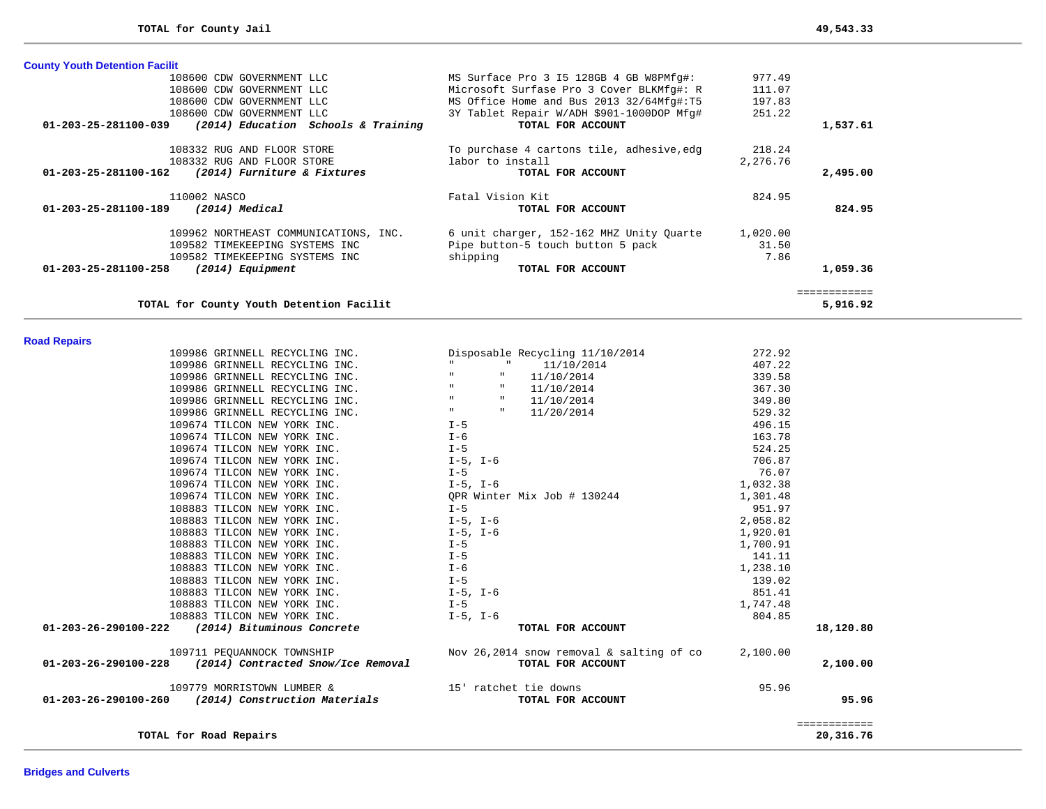**TOTAL for County Youth Detention Facilit 5,916.92**

| <b>County Youth Detention Facilit</b>                                 |                                           |          |          |
|-----------------------------------------------------------------------|-------------------------------------------|----------|----------|
| 108600 CDW GOVERNMENT LLC                                             | MS Surface Pro 3 I5 128GB 4 GB W8PMfg#:   | 977.49   |          |
| 108600 CDW GOVERNMENT LLC                                             | Microsoft Surfase Pro 3 Cover BLKMfg#: R  | 111.07   |          |
| 108600 CDW GOVERNMENT LLC                                             | MS Office Home and Bus 2013 32/64Mfq#:T5  | 197.83   |          |
| 108600 CDW GOVERNMENT LLC                                             | 3Y Tablet Repair W/ADH \$901-1000DOP Mfg# | 251.22   |          |
| (2014) Education Schools & Training<br>$01 - 203 - 25 - 281100 - 039$ | TOTAL FOR ACCOUNT                         |          | 1,537.61 |
| 108332 RUG AND FLOOR STORE                                            | To purchase 4 cartons tile, adhesive, edg | 218.24   |          |
| 108332 RUG AND FLOOR STORE                                            | labor to install                          | 2,276.76 |          |
| (2014) Furniture & Fixtures<br>01-203-25-281100-162                   | TOTAL FOR ACCOUNT                         |          | 2,495.00 |
| 110002 NASCO                                                          | Fatal Vision Kit                          | 824.95   |          |
| 01-203-25-281100-189<br>$(2014)$ Medical                              | TOTAL FOR ACCOUNT                         |          | 824.95   |
| 109962 NORTHEAST COMMUNICATIONS, INC.                                 | 6 unit charger, 152-162 MHZ Unity Quarte  | 1,020.00 |          |
| 109582 TIMEKEEPING SYSTEMS INC                                        | Pipe button-5 touch button 5 pack         | 31.50    |          |
| 109582 TIMEKEEPING SYSTEMS INC                                        | shipping                                  | 7.86     |          |
| $01 - 203 - 25 - 281100 - 258$<br>(2014) Equipment                    | TOTAL FOR ACCOUNT                         |          | 1,059.36 |
|                                                                       |                                           |          |          |
| TOTAL for County Youth Detention Facilit                              |                                           |          | 5,916.92 |

## **Road Repairs**

| 109986 GRINNELL RECYCLING INC.                            | Disposable Recycling 11/10/2014                                                              | 272.92       |
|-----------------------------------------------------------|----------------------------------------------------------------------------------------------|--------------|
| 109986 GRINNELL RECYCLING INC.                            | <b>ILLUSTRATION</b><br>$"$ 11/10/2014                                                        | 407.22       |
| 109986 GRINNELL RECYCLING INC.                            | $\mathbf{H}$ .<br>11/10/2014                                                                 | 339.58       |
| 109986 GRINNELL RECYCLING INC.                            | $\mathbf{H}$<br><b>H</b> and the state of<br>11/10/2014                                      | 367.30       |
| 109986 GRINNELL RECYCLING INC.                            | <b>Hart Committee</b><br>$\mathbf{H}$<br>11/10/2014                                          | 349.80       |
| 109986 GRINNELL RECYCLING INC.                            | $\mathbf{u} = \mathbf{u} \mathbf{u}$ . The set of $\mathbf{u}$<br>$\mathbf{H}$<br>11/20/2014 | 529.32       |
| 109674 TILCON NEW YORK INC.<br>$I-5$                      |                                                                                              | 496.15       |
| 109674 TILCON NEW YORK INC.                               | $I-6$                                                                                        | 163.78       |
| 109674 TILCON NEW YORK INC.                               | $I - 5$                                                                                      | 524.25       |
| 109674 TILCON NEW YORK INC.                               | I-5, I-6                                                                                     | 706.87       |
| 109674 TILCON NEW YORK INC.                               | $I-5$                                                                                        | 76.07        |
| 109674 TILCON NEW YORK INC.                               | $I-5$ , $I-6$                                                                                | 1,032.38     |
| 109674 TILCON NEW YORK INC.                               | QPR Winter Mix Job # 130244                                                                  | 1,301.48     |
| 108883 TILCON NEW YORK INC.<br>$I - 5$                    |                                                                                              | 951.97       |
| 108883 TILCON NEW YORK INC.                               | $I-5$ , $I-6$                                                                                | 2,058.82     |
| 108883 TILCON NEW YORK INC.                               | $I-5$ , $I-6$                                                                                | 1,920.01     |
| 108883 TILCON NEW YORK INC.<br>$I-5$                      |                                                                                              | 1,700.91     |
| 108883 TILCON NEW YORK INC.<br>$I - 5$                    |                                                                                              | 141.11       |
| $I - 6$<br>108883 TILCON NEW YORK INC.                    |                                                                                              | 1,238.10     |
| 108883 TILCON NEW YORK INC.                               | $I-5$                                                                                        | 139.02       |
| 108883 TILCON NEW YORK INC.                               | $I-5$ , $I-6$                                                                                | 851.41       |
| 108883 TILCON NEW YORK INC.<br>$I - 5$                    |                                                                                              | 1,747.48     |
| 108883 TILCON NEW YORK INC.                               | $I-5$ , $I-6$                                                                                | 804.85       |
| $01 - 203 - 26 - 290100 - 222$ (2014) Bituminous Concrete | TOTAL FOR ACCOUNT                                                                            | 18,120.80    |
|                                                           | 109711 PEQUANNOCK TOWNSHIP Nov 26, 2014 snow removal & salting of co 2, 100.00               |              |
| 01-203-26-290100-228 (2014) Contracted Snow/Ice Removal   | TOTAL FOR ACCOUNT                                                                            | 2,100.00     |
| 109779 MORRISTOWN LUMBER &                                | 15' ratchet tie downs                                                                        | 95.96        |
| 01-203-26-290100-260 (2014) Construction Materials        | TOTAL FOR ACCOUNT                                                                            | 95.96        |
|                                                           |                                                                                              | ============ |
| TOTAL for Road Repairs                                    |                                                                                              | 20,316.76    |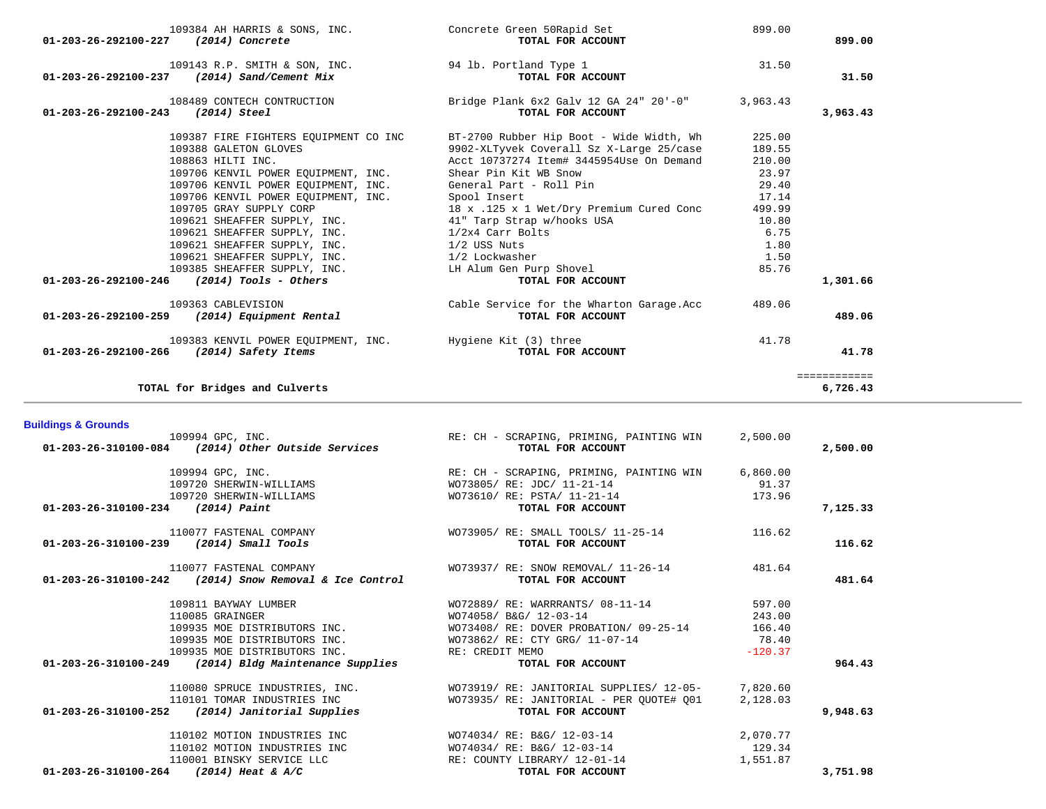| 109384 AH HARRIS & SONS, INC.<br>01-203-26-292100-227<br>(2014) Concrete                                                                                                                                                                                                                            | Concrete Green 50Rapid Set<br>TOTAL FOR ACCOUNT                                                                                                                                                                                                                                                    | 899.00                                                                           | 899.00                   |
|-----------------------------------------------------------------------------------------------------------------------------------------------------------------------------------------------------------------------------------------------------------------------------------------------------|----------------------------------------------------------------------------------------------------------------------------------------------------------------------------------------------------------------------------------------------------------------------------------------------------|----------------------------------------------------------------------------------|--------------------------|
| 109143 R.P. SMITH & SON, INC.<br>01-203-26-292100-237 (2014) Sand/Cement Mix                                                                                                                                                                                                                        | 94 lb. Portland Type 1<br>TOTAL FOR ACCOUNT                                                                                                                                                                                                                                                        | 31.50                                                                            | 31.50                    |
| 108489 CONTECH CONTRUCTION<br>01-203-26-292100-243<br>(2014) Steel                                                                                                                                                                                                                                  | Bridge Plank 6x2 Galv 12 GA 24" 20'-0"<br>TOTAL FOR ACCOUNT                                                                                                                                                                                                                                        | 3,963.43                                                                         | 3,963.43                 |
| 109387 FIRE FIGHTERS EQUIPMENT CO INC<br>109388 GALETON GLOVES<br>108863 HILTI INC.<br>109706 KENVIL POWER EQUIPMENT, INC.<br>109706 KENVIL POWER EOUIPMENT, INC.<br>109706 KENVIL POWER EQUIPMENT, INC.<br>109705 GRAY SUPPLY CORP<br>109621 SHEAFFER SUPPLY, INC.<br>109621 SHEAFFER SUPPLY, INC. | BT-2700 Rubber Hip Boot - Wide Width, Wh<br>9902-XLTyvek Coverall Sz X-Large 25/case<br>Acct 10737274 Item# 3445954Use On Demand<br>Shear Pin Kit WB Snow<br>General Part - Roll Pin<br>Spool Insert<br>18 x .125 x 1 Wet/Dry Premium Cured Conc<br>41" Tarp Strap w/hooks USA<br>1/2x4 Carr Bolts | 225.00<br>189.55<br>210.00<br>23.97<br>29.40<br>17.14<br>499.99<br>10.80<br>6.75 |                          |
| 109621 SHEAFFER SUPPLY, INC.<br>109621 SHEAFFER SUPPLY, INC.<br>109385 SHEAFFER SUPPLY, INC.<br>$(2014)$ Tools - Others<br>01-203-26-292100-246                                                                                                                                                     | 1/2 USS Nuts<br>1/2 Lockwasher<br>LH Alum Gen Purp Shovel<br>TOTAL FOR ACCOUNT                                                                                                                                                                                                                     | 1.80<br>1.50<br>85.76                                                            | 1,301.66                 |
| 109363 CABLEVISION<br>(2014) Equipment Rental<br>01-203-26-292100-259                                                                                                                                                                                                                               | Cable Service for the Wharton Garage.Acc<br>TOTAL FOR ACCOUNT                                                                                                                                                                                                                                      | 489.06                                                                           | 489.06                   |
| 01-203-26-292100-266 (2014) Safety Items                                                                                                                                                                                                                                                            | 109383 KENVIL POWER EQUIPMENT, INC. Hygiene Kit (3) three<br>TOTAL FOR ACCOUNT                                                                                                                                                                                                                     | 41.78                                                                            | 41.78                    |
| TOTAL for Bridges and Culverts                                                                                                                                                                                                                                                                      |                                                                                                                                                                                                                                                                                                    |                                                                                  | ============<br>6,726.43 |
| <b>Buildings &amp; Grounds</b><br>109994 GPC, INC.<br>(2014) Other Outside Services<br>01-203-26-310100-084                                                                                                                                                                                         | RE: CH - SCRAPING, PRIMING, PAINTING WIN<br>TOTAL FOR ACCOUNT                                                                                                                                                                                                                                      | 2,500.00                                                                         | 2,500.00                 |
| 109994 GPC, INC.<br>109720 SHERWIN-WILLIAMS<br>109720 SHERWIN-WILLIAMS<br>$(2014)$ Paint<br>01-203-26-310100-234                                                                                                                                                                                    | RE: CH - SCRAPING, PRIMING, PAINTING WIN<br>WO73805/ RE: JDC/ 11-21-14<br>WO73610/ RE: PSTA/ 11-21-14<br>TOTAL FOR ACCOUNT                                                                                                                                                                         | 6,860.00<br>91.37<br>173.96                                                      | 7,125.33                 |

| 109994 GPC, INC.                                                 | RE: CH - SCRAPING, PRIMING, PAINTING WIN                              | 6,860.00  |          |
|------------------------------------------------------------------|-----------------------------------------------------------------------|-----------|----------|
| 109720 SHERWIN-WILLIAMS                                          | $WO73805/RE: JDC/11-21-14$ 91.37                                      |           |          |
| 109720 SHERWIN-WILLIAMS                                          | WO73610/ RE: PSTA/ 11-21-14                                           | 173.96    |          |
| $01-203-26-310100-234$ (2014) Paint                              | TOTAL FOR ACCOUNT                                                     |           | 7,125.33 |
| 110077 FASTENAL COMPANY                                          | WO73905/ RE: SMALL TOOLS/ 11-25-14                                    | 116.62    |          |
| 01-203-26-310100-239 (2014) Small Tools                          | TOTAL FOR ACCOUNT                                                     |           | 116.62   |
| 110077 FASTENAL COMPANY                                          | WO73937/ RE: SNOW REMOVAL/ 11-26-14                                   | 481.64    |          |
| $01 - 203 - 26 - 310100 - 242$ (2014) Snow Removal & Ice Control | TOTAL FOR ACCOUNT                                                     |           | 481.64   |
| 109811 BAYWAY LUMBER                                             | WO72889/ RE: WARRRANTS/ 08-11-14                                      | 597.00    |          |
| 110085 GRAINGER                                                  | WO74058/ B&G/ 12-03-14                                                | 243.00    |          |
| 109935 MOE DISTRIBUTORS INC.                                     | WO73408/RE: DOVER PROBATION/09-25-14 166.40                           |           |          |
| 109935 MOE DISTRIBUTORS INC.                                     | WO73862/RE: CTY GRG/ 11-07-14 78.40                                   |           |          |
| 109935 MOE DISTRIBUTORS INC.                                     | RE: CREDIT MEMO                                                       | $-120.37$ |          |
| $01 - 203 - 26 - 310100 - 249$ (2014) Bldg Maintenance Supplies  | TOTAL FOR ACCOUNT                                                     |           | 964.43   |
|                                                                  | 110080 SPRUCE INDUSTRIES, INC. WO73919/RE: JANITORIAL SUPPLIES/12-05- | 7,820.60  |          |
| 110101 TOMAR INDUSTRIES INC                                      | WO73935/ RE: JANITORIAL - PER OUOTE# 001                              | 2,128.03  |          |
| $01 - 203 - 26 - 310100 - 252$ (2014) Janitorial Supplies        | TOTAL FOR ACCOUNT                                                     |           | 9,948.63 |
| 110102 MOTION INDUSTRIES INC                                     | WO74034/ RE: B&G/ 12-03-14                                            | 2,070.77  |          |
| 110102 MOTION INDUSTRIES INC                                     | WO74034/ RE: B&G/ 12-03-14                                            | 129.34    |          |
| 110001 BINSKY SERVICE LLC                                        | RE: COUNTY LIBRARY/ 12-01-14                                          | 1,551.87  |          |
| 01-203-26-310100-264<br>$(2014)$ Heat & A/C                      | TOTAL FOR ACCOUNT                                                     |           | 3,751.98 |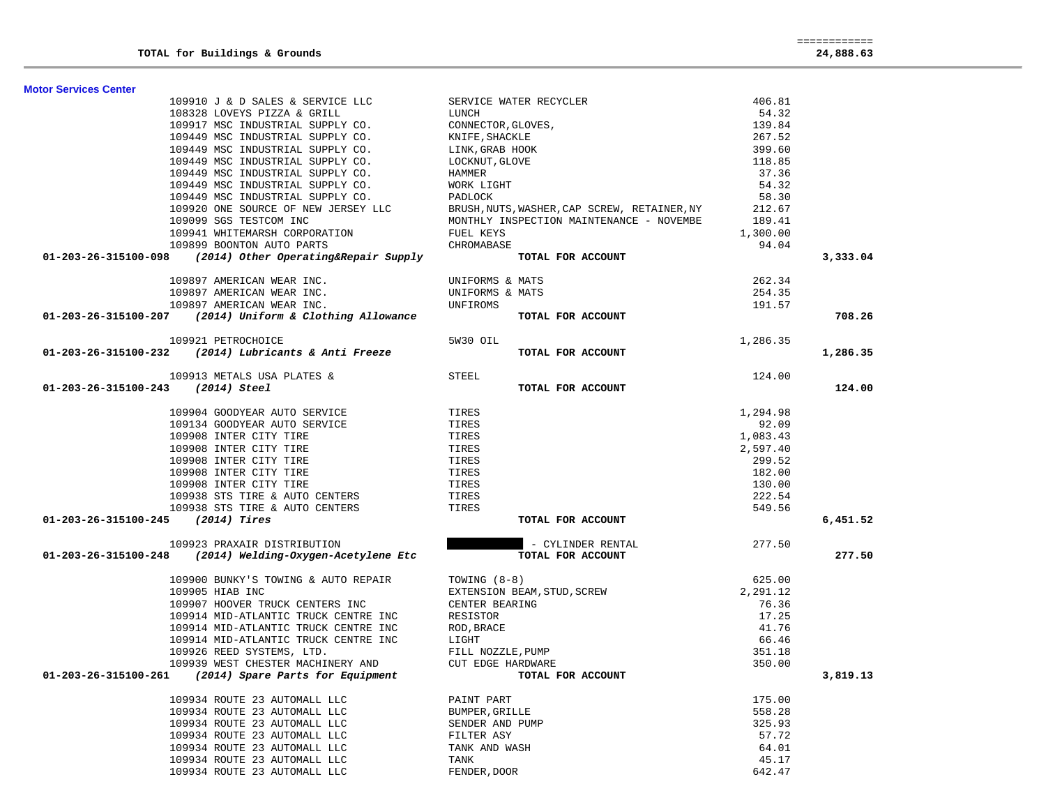| SERVICE WATER RECYCLER<br>LUNCH<br>CONNECTOR, GLOVES,<br>KNIFE, SHACKLE<br>LINK, GRAB HOOK<br>LOCKNUT, GLOVE<br>HAMMER<br>109910 J & D SALES & SERVICE LLC<br>406.81<br>108328 LOVEYS PIZZA & GRILL<br>54.32<br>109917 MSC INDUSTRIAL SUPPLY CO.<br>139.84<br>109449 MSC INDUSTRIAL SUPPLY CO.<br>267.52<br>109449 MSC INDUSTRIAL SUPPLY CO.<br>399.60<br>LINK,GRAB HOOK<br>LOCKNUT,GLOVE<br>109449 MSC INDUSTRIAL SUPPLY CO.<br>118.85<br>109449 MSC INDUSTRIAL SUPPLY CO.<br>37.36<br>HAMMER<br>WORK LIGHT<br>109449 MSC INDUSTRIAL SUPPLY CO.<br>54.32<br>109449 MSC INDUSTRIAL SUPPLY CO.<br>109920 ONE SOURCE OF NEW JERSEY LLC BRUSH, NUTS, WASHER, CAP SCREW, RETAINER, NY<br>109099 SGS TESTCOM INC MONTHLY INSPECTION MAINTENANCE - NOVEMBE<br>109941 WHITEMARSH CORPORATION FUEL KEYS<br>58.30<br>212.67<br>189.41<br>1,300.00<br>109899 BOONTON AUTO PARTS<br>CHROMABASE<br>94.04<br>$01-203-26-315100-098$ (2014) Other Operating&Repair Supply<br>TOTAL FOR ACCOUNT<br>262.34<br>UNIFORMS & MATS<br>109897 AMERICAN WEAR INC.<br>254.35<br>109897 AMERICAN WEAR INC. UNIFORMS & MATS<br>109897 AMERICAN WEAR INC. UNFIROMS<br>01-203-26-315100-207 (2014) Uniform & Clothing Allowance TOTAI<br>191.57<br>TOTAL FOR ACCOUNT<br>1,286.35<br>109921 PETROCHOICE<br>5W30 OIL<br>$01-203-26-315100-232$ (2014) Lubricants & Anti Freeze<br>TOTAL FOR ACCOUNT<br>124.00<br>109913 METALS USA PLATES &<br>STEEL<br>01-203-26-315100-243 (2014) Steel<br>TOTAL FOR ACCOUNT<br>109904 GOODYEAR AUTO SERVICE TIRES<br>109134 GOODYEAR AUTO SERVICE TIRES<br>1,294.98<br>109134 GOODYEAR AUTO SERVICE<br>TIRES<br>92.09<br>109908 INTER CITY TIRE<br>TIRES<br>1,083.43<br>2,597.40<br>109908 INTER CITY TIRE<br>TIRES<br>109908 INTER CITY TIRE<br>TIRES<br>299.52<br>109908 INTER CITY TIRE<br>TIRES<br>182.00<br>109908 INTER CITY TIRE<br>TIRES<br>130.00<br>109938 STS TIRE & AUTO CENTERS<br>TIRES<br>222.54<br>109938 STS TIRE & AUTO CENTERS TIRES<br>549.56<br>$01-203-26-315100-245$ (2014) Tires<br>TOTAL FOR ACCOUNT<br>109923 PRAXAIR DISTRIBUTION<br>- CYLINDER RENTAL 277.50<br>$01 - 203 - 26 - 315100 - 248$ (2014) Welding-Oxygen-Acetylene Etc<br>TOTAL FOR ACCOUNT<br>109900 BUNKY'S TOWING & AUTO REPAIR<br>TOWING (8-8)<br>625.00<br>TOWING (8-8)<br>EXTENSION BEAM, STUD, SCREW<br>CENTER BEARING<br>2,291.12<br>109905 HIAB INC<br>109907 HOOVER TRUCK CENTERS INC<br>76.36<br>NEW PRACE<br>NOD, BRACE<br>LIGHT<br>FILL NOZZLE, PUMP<br>CUT EDGE HARDWARE<br><b>TOTA</b> L FOR<br>109914 MID-ATLANTIC TRUCK CENTRE INC<br>17.25<br>RESISTOR<br>ROD,BRACE<br>LIGHT<br>FILL NOZZI<br>41.76<br>109914 MID-ATLANTIC TRUCK CENTRE INC<br>109914 MID-ATLANTIC TRUCK CENTRE INC<br>66.46<br>109926 REED SYSTEMS, LTD.<br>351.18<br>109939 WEST CHESTER MACHINERY AND CUT EDGE HARDWARE<br>350.00<br>01-203-26-315100-261 (2014) Spare Parts for Equipment<br>175.00<br>109934 ROUTE 23 AUTOMALL LLC<br>PAINT PART | 3,333.04<br>708.26<br>1,286.35<br>124.00<br>6,451.52<br>277.50<br>3,819.13<br>109934 ROUTE 23 AUTOMALL LLC<br>558.28<br>BUMPER, GRILLE<br>109934 ROUTE 23 AUTOMALL LLC<br>325.93<br>SENDER AND PUMP<br>109934 ROUTE 23 AUTOMALL LLC<br>57.72<br>FILTER ASY | <b>Motor Services Center</b> |              |        |  |
|--------------------------------------------------------------------------------------------------------------------------------------------------------------------------------------------------------------------------------------------------------------------------------------------------------------------------------------------------------------------------------------------------------------------------------------------------------------------------------------------------------------------------------------------------------------------------------------------------------------------------------------------------------------------------------------------------------------------------------------------------------------------------------------------------------------------------------------------------------------------------------------------------------------------------------------------------------------------------------------------------------------------------------------------------------------------------------------------------------------------------------------------------------------------------------------------------------------------------------------------------------------------------------------------------------------------------------------------------------------------------------------------------------------------------------------------------------------------------------------------------------------------------------------------------------------------------------------------------------------------------------------------------------------------------------------------------------------------------------------------------------------------------------------------------------------------------------------------------------------------------------------------------------------------------------------------------------------------------------------------------------------------------------------------------------------------------------------------------------------------------------------------------------------------------------------------------------------------------------------------------------------------------------------------------------------------------------------------------------------------------------------------------------------------------------------------------------------------------------------------------------------------------------------------------------------------------------------------------------------------------------------------------------------------------------------------------------------------------------------------------------------------------------------------------------------------------------------------------------------------------------------------------------------------------------------|------------------------------------------------------------------------------------------------------------------------------------------------------------------------------------------------------------------------------------------------------------|------------------------------|--------------|--------|--|
|                                                                                                                                                                                                                                                                                                                                                                                                                                                                                                                                                                                                                                                                                                                                                                                                                                                                                                                                                                                                                                                                                                                                                                                                                                                                                                                                                                                                                                                                                                                                                                                                                                                                                                                                                                                                                                                                                                                                                                                                                                                                                                                                                                                                                                                                                                                                                                                                                                                                                                                                                                                                                                                                                                                                                                                                                                                                                                                                      |                                                                                                                                                                                                                                                            |                              |              |        |  |
|                                                                                                                                                                                                                                                                                                                                                                                                                                                                                                                                                                                                                                                                                                                                                                                                                                                                                                                                                                                                                                                                                                                                                                                                                                                                                                                                                                                                                                                                                                                                                                                                                                                                                                                                                                                                                                                                                                                                                                                                                                                                                                                                                                                                                                                                                                                                                                                                                                                                                                                                                                                                                                                                                                                                                                                                                                                                                                                                      |                                                                                                                                                                                                                                                            |                              |              |        |  |
|                                                                                                                                                                                                                                                                                                                                                                                                                                                                                                                                                                                                                                                                                                                                                                                                                                                                                                                                                                                                                                                                                                                                                                                                                                                                                                                                                                                                                                                                                                                                                                                                                                                                                                                                                                                                                                                                                                                                                                                                                                                                                                                                                                                                                                                                                                                                                                                                                                                                                                                                                                                                                                                                                                                                                                                                                                                                                                                                      |                                                                                                                                                                                                                                                            |                              |              |        |  |
|                                                                                                                                                                                                                                                                                                                                                                                                                                                                                                                                                                                                                                                                                                                                                                                                                                                                                                                                                                                                                                                                                                                                                                                                                                                                                                                                                                                                                                                                                                                                                                                                                                                                                                                                                                                                                                                                                                                                                                                                                                                                                                                                                                                                                                                                                                                                                                                                                                                                                                                                                                                                                                                                                                                                                                                                                                                                                                                                      |                                                                                                                                                                                                                                                            |                              |              |        |  |
|                                                                                                                                                                                                                                                                                                                                                                                                                                                                                                                                                                                                                                                                                                                                                                                                                                                                                                                                                                                                                                                                                                                                                                                                                                                                                                                                                                                                                                                                                                                                                                                                                                                                                                                                                                                                                                                                                                                                                                                                                                                                                                                                                                                                                                                                                                                                                                                                                                                                                                                                                                                                                                                                                                                                                                                                                                                                                                                                      |                                                                                                                                                                                                                                                            |                              |              |        |  |
|                                                                                                                                                                                                                                                                                                                                                                                                                                                                                                                                                                                                                                                                                                                                                                                                                                                                                                                                                                                                                                                                                                                                                                                                                                                                                                                                                                                                                                                                                                                                                                                                                                                                                                                                                                                                                                                                                                                                                                                                                                                                                                                                                                                                                                                                                                                                                                                                                                                                                                                                                                                                                                                                                                                                                                                                                                                                                                                                      |                                                                                                                                                                                                                                                            |                              |              |        |  |
|                                                                                                                                                                                                                                                                                                                                                                                                                                                                                                                                                                                                                                                                                                                                                                                                                                                                                                                                                                                                                                                                                                                                                                                                                                                                                                                                                                                                                                                                                                                                                                                                                                                                                                                                                                                                                                                                                                                                                                                                                                                                                                                                                                                                                                                                                                                                                                                                                                                                                                                                                                                                                                                                                                                                                                                                                                                                                                                                      |                                                                                                                                                                                                                                                            |                              |              |        |  |
|                                                                                                                                                                                                                                                                                                                                                                                                                                                                                                                                                                                                                                                                                                                                                                                                                                                                                                                                                                                                                                                                                                                                                                                                                                                                                                                                                                                                                                                                                                                                                                                                                                                                                                                                                                                                                                                                                                                                                                                                                                                                                                                                                                                                                                                                                                                                                                                                                                                                                                                                                                                                                                                                                                                                                                                                                                                                                                                                      |                                                                                                                                                                                                                                                            |                              |              |        |  |
|                                                                                                                                                                                                                                                                                                                                                                                                                                                                                                                                                                                                                                                                                                                                                                                                                                                                                                                                                                                                                                                                                                                                                                                                                                                                                                                                                                                                                                                                                                                                                                                                                                                                                                                                                                                                                                                                                                                                                                                                                                                                                                                                                                                                                                                                                                                                                                                                                                                                                                                                                                                                                                                                                                                                                                                                                                                                                                                                      |                                                                                                                                                                                                                                                            |                              |              |        |  |
|                                                                                                                                                                                                                                                                                                                                                                                                                                                                                                                                                                                                                                                                                                                                                                                                                                                                                                                                                                                                                                                                                                                                                                                                                                                                                                                                                                                                                                                                                                                                                                                                                                                                                                                                                                                                                                                                                                                                                                                                                                                                                                                                                                                                                                                                                                                                                                                                                                                                                                                                                                                                                                                                                                                                                                                                                                                                                                                                      |                                                                                                                                                                                                                                                            |                              |              |        |  |
|                                                                                                                                                                                                                                                                                                                                                                                                                                                                                                                                                                                                                                                                                                                                                                                                                                                                                                                                                                                                                                                                                                                                                                                                                                                                                                                                                                                                                                                                                                                                                                                                                                                                                                                                                                                                                                                                                                                                                                                                                                                                                                                                                                                                                                                                                                                                                                                                                                                                                                                                                                                                                                                                                                                                                                                                                                                                                                                                      |                                                                                                                                                                                                                                                            |                              |              |        |  |
|                                                                                                                                                                                                                                                                                                                                                                                                                                                                                                                                                                                                                                                                                                                                                                                                                                                                                                                                                                                                                                                                                                                                                                                                                                                                                                                                                                                                                                                                                                                                                                                                                                                                                                                                                                                                                                                                                                                                                                                                                                                                                                                                                                                                                                                                                                                                                                                                                                                                                                                                                                                                                                                                                                                                                                                                                                                                                                                                      |                                                                                                                                                                                                                                                            |                              |              |        |  |
|                                                                                                                                                                                                                                                                                                                                                                                                                                                                                                                                                                                                                                                                                                                                                                                                                                                                                                                                                                                                                                                                                                                                                                                                                                                                                                                                                                                                                                                                                                                                                                                                                                                                                                                                                                                                                                                                                                                                                                                                                                                                                                                                                                                                                                                                                                                                                                                                                                                                                                                                                                                                                                                                                                                                                                                                                                                                                                                                      |                                                                                                                                                                                                                                                            |                              |              |        |  |
|                                                                                                                                                                                                                                                                                                                                                                                                                                                                                                                                                                                                                                                                                                                                                                                                                                                                                                                                                                                                                                                                                                                                                                                                                                                                                                                                                                                                                                                                                                                                                                                                                                                                                                                                                                                                                                                                                                                                                                                                                                                                                                                                                                                                                                                                                                                                                                                                                                                                                                                                                                                                                                                                                                                                                                                                                                                                                                                                      |                                                                                                                                                                                                                                                            |                              |              |        |  |
|                                                                                                                                                                                                                                                                                                                                                                                                                                                                                                                                                                                                                                                                                                                                                                                                                                                                                                                                                                                                                                                                                                                                                                                                                                                                                                                                                                                                                                                                                                                                                                                                                                                                                                                                                                                                                                                                                                                                                                                                                                                                                                                                                                                                                                                                                                                                                                                                                                                                                                                                                                                                                                                                                                                                                                                                                                                                                                                                      |                                                                                                                                                                                                                                                            |                              |              |        |  |
|                                                                                                                                                                                                                                                                                                                                                                                                                                                                                                                                                                                                                                                                                                                                                                                                                                                                                                                                                                                                                                                                                                                                                                                                                                                                                                                                                                                                                                                                                                                                                                                                                                                                                                                                                                                                                                                                                                                                                                                                                                                                                                                                                                                                                                                                                                                                                                                                                                                                                                                                                                                                                                                                                                                                                                                                                                                                                                                                      |                                                                                                                                                                                                                                                            |                              |              |        |  |
|                                                                                                                                                                                                                                                                                                                                                                                                                                                                                                                                                                                                                                                                                                                                                                                                                                                                                                                                                                                                                                                                                                                                                                                                                                                                                                                                                                                                                                                                                                                                                                                                                                                                                                                                                                                                                                                                                                                                                                                                                                                                                                                                                                                                                                                                                                                                                                                                                                                                                                                                                                                                                                                                                                                                                                                                                                                                                                                                      |                                                                                                                                                                                                                                                            |                              |              |        |  |
|                                                                                                                                                                                                                                                                                                                                                                                                                                                                                                                                                                                                                                                                                                                                                                                                                                                                                                                                                                                                                                                                                                                                                                                                                                                                                                                                                                                                                                                                                                                                                                                                                                                                                                                                                                                                                                                                                                                                                                                                                                                                                                                                                                                                                                                                                                                                                                                                                                                                                                                                                                                                                                                                                                                                                                                                                                                                                                                                      |                                                                                                                                                                                                                                                            |                              |              |        |  |
|                                                                                                                                                                                                                                                                                                                                                                                                                                                                                                                                                                                                                                                                                                                                                                                                                                                                                                                                                                                                                                                                                                                                                                                                                                                                                                                                                                                                                                                                                                                                                                                                                                                                                                                                                                                                                                                                                                                                                                                                                                                                                                                                                                                                                                                                                                                                                                                                                                                                                                                                                                                                                                                                                                                                                                                                                                                                                                                                      |                                                                                                                                                                                                                                                            |                              |              |        |  |
|                                                                                                                                                                                                                                                                                                                                                                                                                                                                                                                                                                                                                                                                                                                                                                                                                                                                                                                                                                                                                                                                                                                                                                                                                                                                                                                                                                                                                                                                                                                                                                                                                                                                                                                                                                                                                                                                                                                                                                                                                                                                                                                                                                                                                                                                                                                                                                                                                                                                                                                                                                                                                                                                                                                                                                                                                                                                                                                                      |                                                                                                                                                                                                                                                            |                              |              |        |  |
|                                                                                                                                                                                                                                                                                                                                                                                                                                                                                                                                                                                                                                                                                                                                                                                                                                                                                                                                                                                                                                                                                                                                                                                                                                                                                                                                                                                                                                                                                                                                                                                                                                                                                                                                                                                                                                                                                                                                                                                                                                                                                                                                                                                                                                                                                                                                                                                                                                                                                                                                                                                                                                                                                                                                                                                                                                                                                                                                      |                                                                                                                                                                                                                                                            |                              |              |        |  |
|                                                                                                                                                                                                                                                                                                                                                                                                                                                                                                                                                                                                                                                                                                                                                                                                                                                                                                                                                                                                                                                                                                                                                                                                                                                                                                                                                                                                                                                                                                                                                                                                                                                                                                                                                                                                                                                                                                                                                                                                                                                                                                                                                                                                                                                                                                                                                                                                                                                                                                                                                                                                                                                                                                                                                                                                                                                                                                                                      |                                                                                                                                                                                                                                                            |                              |              |        |  |
|                                                                                                                                                                                                                                                                                                                                                                                                                                                                                                                                                                                                                                                                                                                                                                                                                                                                                                                                                                                                                                                                                                                                                                                                                                                                                                                                                                                                                                                                                                                                                                                                                                                                                                                                                                                                                                                                                                                                                                                                                                                                                                                                                                                                                                                                                                                                                                                                                                                                                                                                                                                                                                                                                                                                                                                                                                                                                                                                      |                                                                                                                                                                                                                                                            |                              |              |        |  |
|                                                                                                                                                                                                                                                                                                                                                                                                                                                                                                                                                                                                                                                                                                                                                                                                                                                                                                                                                                                                                                                                                                                                                                                                                                                                                                                                                                                                                                                                                                                                                                                                                                                                                                                                                                                                                                                                                                                                                                                                                                                                                                                                                                                                                                                                                                                                                                                                                                                                                                                                                                                                                                                                                                                                                                                                                                                                                                                                      |                                                                                                                                                                                                                                                            |                              |              |        |  |
|                                                                                                                                                                                                                                                                                                                                                                                                                                                                                                                                                                                                                                                                                                                                                                                                                                                                                                                                                                                                                                                                                                                                                                                                                                                                                                                                                                                                                                                                                                                                                                                                                                                                                                                                                                                                                                                                                                                                                                                                                                                                                                                                                                                                                                                                                                                                                                                                                                                                                                                                                                                                                                                                                                                                                                                                                                                                                                                                      |                                                                                                                                                                                                                                                            |                              |              |        |  |
|                                                                                                                                                                                                                                                                                                                                                                                                                                                                                                                                                                                                                                                                                                                                                                                                                                                                                                                                                                                                                                                                                                                                                                                                                                                                                                                                                                                                                                                                                                                                                                                                                                                                                                                                                                                                                                                                                                                                                                                                                                                                                                                                                                                                                                                                                                                                                                                                                                                                                                                                                                                                                                                                                                                                                                                                                                                                                                                                      |                                                                                                                                                                                                                                                            |                              |              |        |  |
|                                                                                                                                                                                                                                                                                                                                                                                                                                                                                                                                                                                                                                                                                                                                                                                                                                                                                                                                                                                                                                                                                                                                                                                                                                                                                                                                                                                                                                                                                                                                                                                                                                                                                                                                                                                                                                                                                                                                                                                                                                                                                                                                                                                                                                                                                                                                                                                                                                                                                                                                                                                                                                                                                                                                                                                                                                                                                                                                      |                                                                                                                                                                                                                                                            |                              |              |        |  |
|                                                                                                                                                                                                                                                                                                                                                                                                                                                                                                                                                                                                                                                                                                                                                                                                                                                                                                                                                                                                                                                                                                                                                                                                                                                                                                                                                                                                                                                                                                                                                                                                                                                                                                                                                                                                                                                                                                                                                                                                                                                                                                                                                                                                                                                                                                                                                                                                                                                                                                                                                                                                                                                                                                                                                                                                                                                                                                                                      |                                                                                                                                                                                                                                                            |                              |              |        |  |
|                                                                                                                                                                                                                                                                                                                                                                                                                                                                                                                                                                                                                                                                                                                                                                                                                                                                                                                                                                                                                                                                                                                                                                                                                                                                                                                                                                                                                                                                                                                                                                                                                                                                                                                                                                                                                                                                                                                                                                                                                                                                                                                                                                                                                                                                                                                                                                                                                                                                                                                                                                                                                                                                                                                                                                                                                                                                                                                                      |                                                                                                                                                                                                                                                            |                              |              |        |  |
|                                                                                                                                                                                                                                                                                                                                                                                                                                                                                                                                                                                                                                                                                                                                                                                                                                                                                                                                                                                                                                                                                                                                                                                                                                                                                                                                                                                                                                                                                                                                                                                                                                                                                                                                                                                                                                                                                                                                                                                                                                                                                                                                                                                                                                                                                                                                                                                                                                                                                                                                                                                                                                                                                                                                                                                                                                                                                                                                      |                                                                                                                                                                                                                                                            |                              |              |        |  |
|                                                                                                                                                                                                                                                                                                                                                                                                                                                                                                                                                                                                                                                                                                                                                                                                                                                                                                                                                                                                                                                                                                                                                                                                                                                                                                                                                                                                                                                                                                                                                                                                                                                                                                                                                                                                                                                                                                                                                                                                                                                                                                                                                                                                                                                                                                                                                                                                                                                                                                                                                                                                                                                                                                                                                                                                                                                                                                                                      |                                                                                                                                                                                                                                                            |                              |              |        |  |
|                                                                                                                                                                                                                                                                                                                                                                                                                                                                                                                                                                                                                                                                                                                                                                                                                                                                                                                                                                                                                                                                                                                                                                                                                                                                                                                                                                                                                                                                                                                                                                                                                                                                                                                                                                                                                                                                                                                                                                                                                                                                                                                                                                                                                                                                                                                                                                                                                                                                                                                                                                                                                                                                                                                                                                                                                                                                                                                                      |                                                                                                                                                                                                                                                            |                              |              |        |  |
|                                                                                                                                                                                                                                                                                                                                                                                                                                                                                                                                                                                                                                                                                                                                                                                                                                                                                                                                                                                                                                                                                                                                                                                                                                                                                                                                                                                                                                                                                                                                                                                                                                                                                                                                                                                                                                                                                                                                                                                                                                                                                                                                                                                                                                                                                                                                                                                                                                                                                                                                                                                                                                                                                                                                                                                                                                                                                                                                      |                                                                                                                                                                                                                                                            |                              |              |        |  |
|                                                                                                                                                                                                                                                                                                                                                                                                                                                                                                                                                                                                                                                                                                                                                                                                                                                                                                                                                                                                                                                                                                                                                                                                                                                                                                                                                                                                                                                                                                                                                                                                                                                                                                                                                                                                                                                                                                                                                                                                                                                                                                                                                                                                                                                                                                                                                                                                                                                                                                                                                                                                                                                                                                                                                                                                                                                                                                                                      |                                                                                                                                                                                                                                                            |                              |              |        |  |
|                                                                                                                                                                                                                                                                                                                                                                                                                                                                                                                                                                                                                                                                                                                                                                                                                                                                                                                                                                                                                                                                                                                                                                                                                                                                                                                                                                                                                                                                                                                                                                                                                                                                                                                                                                                                                                                                                                                                                                                                                                                                                                                                                                                                                                                                                                                                                                                                                                                                                                                                                                                                                                                                                                                                                                                                                                                                                                                                      |                                                                                                                                                                                                                                                            |                              |              |        |  |
|                                                                                                                                                                                                                                                                                                                                                                                                                                                                                                                                                                                                                                                                                                                                                                                                                                                                                                                                                                                                                                                                                                                                                                                                                                                                                                                                                                                                                                                                                                                                                                                                                                                                                                                                                                                                                                                                                                                                                                                                                                                                                                                                                                                                                                                                                                                                                                                                                                                                                                                                                                                                                                                                                                                                                                                                                                                                                                                                      |                                                                                                                                                                                                                                                            |                              |              |        |  |
|                                                                                                                                                                                                                                                                                                                                                                                                                                                                                                                                                                                                                                                                                                                                                                                                                                                                                                                                                                                                                                                                                                                                                                                                                                                                                                                                                                                                                                                                                                                                                                                                                                                                                                                                                                                                                                                                                                                                                                                                                                                                                                                                                                                                                                                                                                                                                                                                                                                                                                                                                                                                                                                                                                                                                                                                                                                                                                                                      |                                                                                                                                                                                                                                                            |                              |              |        |  |
|                                                                                                                                                                                                                                                                                                                                                                                                                                                                                                                                                                                                                                                                                                                                                                                                                                                                                                                                                                                                                                                                                                                                                                                                                                                                                                                                                                                                                                                                                                                                                                                                                                                                                                                                                                                                                                                                                                                                                                                                                                                                                                                                                                                                                                                                                                                                                                                                                                                                                                                                                                                                                                                                                                                                                                                                                                                                                                                                      |                                                                                                                                                                                                                                                            |                              |              |        |  |
|                                                                                                                                                                                                                                                                                                                                                                                                                                                                                                                                                                                                                                                                                                                                                                                                                                                                                                                                                                                                                                                                                                                                                                                                                                                                                                                                                                                                                                                                                                                                                                                                                                                                                                                                                                                                                                                                                                                                                                                                                                                                                                                                                                                                                                                                                                                                                                                                                                                                                                                                                                                                                                                                                                                                                                                                                                                                                                                                      |                                                                                                                                                                                                                                                            |                              |              |        |  |
|                                                                                                                                                                                                                                                                                                                                                                                                                                                                                                                                                                                                                                                                                                                                                                                                                                                                                                                                                                                                                                                                                                                                                                                                                                                                                                                                                                                                                                                                                                                                                                                                                                                                                                                                                                                                                                                                                                                                                                                                                                                                                                                                                                                                                                                                                                                                                                                                                                                                                                                                                                                                                                                                                                                                                                                                                                                                                                                                      |                                                                                                                                                                                                                                                            |                              |              |        |  |
|                                                                                                                                                                                                                                                                                                                                                                                                                                                                                                                                                                                                                                                                                                                                                                                                                                                                                                                                                                                                                                                                                                                                                                                                                                                                                                                                                                                                                                                                                                                                                                                                                                                                                                                                                                                                                                                                                                                                                                                                                                                                                                                                                                                                                                                                                                                                                                                                                                                                                                                                                                                                                                                                                                                                                                                                                                                                                                                                      |                                                                                                                                                                                                                                                            |                              |              |        |  |
|                                                                                                                                                                                                                                                                                                                                                                                                                                                                                                                                                                                                                                                                                                                                                                                                                                                                                                                                                                                                                                                                                                                                                                                                                                                                                                                                                                                                                                                                                                                                                                                                                                                                                                                                                                                                                                                                                                                                                                                                                                                                                                                                                                                                                                                                                                                                                                                                                                                                                                                                                                                                                                                                                                                                                                                                                                                                                                                                      |                                                                                                                                                                                                                                                            |                              |              |        |  |
|                                                                                                                                                                                                                                                                                                                                                                                                                                                                                                                                                                                                                                                                                                                                                                                                                                                                                                                                                                                                                                                                                                                                                                                                                                                                                                                                                                                                                                                                                                                                                                                                                                                                                                                                                                                                                                                                                                                                                                                                                                                                                                                                                                                                                                                                                                                                                                                                                                                                                                                                                                                                                                                                                                                                                                                                                                                                                                                                      |                                                                                                                                                                                                                                                            |                              |              |        |  |
|                                                                                                                                                                                                                                                                                                                                                                                                                                                                                                                                                                                                                                                                                                                                                                                                                                                                                                                                                                                                                                                                                                                                                                                                                                                                                                                                                                                                                                                                                                                                                                                                                                                                                                                                                                                                                                                                                                                                                                                                                                                                                                                                                                                                                                                                                                                                                                                                                                                                                                                                                                                                                                                                                                                                                                                                                                                                                                                                      |                                                                                                                                                                                                                                                            |                              |              |        |  |
|                                                                                                                                                                                                                                                                                                                                                                                                                                                                                                                                                                                                                                                                                                                                                                                                                                                                                                                                                                                                                                                                                                                                                                                                                                                                                                                                                                                                                                                                                                                                                                                                                                                                                                                                                                                                                                                                                                                                                                                                                                                                                                                                                                                                                                                                                                                                                                                                                                                                                                                                                                                                                                                                                                                                                                                                                                                                                                                                      |                                                                                                                                                                                                                                                            |                              |              |        |  |
|                                                                                                                                                                                                                                                                                                                                                                                                                                                                                                                                                                                                                                                                                                                                                                                                                                                                                                                                                                                                                                                                                                                                                                                                                                                                                                                                                                                                                                                                                                                                                                                                                                                                                                                                                                                                                                                                                                                                                                                                                                                                                                                                                                                                                                                                                                                                                                                                                                                                                                                                                                                                                                                                                                                                                                                                                                                                                                                                      |                                                                                                                                                                                                                                                            |                              |              |        |  |
|                                                                                                                                                                                                                                                                                                                                                                                                                                                                                                                                                                                                                                                                                                                                                                                                                                                                                                                                                                                                                                                                                                                                                                                                                                                                                                                                                                                                                                                                                                                                                                                                                                                                                                                                                                                                                                                                                                                                                                                                                                                                                                                                                                                                                                                                                                                                                                                                                                                                                                                                                                                                                                                                                                                                                                                                                                                                                                                                      |                                                                                                                                                                                                                                                            |                              |              |        |  |
|                                                                                                                                                                                                                                                                                                                                                                                                                                                                                                                                                                                                                                                                                                                                                                                                                                                                                                                                                                                                                                                                                                                                                                                                                                                                                                                                                                                                                                                                                                                                                                                                                                                                                                                                                                                                                                                                                                                                                                                                                                                                                                                                                                                                                                                                                                                                                                                                                                                                                                                                                                                                                                                                                                                                                                                                                                                                                                                                      |                                                                                                                                                                                                                                                            |                              |              |        |  |
| 109934 ROUTE 23 AUTOMALL LLC<br>64.01<br>TANK AND WASH                                                                                                                                                                                                                                                                                                                                                                                                                                                                                                                                                                                                                                                                                                                                                                                                                                                                                                                                                                                                                                                                                                                                                                                                                                                                                                                                                                                                                                                                                                                                                                                                                                                                                                                                                                                                                                                                                                                                                                                                                                                                                                                                                                                                                                                                                                                                                                                                                                                                                                                                                                                                                                                                                                                                                                                                                                                                               |                                                                                                                                                                                                                                                            |                              |              |        |  |
|                                                                                                                                                                                                                                                                                                                                                                                                                                                                                                                                                                                                                                                                                                                                                                                                                                                                                                                                                                                                                                                                                                                                                                                                                                                                                                                                                                                                                                                                                                                                                                                                                                                                                                                                                                                                                                                                                                                                                                                                                                                                                                                                                                                                                                                                                                                                                                                                                                                                                                                                                                                                                                                                                                                                                                                                                                                                                                                                      | TANK                                                                                                                                                                                                                                                       | 109934 ROUTE 23 AUTOMALL LLC |              | 45.17  |  |
|                                                                                                                                                                                                                                                                                                                                                                                                                                                                                                                                                                                                                                                                                                                                                                                                                                                                                                                                                                                                                                                                                                                                                                                                                                                                                                                                                                                                                                                                                                                                                                                                                                                                                                                                                                                                                                                                                                                                                                                                                                                                                                                                                                                                                                                                                                                                                                                                                                                                                                                                                                                                                                                                                                                                                                                                                                                                                                                                      |                                                                                                                                                                                                                                                            | 109934 ROUTE 23 AUTOMALL LLC | FENDER, DOOR | 642.47 |  |
|                                                                                                                                                                                                                                                                                                                                                                                                                                                                                                                                                                                                                                                                                                                                                                                                                                                                                                                                                                                                                                                                                                                                                                                                                                                                                                                                                                                                                                                                                                                                                                                                                                                                                                                                                                                                                                                                                                                                                                                                                                                                                                                                                                                                                                                                                                                                                                                                                                                                                                                                                                                                                                                                                                                                                                                                                                                                                                                                      |                                                                                                                                                                                                                                                            |                              |              |        |  |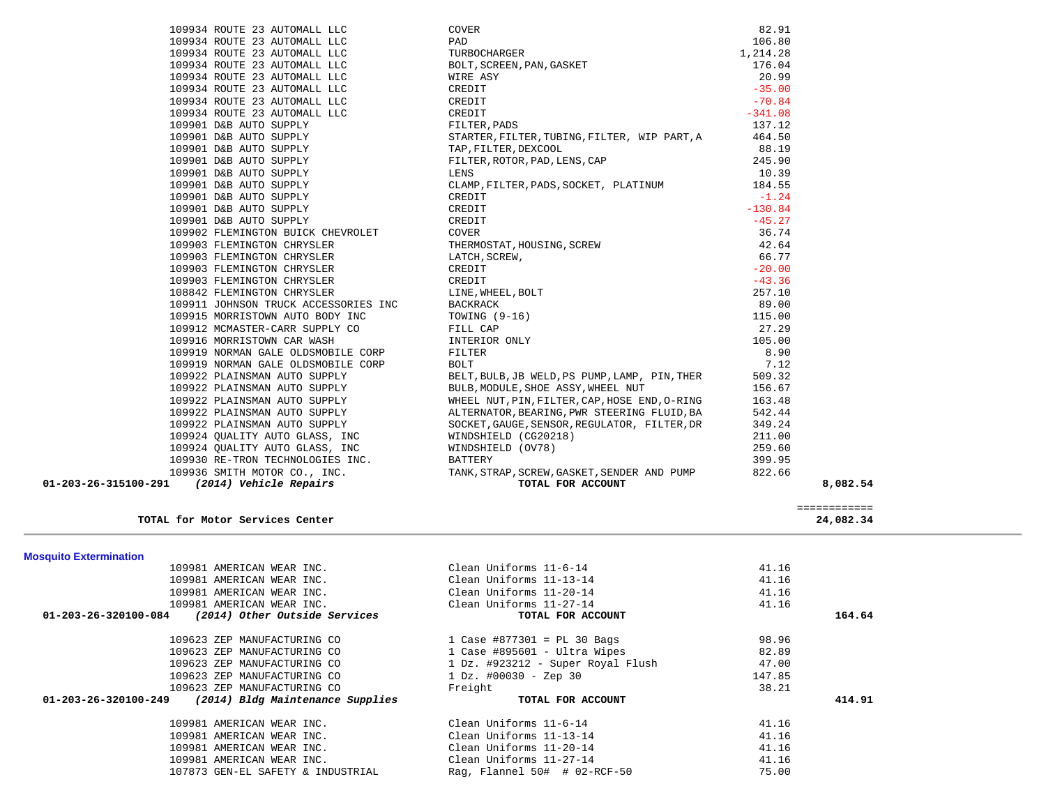| 109934 ROUTE 23 AUTOMALL LLC                             | COVER                                         | 82.91     |                           |  |
|----------------------------------------------------------|-----------------------------------------------|-----------|---------------------------|--|
| 109934 ROUTE 23 AUTOMALL LLC                             | PAD                                           | 106.80    |                           |  |
| 109934 ROUTE 23 AUTOMALL LLC                             | TURBOCHARGER                                  | 1,214.28  |                           |  |
| 109934 ROUTE 23 AUTOMALL LLC                             | BOLT, SCREEN, PAN, GASKET                     | 176.04    |                           |  |
| 109934 ROUTE 23 AUTOMALL LLC                             | WIRE ASY                                      | 20.99     |                           |  |
| 109934 ROUTE 23 AUTOMALL LLC                             | CREDIT                                        | $-35.00$  |                           |  |
| 109934 ROUTE 23 AUTOMALL LLC                             | CREDIT                                        | $-70.84$  |                           |  |
| 109934 ROUTE 23 AUTOMALL LLC                             | CREDIT                                        | $-341.08$ |                           |  |
| 109901 D&B AUTO SUPPLY                                   |                                               | 137.12    |                           |  |
|                                                          | FILTER, PADS                                  |           |                           |  |
| 109901 D&B AUTO SUPPLY                                   | STARTER, FILTER, TUBING, FILTER, WIP PART, A  | 464.50    |                           |  |
| 109901 D&B AUTO SUPPLY                                   | TAP, FILTER, DEXCOOL                          | 88.19     |                           |  |
| 109901 D&B AUTO SUPPLY                                   | FILTER, ROTOR, PAD, LENS, CAP                 | 245.90    |                           |  |
| 109901 D&B AUTO SUPPLY                                   | LENS                                          | 10.39     |                           |  |
| 109901 D&B AUTO SUPPLY                                   | CLAMP, FILTER, PADS, SOCKET, PLATINUM         | 184.55    |                           |  |
| 109901 D&B AUTO SUPPLY                                   | CREDIT                                        | $-1.24$   |                           |  |
| 109901 D&B AUTO SUPPLY                                   | CREDIT                                        | $-130.84$ |                           |  |
| 109901 D&B AUTO SUPPLY                                   | CREDIT                                        | $-45.27$  |                           |  |
| 109902 FLEMINGTON BUICK CHEVROLET                        | COVER                                         | 36.74     |                           |  |
| 109903 FLEMINGTON CHRYSLER                               | THERMOSTAT, HOUSING, SCREW                    | 42.64     |                           |  |
| 109903 FLEMINGTON CHRYSLER                               | LATCH, SCREW,                                 | 66.77     |                           |  |
| 109903 FLEMINGTON CHRYSLER                               | CREDIT                                        | $-20.00$  |                           |  |
| 109903 FLEMINGTON CHRYSLER                               | CREDIT                                        | $-43.36$  |                           |  |
| 108842 FLEMINGTON CHRYSLER                               | LINE, WHEEL, BOLT                             | 257.10    |                           |  |
| 109911 JOHNSON TRUCK ACCESSORIES INC                     | BACKRACK                                      | 89.00     |                           |  |
| 109915 MORRISTOWN AUTO BODY INC                          | TOWING $(9-16)$                               | 115.00    |                           |  |
| 109912 MCMASTER-CARR SUPPLY CO                           | FILL CAP                                      | 27.29     |                           |  |
| 109916 MORRISTOWN CAR WASH                               | INTERIOR ONLY                                 | 105.00    |                           |  |
| 109919 NORMAN GALE OLDSMOBILE CORP                       | FILTER                                        | 8.90      |                           |  |
| 109919 NORMAN GALE OLDSMOBILE CORP                       | BOLT                                          | 7.12      |                           |  |
| 109922 PLAINSMAN AUTO SUPPLY                             | BELT, BULB, JB WELD, PS PUMP, LAMP, PIN, THER | 509.32    |                           |  |
| 109922 PLAINSMAN AUTO SUPPLY                             | BULB, MODULE, SHOE ASSY, WHEEL NUT            | 156.67    |                           |  |
|                                                          |                                               | 163.48    |                           |  |
| 109922 PLAINSMAN AUTO SUPPLY                             | WHEEL NUT, PIN, FILTER, CAP, HOSE END, O-RING |           |                           |  |
| 109922 PLAINSMAN AUTO SUPPLY                             | ALTERNATOR, BEARING, PWR STEERING FLUID, BA   | 542.44    |                           |  |
| 109922 PLAINSMAN AUTO SUPPLY                             | SOCKET, GAUGE, SENSOR, REGULATOR, FILTER, DR  | 349.24    |                           |  |
| 109924 QUALITY AUTO GLASS, INC                           | WINDSHIELD (CG20218)                          | 211.00    |                           |  |
| 109924 QUALITY AUTO GLASS, INC                           | WINDSHIELD (OV78)                             | 259.60    |                           |  |
| 109930 RE-TRON TECHNOLOGIES INC.                         | BATTERY                                       | 399.95    |                           |  |
| 109936 SMITH MOTOR CO., INC.                             | TANK, STRAP, SCREW, GASKET, SENDER AND PUMP   | 822.66    |                           |  |
| 01-203-26-315100-291<br>(2014) Vehicle Repairs           | TOTAL FOR ACCOUNT                             |           | 8,082.54                  |  |
| TOTAL for Motor Services Center                          |                                               |           | ============<br>24,082.34 |  |
| <b>Mosquito Extermination</b>                            |                                               |           |                           |  |
| 109981 AMERICAN WEAR INC.                                | Clean Uniforms 11-6-14                        | 41.16     |                           |  |
| 109981 AMERICAN WEAR INC.                                | Clean Uniforms 11-13-14                       | 41.16     |                           |  |
| 109981 AMERICAN WEAR INC.                                | Clean Uniforms 11-20-14                       | 41.16     |                           |  |
| 109981 AMERICAN WEAR INC.                                | Clean Uniforms 11-27-14                       | 41.16     |                           |  |
| 01-203-26-320100-084<br>(2014) Other Outside Services    | TOTAL FOR ACCOUNT                             |           | 164.64                    |  |
| 109623 ZEP MANUFACTURING CO                              | 1 Case #877301 = PL 30 Bags                   | 98.96     |                           |  |
| 109623 ZEP MANUFACTURING CO                              | 1 Case #895601 - Ultra Wipes                  | 82.89     |                           |  |
| 109623 ZEP MANUFACTURING CO                              | 1 Dz. #923212 - Super Royal Flush             | 47.00     |                           |  |
| 109623 ZEP MANUFACTURING CO                              | $1\ \text{Dz}$ . #00030 - Zep 30              | 147.85    |                           |  |
| 109623 ZEP MANUFACTURING CO                              | Freight                                       | 38.21     |                           |  |
| 01-203-26-320100-249<br>(2014) Bldg Maintenance Supplies | TOTAL FOR ACCOUNT                             |           | 414.91                    |  |
|                                                          |                                               |           |                           |  |
| 109981 AMERICAN WEAR INC.                                | Clean Uniforms 11-6-14                        | 41.16     |                           |  |
| 109981 AMERICAN WEAR INC.                                | Clean Uniforms 11-13-14                       | 41.16     |                           |  |
| 109981 AMERICAN WEAR INC.                                | Clean Uniforms 11-20-14                       | 41.16     |                           |  |
| 109981 AMERICAN WEAR INC.                                | Clean Uniforms 11-27-14                       | 41.16     |                           |  |
| 107873 GEN-EL SAFETY & INDUSTRIAL                        | Rag, Flannel $50#$ # 02-RCF-50                | 75.00     |                           |  |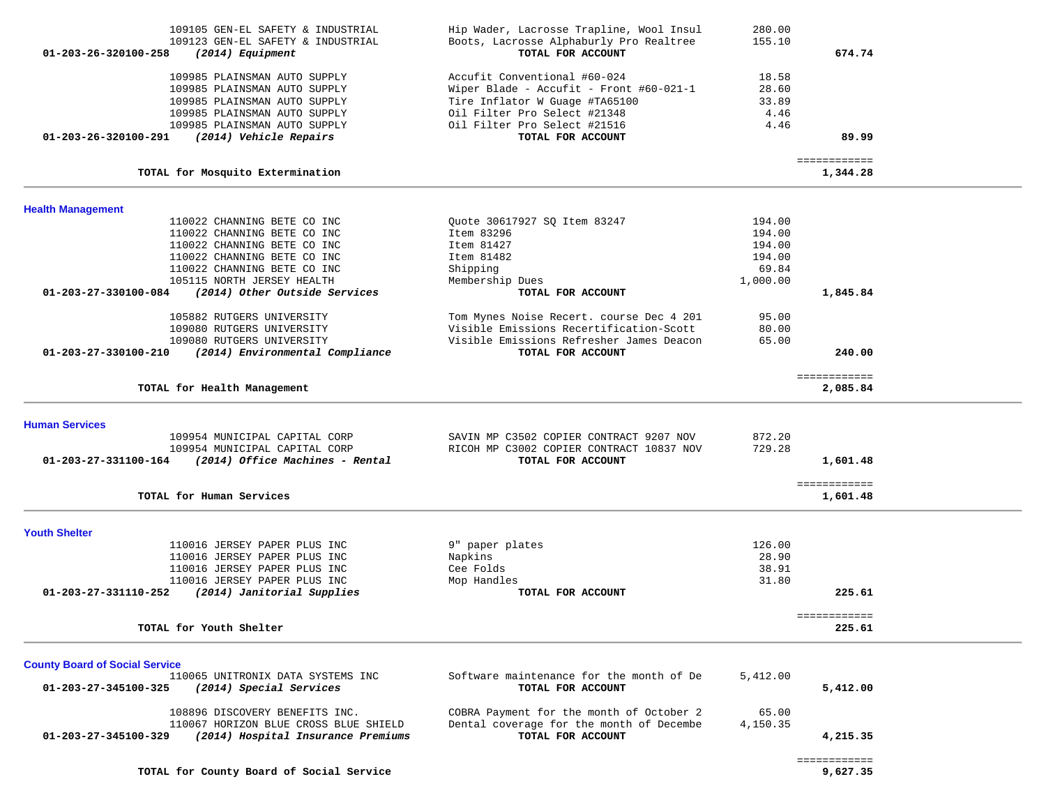| 109105 GEN-EL SAFETY & INDUSTRIAL                                             | Hip Wader, Lacrosse Trapline, Wool Insul                     | 280.00   |                          |  |
|-------------------------------------------------------------------------------|--------------------------------------------------------------|----------|--------------------------|--|
| 109123 GEN-EL SAFETY & INDUSTRIAL<br>01-203-26-320100-258<br>(2014) Equipment | Boots, Lacrosse Alphaburly Pro Realtree<br>TOTAL FOR ACCOUNT | 155.10   | 674.74                   |  |
| 109985 PLAINSMAN AUTO SUPPLY                                                  | Accufit Conventional #60-024                                 | 18.58    |                          |  |
| 109985 PLAINSMAN AUTO SUPPLY                                                  | Wiper Blade - Accufit - Front #60-021-1                      | 28.60    |                          |  |
| 109985 PLAINSMAN AUTO SUPPLY                                                  | Tire Inflator W Guage #TA65100                               | 33.89    |                          |  |
| 109985 PLAINSMAN AUTO SUPPLY                                                  | Oil Filter Pro Select #21348                                 | 4.46     |                          |  |
| 109985 PLAINSMAN AUTO SUPPLY                                                  | Oil Filter Pro Select #21516                                 | 4.46     |                          |  |
| 01-203-26-320100-291<br>(2014) Vehicle Repairs                                | TOTAL FOR ACCOUNT                                            |          | 89.99                    |  |
| TOTAL for Mosquito Extermination                                              |                                                              |          | ============<br>1,344.28 |  |
|                                                                               |                                                              |          |                          |  |
| <b>Health Management</b><br>110022 CHANNING BETE CO INC                       | Quote 30617927 SQ Item 83247                                 | 194.00   |                          |  |
| 110022 CHANNING BETE CO INC                                                   | Item 83296                                                   | 194.00   |                          |  |
| 110022 CHANNING BETE CO INC                                                   | Item 81427                                                   | 194.00   |                          |  |
| 110022 CHANNING BETE CO INC                                                   | Item 81482                                                   | 194.00   |                          |  |
| 110022 CHANNING BETE CO INC                                                   | Shipping                                                     | 69.84    |                          |  |
| 105115 NORTH JERSEY HEALTH                                                    | Membership Dues                                              | 1,000.00 |                          |  |
| (2014) Other Outside Services<br>01-203-27-330100-084                         | TOTAL FOR ACCOUNT                                            |          | 1,845.84                 |  |
| 105882 RUTGERS UNIVERSITY                                                     | Tom Mynes Noise Recert. course Dec 4 201                     | 95.00    |                          |  |
| 109080 RUTGERS UNIVERSITY                                                     | Visible Emissions Recertification-Scott                      | 80.00    |                          |  |
| 109080 RUTGERS UNIVERSITY                                                     | Visible Emissions Refresher James Deacon                     | 65.00    |                          |  |
| 01-203-27-330100-210<br>(2014) Environmental Compliance                       | TOTAL FOR ACCOUNT                                            |          | 240.00                   |  |
|                                                                               |                                                              |          | ============             |  |
| TOTAL for Health Management                                                   |                                                              |          | 2,085.84                 |  |
| <b>Human Services</b>                                                         |                                                              |          |                          |  |
| 109954 MUNICIPAL CAPITAL CORP                                                 | SAVIN MP C3502 COPIER CONTRACT 9207 NOV                      | 872.20   |                          |  |
| 109954 MUNICIPAL CAPITAL CORP                                                 | RICOH MP C3002 COPIER CONTRACT 10837 NOV                     | 729.28   |                          |  |
| 01-203-27-331100-164 (2014) Office Machines - Rental                          | TOTAL FOR ACCOUNT                                            |          | 1,601.48                 |  |
|                                                                               |                                                              |          | ============             |  |
| TOTAL for Human Services                                                      |                                                              |          | 1,601.48                 |  |
| <b>Youth Shelter</b>                                                          |                                                              |          |                          |  |
| 110016 JERSEY PAPER PLUS INC                                                  | 9" paper plates                                              | 126.00   |                          |  |
| 110016 JERSEY PAPER PLUS INC                                                  | Napkins                                                      | 28.90    |                          |  |
| 110016 JERSEY PAPER PLUS INC                                                  | Cee Folds                                                    | 38.91    |                          |  |
| 110016 JERSEY PAPER PLUS INC                                                  | Mop Handles                                                  | 31.80    |                          |  |
| 01-203-27-331110-252<br>(2014) Janitorial Supplies                            | TOTAL FOR ACCOUNT                                            |          | 225.61                   |  |
| TOTAL for Youth Shelter                                                       |                                                              |          | ============<br>225.61   |  |
|                                                                               |                                                              |          |                          |  |
| <b>County Board of Social Service</b>                                         |                                                              |          |                          |  |
| 110065 UNITRONIX DATA SYSTEMS INC                                             | Software maintenance for the month of De                     | 5,412.00 |                          |  |
| (2014) Special Services<br>01-203-27-345100-325                               | TOTAL FOR ACCOUNT                                            |          | 5,412.00                 |  |
| 108896 DISCOVERY BENEFITS INC.                                                | COBRA Payment for the month of October 2                     | 65.00    |                          |  |
| 110067 HORIZON BLUE CROSS BLUE SHIELD                                         | Dental coverage for the month of Decembe                     | 4,150.35 |                          |  |
| (2014) Hospital Insurance Premiums<br>01-203-27-345100-329                    | TOTAL FOR ACCOUNT                                            |          | 4,215.35                 |  |
|                                                                               |                                                              |          | ============             |  |
| TOTAL for County Board of Social Service                                      |                                                              |          | 9,627.35                 |  |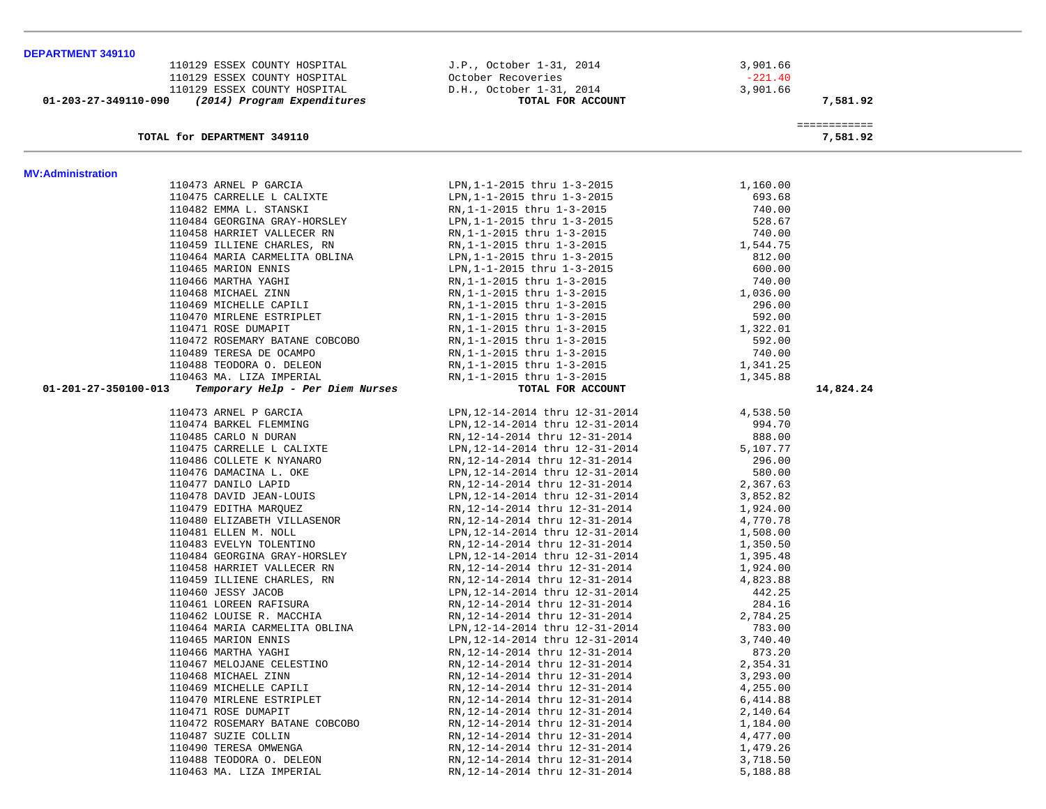| DEPARTMENT 349110                                           |                                                           |                          |  |
|-------------------------------------------------------------|-----------------------------------------------------------|--------------------------|--|
| 110129 ESSEX COUNTY HOSPITAL                                | J.P., October 1-31, 2014                                  | 3,901.66                 |  |
| 110129 ESSEX COUNTY HOSPITAL                                | October Recoveries                                        | $-221.40$                |  |
| 110129 ESSEX COUNTY HOSPITAL                                | D.H., October 1-31, 2014                                  | 3,901.66                 |  |
| 01-203-27-349110-090<br>(2014) Program Expenditures         | TOTAL FOR ACCOUNT                                         | 7,581.92                 |  |
|                                                             |                                                           |                          |  |
| TOTAL for DEPARTMENT 349110                                 |                                                           | ============<br>7,581.92 |  |
|                                                             |                                                           |                          |  |
| <b>MV:Administration</b>                                    |                                                           |                          |  |
| 110473 ARNEL P GARCIA                                       | LPN, 1-1-2015 thru 1-3-2015                               | 1,160.00                 |  |
| 110475 CARRELLE L CALIXTE                                   | LPN, 1-1-2015 thru 1-3-2015                               | 693.68                   |  |
| 110482 EMMA L. STANSKI                                      | RN, 1-1-2015 thru 1-3-2015                                | 740.00                   |  |
| 110484 GEORGINA GRAY-HORSLEY                                | LPN, 1-1-2015 thru 1-3-2015                               | 528.67                   |  |
|                                                             |                                                           | 740.00                   |  |
| 110458 HARRIET VALLECER RN                                  | RN, 1-1-2015 thru 1-3-2015                                | 1,544.75                 |  |
| 110459 ILLIENE CHARLES, RN<br>110464 MARIA CARMELITA OBLINA | RN, 1-1-2015 thru 1-3-2015<br>LPN, 1-1-2015 thru 1-3-2015 | 812.00                   |  |
| 110465 MARION ENNIS                                         |                                                           | 600.00                   |  |
| 110466 MARTHA YAGHI                                         | LPN, 1-1-2015 thru 1-3-2015                               | 740.00                   |  |
|                                                             | RN, 1-1-2015 thru 1-3-2015                                |                          |  |
| 110468 MICHAEL ZINN                                         | RN, 1-1-2015 thru 1-3-2015                                | 1,036.00<br>296.00       |  |
| 110469 MICHELLE CAPILI                                      | RN, 1-1-2015 thru 1-3-2015                                |                          |  |
| 110470 MIRLENE ESTRIPLET                                    | RN, 1-1-2015 thru 1-3-2015                                | 592.00<br>1,322.01       |  |
| 110471 ROSE DUMAPIT                                         | RN, 1-1-2015 thru 1-3-2015                                |                          |  |
| 110472 ROSEMARY BATANE COBCOBO                              | RN, 1-1-2015 thru 1-3-2015                                | 592.00                   |  |
| 110489 TERESA DE OCAMPO                                     | RN, 1-1-2015 thru 1-3-2015                                | 740.00                   |  |
| 110488 TEODORA O. DELEON                                    | RN, 1-1-2015 thru 1-3-2015                                | 1,341.25                 |  |
| 110463 MA. LIZA IMPERIAL                                    | RN, 1-1-2015 thru 1-3-2015                                | 1,345.88                 |  |
| 01-201-27-350100-013<br>Temporary Help - Per Diem Nurses    | TOTAL FOR ACCOUNT                                         | 14,824.24                |  |
| 110473 ARNEL P GARCIA                                       | LPN, 12-14-2014 thru 12-31-2014                           | 4,538.50                 |  |
| 110474 BARKEL FLEMMING                                      | LPN, 12-14-2014 thru 12-31-2014                           | 994.70                   |  |
| 110485 CARLO N DURAN                                        | RN, 12-14-2014 thru 12-31-2014                            | 888.00                   |  |
| 110475 CARRELLE L CALIXTE                                   | LPN, 12-14-2014 thru 12-31-2014                           | 5,107.77                 |  |
| 110486 COLLETE K NYANARO                                    | RN, 12-14-2014 thru 12-31-2014                            | 296.00                   |  |
| 110476 DAMACINA L. OKE                                      | LPN, 12-14-2014 thru 12-31-2014                           | 580.00                   |  |
| 110477 DANILO LAPID                                         | RN, 12-14-2014 thru 12-31-2014                            | 2,367.63                 |  |
| 110478 DAVID JEAN-LOUIS                                     | LPN, 12-14-2014 thru 12-31-2014                           | 3,852.82                 |  |
| 110479 EDITHA MARQUEZ                                       | RN, 12-14-2014 thru 12-31-2014                            | 1,924.00                 |  |
| 110480 ELIZABETH VILLASENOR                                 | RN, 12-14-2014 thru 12-31-2014                            | 4,770.78                 |  |
| 110481 ELLEN M. NOLL                                        | LPN, 12-14-2014 thru 12-31-2014                           | 1,508.00                 |  |
| 110483 EVELYN TOLENTINO                                     | RN, 12-14-2014 thru 12-31-2014                            | 1,350.50                 |  |
| 110484 GEORGINA GRAY-HORSLEY                                | LPN, 12-14-2014 thru 12-31-2014                           | 1,395.48                 |  |
| 110458 HARRIET VALLECER RN                                  | RN, 12-14-2014 thru 12-31-2014                            | 1,924.00                 |  |
| 110459 ILLIENE CHARLES, RN                                  | RN, 12-14-2014 thru 12-31-2014                            | 4,823.88                 |  |
| 110460 JESSY JACOB                                          | LPN, 12-14-2014 thru 12-31-2014                           | 442.25                   |  |
| 110461 LOREEN RAFISURA                                      | RN, 12-14-2014 thru 12-31-2014                            | 284.16                   |  |
| 110462 LOUISE R. MACCHIA                                    | RN, 12-14-2014 thru 12-31-2014                            | 2,784.25                 |  |
| 110464 MARIA CARMELITA OBLINA                               | LPN, 12-14-2014 thru 12-31-2014                           | 783.00                   |  |
| 110465 MARION ENNIS                                         | LPN, 12-14-2014 thru 12-31-2014                           | 3,740.40                 |  |
| 110466 MARTHA YAGHI                                         | RN, 12-14-2014 thru 12-31-2014                            | 873.20                   |  |
| 110467 MELOJANE CELESTINO                                   | RN, 12-14-2014 thru 12-31-2014                            | 2,354.31                 |  |
| 110468 MICHAEL ZINN                                         | RN, 12-14-2014 thru 12-31-2014                            | 3,293.00                 |  |
| 110469 MICHELLE CAPILI                                      | RN, 12-14-2014 thru 12-31-2014                            | 4,255.00                 |  |
| 110470 MIRLENE ESTRIPLET                                    | RN, 12-14-2014 thru 12-31-2014                            | 6,414.88                 |  |
| 110471 ROSE DUMAPIT                                         | RN, 12-14-2014 thru 12-31-2014                            | 2,140.64                 |  |
| 110472 ROSEMARY BATANE COBCOBO                              | RN, 12-14-2014 thru 12-31-2014                            | 1,184.00                 |  |
| 110487 SUZIE COLLIN                                         | RN, 12-14-2014 thru 12-31-2014                            | 4,477.00                 |  |
| 110490 TERESA OMWENGA                                       | RN, 12-14-2014 thru 12-31-2014                            | 1,479.26                 |  |
| 110488 TEODORA O. DELEON                                    | RN, 12-14-2014 thru 12-31-2014                            | 3,718.50                 |  |
| 110463 MA. LIZA IMPERIAL                                    | RN, 12-14-2014 thru 12-31-2014                            | 5,188.88                 |  |
|                                                             |                                                           |                          |  |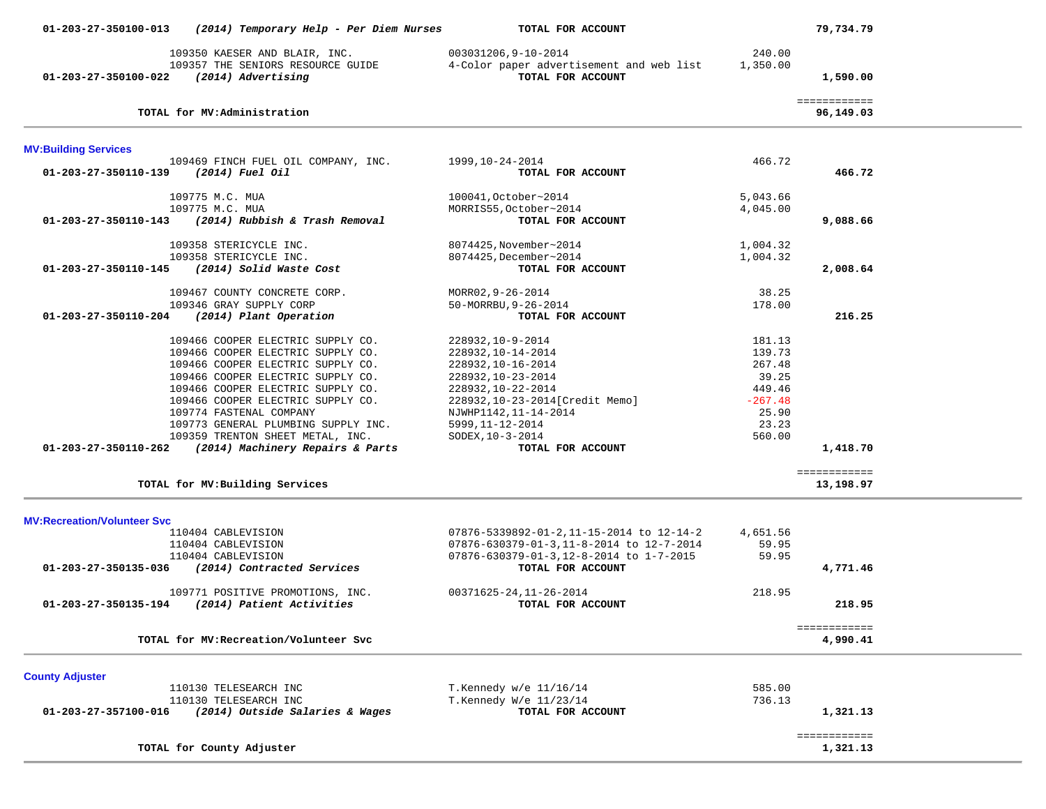| 01-203-27-350100-013               | (2014) Temporary Help - Per Diem Nurses                              | TOTAL FOR ACCOUNT                                             |           | 79,734.79                 |  |
|------------------------------------|----------------------------------------------------------------------|---------------------------------------------------------------|-----------|---------------------------|--|
|                                    | 109350 KAESER AND BLAIR, INC.                                        | 003031206,9-10-2014                                           | 240.00    |                           |  |
| 01-203-27-350100-022               | 109357 THE SENIORS RESOURCE GUIDE<br>(2014) Advertising              | 4-Color paper advertisement and web list<br>TOTAL FOR ACCOUNT | 1,350.00  | 1,590.00                  |  |
|                                    | TOTAL for MV: Administration                                         |                                                               |           | ============<br>96,149.03 |  |
| <b>MV:Building Services</b>        |                                                                      |                                                               |           |                           |  |
|                                    | 109469 FINCH FUEL OIL COMPANY, INC.                                  | 1999,10-24-2014                                               | 466.72    |                           |  |
| 01-203-27-350110-139               | (2014) Fuel Oil                                                      | TOTAL FOR ACCOUNT                                             |           | 466.72                    |  |
|                                    | 109775 M.C. MUA                                                      | 100041, October~2014                                          | 5,043.66  |                           |  |
|                                    | 109775 M.C. MUA                                                      | MORRIS55, October~2014                                        | 4,045.00  |                           |  |
| 01-203-27-350110-143               | (2014) Rubbish & Trash Removal                                       | TOTAL FOR ACCOUNT                                             |           | 9,088.66                  |  |
|                                    | 109358 STERICYCLE INC.                                               | 8074425, November~2014                                        | 1,004.32  |                           |  |
|                                    | 109358 STERICYCLE INC.                                               | 8074425, December~2014                                        | 1,004.32  |                           |  |
| 01-203-27-350110-145               | (2014) Solid Waste Cost                                              | TOTAL FOR ACCOUNT                                             |           | 2,008.64                  |  |
|                                    | 109467 COUNTY CONCRETE CORP.                                         | MORR02, 9-26-2014                                             | 38.25     |                           |  |
|                                    | 109346 GRAY SUPPLY CORP                                              | 50-MORRBU, 9-26-2014                                          | 178.00    |                           |  |
|                                    | 01-203-27-350110-204 (2014) Plant Operation                          | TOTAL FOR ACCOUNT                                             |           | 216.25                    |  |
|                                    | 109466 COOPER ELECTRIC SUPPLY CO.                                    | 228932, 10-9-2014                                             | 181.13    |                           |  |
|                                    | 109466 COOPER ELECTRIC SUPPLY CO.                                    | 228932, 10-14-2014                                            | 139.73    |                           |  |
|                                    | 109466 COOPER ELECTRIC SUPPLY CO.                                    | 228932, 10-16-2014                                            | 267.48    |                           |  |
|                                    | 109466 COOPER ELECTRIC SUPPLY CO.                                    | 228932, 10-23-2014                                            | 39.25     |                           |  |
|                                    | 109466 COOPER ELECTRIC SUPPLY CO.                                    | 228932, 10-22-2014                                            | 449.46    |                           |  |
|                                    | 109466 COOPER ELECTRIC SUPPLY CO.                                    | 228932, 10-23-2014 [Credit Memo]                              | $-267.48$ |                           |  |
|                                    | 109774 FASTENAL COMPANY                                              | NJWHP1142, 11-14-2014                                         | 25.90     |                           |  |
|                                    | 109773 GENERAL PLUMBING SUPPLY INC.                                  | 5999, 11-12-2014                                              | 23.23     |                           |  |
| 01-203-27-350110-262               | 109359 TRENTON SHEET METAL, INC.<br>(2014) Machinery Repairs & Parts | SODEX, 10-3-2014<br>TOTAL FOR ACCOUNT                         | 560.00    | 1,418.70                  |  |
|                                    |                                                                      |                                                               |           |                           |  |
|                                    | TOTAL for MV: Building Services                                      |                                                               |           | ============<br>13,198.97 |  |
|                                    |                                                                      |                                                               |           |                           |  |
| <b>MV:Recreation/Volunteer Svc</b> | 110404 CABLEVISION                                                   | 07876-5339892-01-2,11-15-2014 to 12-14-2                      | 4,651.56  |                           |  |
|                                    | 110404 CABLEVISION                                                   | 07876-630379-01-3,11-8-2014 to 12-7-2014                      | 59.95     |                           |  |
|                                    | 110404 CABLEVISION                                                   | 07876-630379-01-3,12-8-2014 to 1-7-2015                       | 59.95     |                           |  |
|                                    | 01-203-27-350135-036 (2014) Contracted Services                      | TOTAL FOR ACCOUNT                                             |           | 4,771.46                  |  |
|                                    | 109771 POSITIVE PROMOTIONS, INC.                                     | 00371625-24,11-26-2014                                        | 218.95    |                           |  |
|                                    | 01-203-27-350135-194 (2014) Patient Activities                       | TOTAL FOR ACCOUNT                                             |           | 218.95                    |  |
|                                    |                                                                      |                                                               |           | ============              |  |
|                                    | TOTAL for MV: Recreation/Volunteer Svc                               |                                                               |           | 4,990.41                  |  |
|                                    |                                                                      |                                                               |           |                           |  |
| <b>County Adjuster</b>             | 110130 TELESEARCH INC                                                | T.Kennedy w/e 11/16/14                                        | 585.00    |                           |  |
|                                    | 110130 TELESEARCH INC                                                | T.Kennedy W/e 11/23/14                                        | 736.13    |                           |  |
| 01-203-27-357100-016               | (2014) Outside Salaries & Wages                                      | TOTAL FOR ACCOUNT                                             |           | 1,321.13                  |  |
|                                    |                                                                      |                                                               |           | ============              |  |
|                                    | TOTAL for County Adjuster                                            |                                                               |           | 1,321.13                  |  |
|                                    |                                                                      |                                                               |           |                           |  |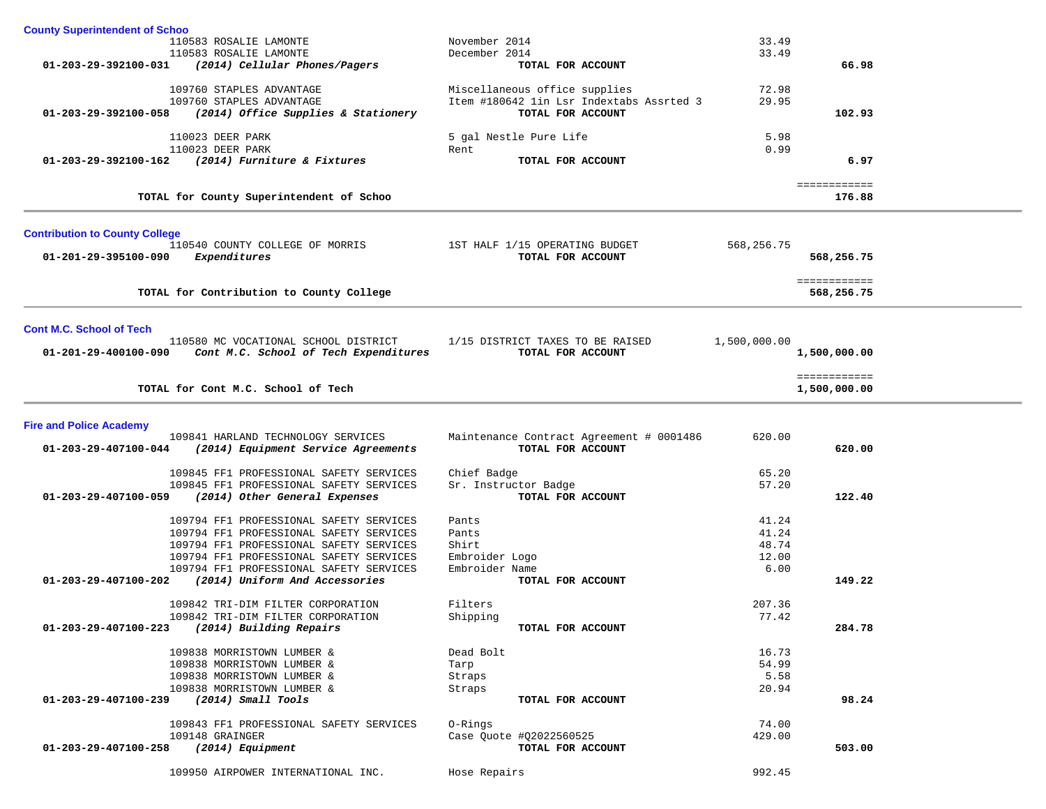| <b>County Superintendent of Schoo</b> |                                                                |                                          |              |              |  |
|---------------------------------------|----------------------------------------------------------------|------------------------------------------|--------------|--------------|--|
|                                       | 110583 ROSALIE LAMONTE                                         | November 2014                            | 33.49        |              |  |
|                                       | 110583 ROSALIE LAMONTE                                         | December 2014                            | 33.49        |              |  |
|                                       | $01 - 203 - 29 - 392100 - 031$ (2014) Cellular Phones/Pagers   | TOTAL FOR ACCOUNT                        |              | 66.98        |  |
|                                       |                                                                |                                          |              |              |  |
|                                       | 109760 STAPLES ADVANTAGE                                       | Miscellaneous office supplies            | 72.98        |              |  |
|                                       | 109760 STAPLES ADVANTAGE                                       | Item #180642 1in Lsr Indextabs Assrted 3 | 29.95        |              |  |
|                                       | 01-203-29-392100-058 (2014) Office Supplies & Stationery       | TOTAL FOR ACCOUNT                        |              | 102.93       |  |
|                                       |                                                                |                                          |              |              |  |
|                                       | 110023 DEER PARK                                               | 5 gal Nestle Pure Life                   | 5.98         |              |  |
|                                       | 110023 DEER PARK                                               | Rent                                     | 0.99         |              |  |
|                                       | 01-203-29-392100-162 (2014) Furniture & Fixtures               | TOTAL FOR ACCOUNT                        |              | 6.97         |  |
|                                       |                                                                |                                          |              |              |  |
|                                       |                                                                |                                          |              | ============ |  |
|                                       | TOTAL for County Superintendent of Schoo                       |                                          |              | 176.88       |  |
|                                       |                                                                |                                          |              |              |  |
|                                       |                                                                |                                          |              |              |  |
| <b>Contribution to County College</b> |                                                                |                                          |              |              |  |
|                                       | 110540 COUNTY COLLEGE OF MORRIS 1ST HALF 1/15 OPERATING BUDGET |                                          | 568,256.75   |              |  |
| 01-201-29-395100-090                  | Expenditures                                                   | TOTAL FOR ACCOUNT                        |              | 568,256.75   |  |
|                                       |                                                                |                                          |              |              |  |
|                                       |                                                                |                                          |              | ============ |  |
|                                       | TOTAL for Contribution to County College                       |                                          |              | 568,256.75   |  |
|                                       |                                                                |                                          |              |              |  |
|                                       |                                                                |                                          |              |              |  |
| <b>Cont M.C. School of Tech</b>       |                                                                |                                          |              |              |  |
|                                       | 110580 MC VOCATIONAL SCHOOL DISTRICT                           | 1/15 DISTRICT TAXES TO BE RAISED         | 1,500,000.00 |              |  |
|                                       | 01-201-29-400100-090 Cont M.C. School of Tech Expenditures     | TOTAL FOR ACCOUNT                        |              | 1,500,000.00 |  |
|                                       |                                                                |                                          |              |              |  |
|                                       |                                                                |                                          |              | ============ |  |
|                                       | TOTAL for Cont M.C. School of Tech                             |                                          |              | 1,500,000.00 |  |
|                                       |                                                                |                                          |              |              |  |
|                                       |                                                                |                                          |              |              |  |
| <b>Fire and Police Academy</b>        |                                                                |                                          |              |              |  |
|                                       | 109841 HARLAND TECHNOLOGY SERVICES                             | Maintenance Contract Agreement # 0001486 | 620.00       |              |  |
|                                       | $01-203-29-407100-044$ (2014) Equipment Service Agreements     | TOTAL FOR ACCOUNT                        |              | 620.00       |  |
|                                       |                                                                |                                          |              |              |  |
|                                       | 109845 FF1 PROFESSIONAL SAFETY SERVICES                        | Chief Badge                              | 65.20        |              |  |
|                                       | 109845 FF1 PROFESSIONAL SAFETY SERVICES                        | Sr. Instructor Badge                     | 57.20        |              |  |
| 01-203-29-407100-059                  | (2014) Other General Expenses                                  | TOTAL FOR ACCOUNT                        |              | 122.40       |  |
|                                       |                                                                |                                          |              |              |  |
|                                       | 109794 FF1 PROFESSIONAL SAFETY SERVICES                        | Pants                                    | 41.24        |              |  |
|                                       | 109794 FF1 PROFESSIONAL SAFETY SERVICES                        | Pants                                    | 41.24        |              |  |
|                                       | 109794 FF1 PROFESSIONAL SAFETY SERVICES                        | Shirt                                    | 48.74        |              |  |
|                                       | 109794 FF1 PROFESSIONAL SAFETY SERVICES                        | Embroider Logo                           | 12.00        |              |  |
|                                       | 109794 FF1 PROFESSIONAL SAFETY SERVICES                        | Embroider Name                           | 6.00         |              |  |
|                                       | 01-203-29-407100-202 (2014) Uniform And Accessories            | TOTAL FOR ACCOUNT                        |              | 149.22       |  |
|                                       |                                                                |                                          |              |              |  |
|                                       | 109842 TRI-DIM FILTER CORPORATION                              | Filters                                  | 207.36       |              |  |
|                                       | 109842 TRI-DIM FILTER CORPORATION                              | Shipping                                 | 77.42        |              |  |
| 01-203-29-407100-223                  | (2014) Building Repairs                                        | TOTAL FOR ACCOUNT                        |              | 284.78       |  |
|                                       |                                                                |                                          |              |              |  |
|                                       | 109838 MORRISTOWN LUMBER &                                     | Dead Bolt                                | 16.73        |              |  |
|                                       | 109838 MORRISTOWN LUMBER &                                     | Tarp                                     | 54.99        |              |  |
|                                       | 109838 MORRISTOWN LUMBER &                                     | Straps                                   | 5.58         |              |  |
|                                       | 109838 MORRISTOWN LUMBER &                                     | Straps                                   | 20.94        |              |  |
| 01-203-29-407100-239                  | $(2014)$ Small Tools                                           | TOTAL FOR ACCOUNT                        |              | 98.24        |  |
|                                       |                                                                |                                          |              |              |  |
|                                       | 109843 FF1 PROFESSIONAL SAFETY SERVICES                        | 0-Rings                                  | 74.00        |              |  |
|                                       | 109148 GRAINGER                                                | Case Quote #Q2022560525                  | 429.00       |              |  |
| 01-203-29-407100-258                  | (2014) Equipment                                               | TOTAL FOR ACCOUNT                        |              | 503.00       |  |
|                                       |                                                                |                                          |              |              |  |
|                                       |                                                                |                                          |              |              |  |
|                                       | 109950 AIRPOWER INTERNATIONAL INC.                             | Hose Repairs                             | 992.45       |              |  |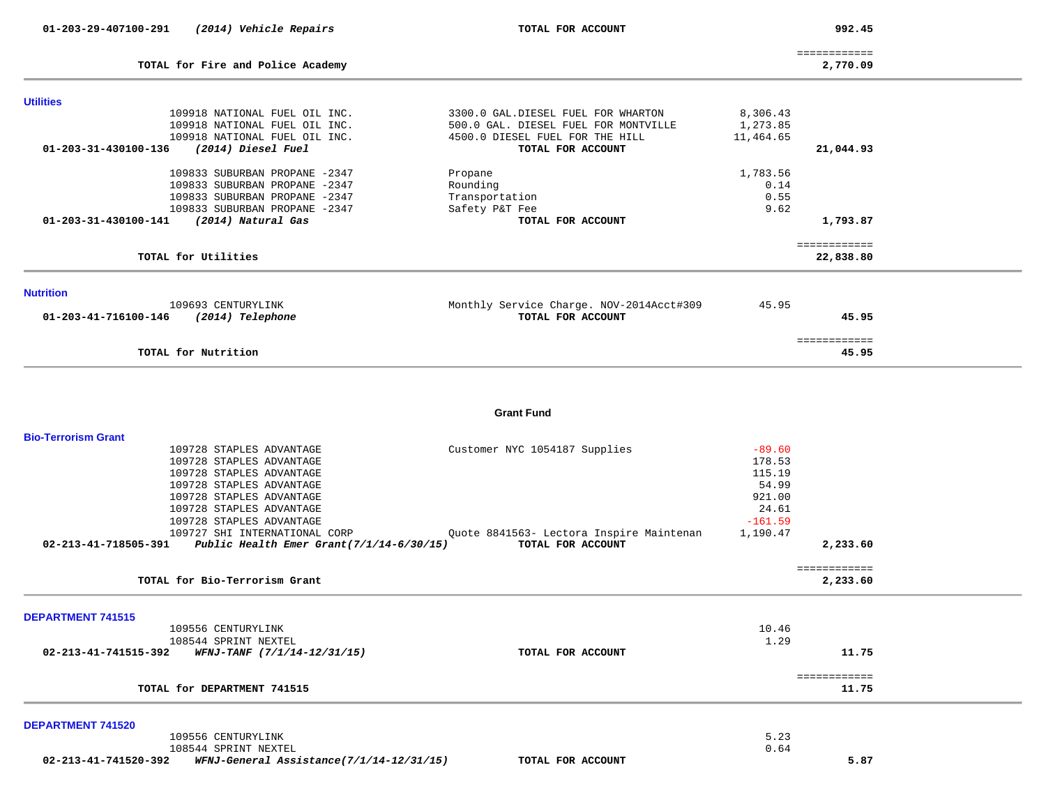| 01-203-29-407100-291       | (2014) Vehicle Repairs                                        | TOTAL FOR ACCOUNT                        |                       | 992.45                   |  |
|----------------------------|---------------------------------------------------------------|------------------------------------------|-----------------------|--------------------------|--|
|                            | TOTAL for Fire and Police Academy                             |                                          |                       | ============<br>2,770.09 |  |
| <b>Utilities</b>           |                                                               |                                          |                       |                          |  |
|                            | 109918 NATIONAL FUEL OIL INC.                                 | 3300.0 GAL.DIESEL FUEL FOR WHARTON       | 8,306.43              |                          |  |
|                            | 109918 NATIONAL FUEL OIL INC.                                 | 500.0 GAL. DIESEL FUEL FOR MONTVILLE     | 1,273.85              |                          |  |
|                            | 109918 NATIONAL FUEL OIL INC.                                 | 4500.0 DIESEL FUEL FOR THE HILL          | 11,464.65             |                          |  |
| 01-203-31-430100-136       | (2014) Diesel Fuel                                            | TOTAL FOR ACCOUNT                        |                       | 21,044.93                |  |
|                            | 109833 SUBURBAN PROPANE -2347                                 | Propane                                  | 1,783.56              |                          |  |
|                            | 109833 SUBURBAN PROPANE -2347                                 | Rounding                                 | 0.14                  |                          |  |
|                            | 109833 SUBURBAN PROPANE -2347                                 | Transportation                           | 0.55                  |                          |  |
|                            | 109833 SUBURBAN PROPANE -2347                                 | Safety P&T Fee                           | 9.62                  |                          |  |
| 01-203-31-430100-141       | (2014) Natural Gas                                            | TOTAL FOR ACCOUNT                        |                       | 1,793.87                 |  |
|                            |                                                               |                                          |                       | ============             |  |
|                            | TOTAL for Utilities                                           |                                          |                       | 22,838.80                |  |
|                            |                                                               |                                          |                       |                          |  |
| <b>Nutrition</b>           | 109693 CENTURYLINK                                            | Monthly Service Charge. NOV-2014Acct#309 | 45.95                 |                          |  |
| 01-203-41-716100-146       | (2014) Telephone                                              | TOTAL FOR ACCOUNT                        |                       | 45.95                    |  |
|                            |                                                               |                                          |                       |                          |  |
|                            | TOTAL for Nutrition                                           |                                          |                       | ============<br>45.95    |  |
|                            |                                                               | <b>Grant Fund</b>                        |                       |                          |  |
| <b>Bio-Terrorism Grant</b> |                                                               |                                          |                       |                          |  |
|                            | 109728 STAPLES ADVANTAGE                                      | Customer NYC 1054187 Supplies            | $-89.60$              |                          |  |
|                            | 109728 STAPLES ADVANTAGE                                      |                                          | 178.53                |                          |  |
|                            | 109728 STAPLES ADVANTAGE                                      |                                          | 115.19                |                          |  |
|                            | 109728 STAPLES ADVANTAGE                                      |                                          | 54.99                 |                          |  |
|                            | 109728 STAPLES ADVANTAGE                                      |                                          | 921.00                |                          |  |
|                            | 109728 STAPLES ADVANTAGE                                      |                                          | 24.61                 |                          |  |
|                            | 109728 STAPLES ADVANTAGE<br>109727 SHI INTERNATIONAL CORP     | Quote 8841563- Lectora Inspire Maintenan | $-161.59$<br>1,190.47 |                          |  |
|                            | 02-213-41-718505-391 Public Health Emer Grant(7/1/14-6/30/15) | TOTAL FOR ACCOUNT                        |                       | 2,233.60                 |  |
|                            |                                                               |                                          |                       |                          |  |
|                            | TOTAL for Bio-Terrorism Grant                                 |                                          |                       | ============<br>2,233.60 |  |
|                            |                                                               |                                          |                       |                          |  |
| <b>DEPARTMENT 741515</b>   |                                                               |                                          |                       |                          |  |
|                            | 109556 CENTURYLINK<br>108544 SPRINT NEXTEL                    |                                          | 10.46<br>1.29         |                          |  |
| 02-213-41-741515-392       | WFNJ-TANF (7/1/14-12/31/15)                                   | TOTAL FOR ACCOUNT                        |                       | 11.75                    |  |
|                            |                                                               |                                          |                       |                          |  |
|                            | TOTAL for DEPARTMENT 741515                                   |                                          |                       | ============<br>11.75    |  |
|                            |                                                               |                                          |                       |                          |  |
| DEPARTMENT 741520          |                                                               |                                          |                       |                          |  |
|                            | 109556 CENTURYLINK<br>108544 SPRINT NEXTEL                    |                                          | 5.23<br>0.64          |                          |  |
| 02-213-41-741520-392       | WFNJ-General Assistance(7/1/14-12/31/15)                      | TOTAL FOR ACCOUNT                        |                       | 5.87                     |  |
|                            |                                                               |                                          |                       |                          |  |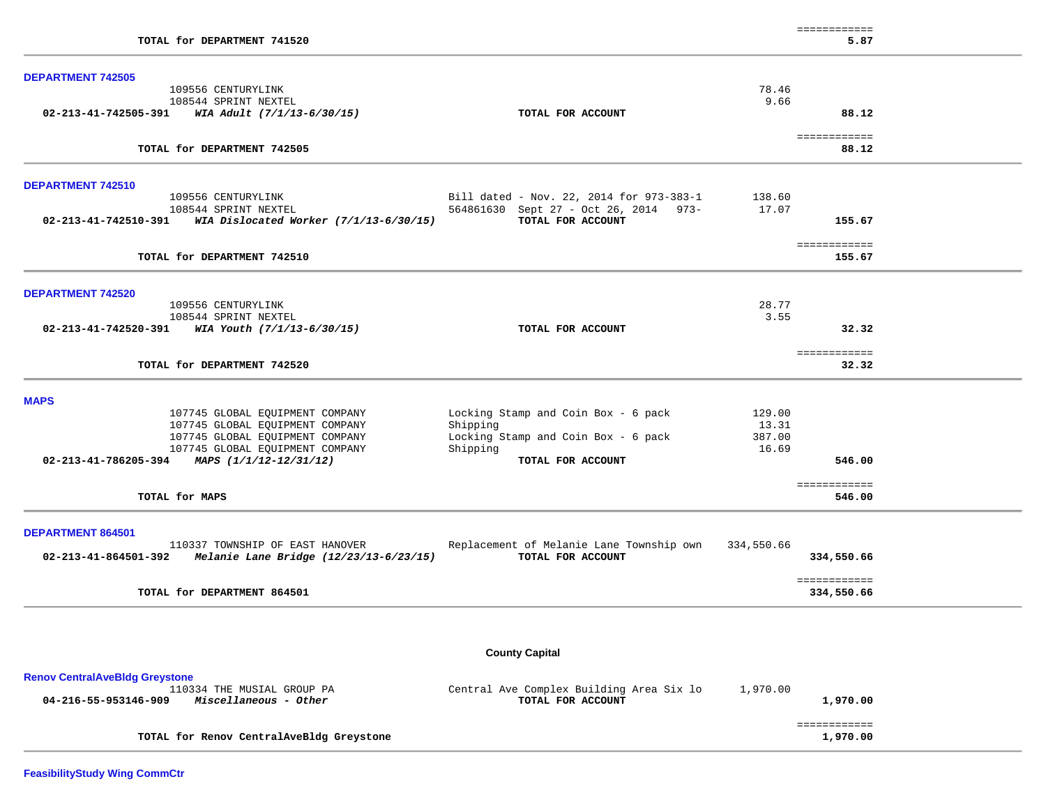| TOTAL for DEPARTMENT 741520                                           |                                                                                   |               | ============<br>5.87       |  |
|-----------------------------------------------------------------------|-----------------------------------------------------------------------------------|---------------|----------------------------|--|
|                                                                       |                                                                                   |               |                            |  |
| <b>DEPARTMENT 742505</b>                                              |                                                                                   |               |                            |  |
| 109556 CENTURYLINK<br>108544 SPRINT NEXTEL                            |                                                                                   | 78.46<br>9.66 |                            |  |
| $02 - 213 - 41 - 742505 - 391$ WIA Adult $(7/1/13 - 6/30/15)$         | TOTAL FOR ACCOUNT                                                                 |               | 88.12                      |  |
|                                                                       |                                                                                   |               |                            |  |
| TOTAL for DEPARTMENT 742505                                           |                                                                                   |               | ============<br>88.12      |  |
|                                                                       |                                                                                   |               |                            |  |
| <b>DEPARTMENT 742510</b><br>109556 CENTURYLINK                        |                                                                                   | 138.60        |                            |  |
| 108544 SPRINT NEXTEL                                                  | Bill dated - Nov. 22, 2014 for 973-383-1<br>564861630 Sept 27 - Oct 26, 2014 973- | 17.07         |                            |  |
| 02-213-41-742510-391 WIA Dislocated Worker (7/1/13-6/30/15)           | TOTAL FOR ACCOUNT                                                                 |               | 155.67                     |  |
|                                                                       |                                                                                   |               |                            |  |
| TOTAL for DEPARTMENT 742510                                           |                                                                                   |               | ============<br>155.67     |  |
|                                                                       |                                                                                   |               |                            |  |
| <b>DEPARTMENT 742520</b>                                              |                                                                                   |               |                            |  |
| 109556 CENTURYLINK                                                    |                                                                                   | 28.77         |                            |  |
| 108544 SPRINT NEXTEL                                                  |                                                                                   | 3.55          |                            |  |
| $02 - 213 - 41 - 742520 - 391$ WIA Youth $(7/1/13 - 6/30/15)$         | TOTAL FOR ACCOUNT                                                                 |               | 32.32                      |  |
| TOTAL for DEPARTMENT 742520                                           |                                                                                   |               | ============<br>32.32      |  |
| <b>MAPS</b>                                                           |                                                                                   |               |                            |  |
| 107745 GLOBAL EQUIPMENT COMPANY                                       | Locking Stamp and Coin Box - 6 pack                                               | 129.00        |                            |  |
| 107745 GLOBAL EQUIPMENT COMPANY                                       | Shipping                                                                          | 13.31         |                            |  |
| 107745 GLOBAL EQUIPMENT COMPANY                                       | Locking Stamp and Coin Box - 6 pack                                               | 387.00        |                            |  |
| 107745 GLOBAL EQUIPMENT COMPANY                                       | Shipping                                                                          | 16.69         |                            |  |
| 02-213-41-786205-394 MAPS (1/1/12-12/31/12)                           | TOTAL FOR ACCOUNT                                                                 |               | 546.00                     |  |
|                                                                       |                                                                                   |               | ============               |  |
| TOTAL for MAPS                                                        |                                                                                   |               | 546.00                     |  |
|                                                                       |                                                                                   |               |                            |  |
| <b>DEPARTMENT 864501</b><br>110337 TOWNSHIP OF EAST HANOVER           | Replacement of Melanie Lane Township own                                          | 334,550.66    |                            |  |
| $02 - 213 - 41 - 864501 - 392$ Melanie Lane Bridge (12/23/13-6/23/15) | TOTAL FOR ACCOUNT                                                                 |               | 334,550.66                 |  |
| TOTAL for DEPARTMENT 864501                                           |                                                                                   |               | ============<br>334,550.66 |  |
|                                                                       |                                                                                   |               |                            |  |
|                                                                       |                                                                                   |               |                            |  |
|                                                                       | <b>County Capital</b>                                                             |               |                            |  |
| <b>Renov CentralAveBldg Greystone</b>                                 |                                                                                   |               |                            |  |
| 110334 THE MUSIAL GROUP PA                                            | Central Ave Complex Building Area Six lo                                          | 1,970.00      |                            |  |
| 04-216-55-953146-909<br>Miscellaneous - Other                         | TOTAL FOR ACCOUNT                                                                 |               | 1,970.00                   |  |
|                                                                       |                                                                                   |               | ============               |  |
| TOTAL for Renov CentralAveBldg Greystone                              |                                                                                   |               | 1,970.00                   |  |

**FeasibilityStudy Wing CommCtr**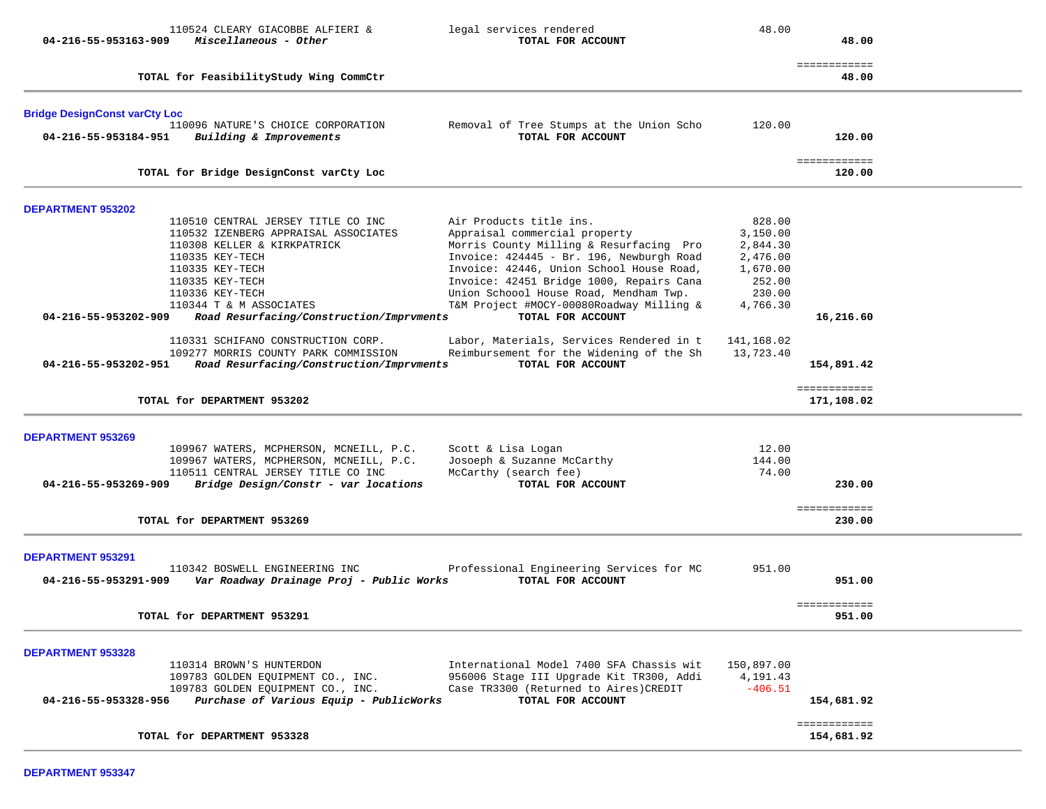| 04-216-55-953163-909                             | 110524 CLEARY GIACOBBE ALFIERI &<br>Miscellaneous - Other                                                                                                                                                                                                                                                                                  | legal services rendered<br>TOTAL FOR ACCOUNT                                                                                                                                                                                                                                                                                                                                                   | 48.00                                                                                                | 48.00                            |  |
|--------------------------------------------------|--------------------------------------------------------------------------------------------------------------------------------------------------------------------------------------------------------------------------------------------------------------------------------------------------------------------------------------------|------------------------------------------------------------------------------------------------------------------------------------------------------------------------------------------------------------------------------------------------------------------------------------------------------------------------------------------------------------------------------------------------|------------------------------------------------------------------------------------------------------|----------------------------------|--|
|                                                  | TOTAL for FeasibilityStudy Wing CommCtr                                                                                                                                                                                                                                                                                                    |                                                                                                                                                                                                                                                                                                                                                                                                |                                                                                                      | ============<br>48.00            |  |
| <b>Bridge DesignConst varCty Loc</b>             |                                                                                                                                                                                                                                                                                                                                            |                                                                                                                                                                                                                                                                                                                                                                                                |                                                                                                      |                                  |  |
| 04-216-55-953184-951                             | 110096 NATURE'S CHOICE CORPORATION<br>Building & Improvements                                                                                                                                                                                                                                                                              | Removal of Tree Stumps at the Union Scho<br>TOTAL FOR ACCOUNT                                                                                                                                                                                                                                                                                                                                  | 120.00                                                                                               | 120.00                           |  |
|                                                  | TOTAL for Bridge DesignConst varCty Loc                                                                                                                                                                                                                                                                                                    |                                                                                                                                                                                                                                                                                                                                                                                                |                                                                                                      | ============<br>120.00           |  |
| <b>DEPARTMENT 953202</b>                         |                                                                                                                                                                                                                                                                                                                                            |                                                                                                                                                                                                                                                                                                                                                                                                |                                                                                                      |                                  |  |
| 04-216-55-953202-909                             | 110510 CENTRAL JERSEY TITLE CO INC<br>110532 IZENBERG APPRAISAL ASSOCIATES<br>110308 KELLER & KIRKPATRICK<br>110335 KEY-TECH<br>110335 KEY-TECH<br>110335 KEY-TECH<br>110336 KEY-TECH<br>110344 T & M ASSOCIATES<br>Road Resurfacing/Construction/Imprvments<br>110331 SCHIFANO CONSTRUCTION CORP.<br>109277 MORRIS COUNTY PARK COMMISSION | Air Products title ins.<br>Appraisal commercial property<br>Morris County Milling & Resurfacing Pro<br>Invoice: 424445 - Br. 196, Newburgh Road<br>Invoice: 42446, Union School House Road,<br>Invoice: 42451 Bridge 1000, Repairs Cana<br>Union Schoool House Road, Mendham Twp.<br>T&M Project #MOCY-00080Roadway Milling &<br>TOTAL FOR ACCOUNT<br>Labor, Materials, Services Rendered in t | 828.00<br>3,150.00<br>2,844.30<br>2,476.00<br>1,670.00<br>252.00<br>230.00<br>4,766.30<br>141,168.02 | 16,216.60                        |  |
| 04-216-55-953202-951                             | Road Resurfacing/Construction/Imprvments                                                                                                                                                                                                                                                                                                   | Reimbursement for the Widening of the Sh<br>TOTAL FOR ACCOUNT                                                                                                                                                                                                                                                                                                                                  | 13,723.40                                                                                            | 154,891.42                       |  |
|                                                  | TOTAL for DEPARTMENT 953202                                                                                                                                                                                                                                                                                                                |                                                                                                                                                                                                                                                                                                                                                                                                |                                                                                                      | ============<br>171,108.02       |  |
| <b>DEPARTMENT 953269</b><br>04-216-55-953269-909 | 109967 WATERS, MCPHERSON, MCNEILL, P.C.<br>109967 WATERS, MCPHERSON, MCNEILL, P.C.<br>110511 CENTRAL JERSEY TITLE CO INC<br>Bridge Design/Constr - var locations<br>TOTAL for DEPARTMENT 953269                                                                                                                                            | Scott & Lisa Logan<br>Josoeph & Suzanne McCarthy<br>McCarthy (search fee)<br>TOTAL FOR ACCOUNT                                                                                                                                                                                                                                                                                                 | 12.00<br>144.00<br>74.00                                                                             | 230.00<br>============<br>230.00 |  |
| <b>DEPARTMENT 953291</b><br>04-216-55-953291-909 | 110342 BOSWELL ENGINEERING INC<br>Var Roadway Drainage Proj - Public Works                                                                                                                                                                                                                                                                 | Professional Engineering Services for MC<br>TOTAL FOR ACCOUNT                                                                                                                                                                                                                                                                                                                                  | 951.00                                                                                               | 951.00                           |  |
|                                                  | TOTAL for DEPARTMENT 953291                                                                                                                                                                                                                                                                                                                |                                                                                                                                                                                                                                                                                                                                                                                                |                                                                                                      | -------------<br>951.00          |  |
| <b>DEPARTMENT 953328</b><br>04-216-55-953328-956 | 110314 BROWN'S HUNTERDON<br>109783 GOLDEN EQUIPMENT CO., INC.<br>109783 GOLDEN EQUIPMENT CO., INC.<br>Purchase of Various Equip - PublicWorks                                                                                                                                                                                              | International Model 7400 SFA Chassis wit<br>956006 Stage III Upgrade Kit TR300, Addi<br>Case TR3300 (Returned to Aires) CREDIT<br>TOTAL FOR ACCOUNT                                                                                                                                                                                                                                            | 150,897.00<br>4, 191. 43<br>$-406.51$                                                                | 154,681.92                       |  |
|                                                  | TOTAL for DEPARTMENT 953328                                                                                                                                                                                                                                                                                                                |                                                                                                                                                                                                                                                                                                                                                                                                |                                                                                                      | ============<br>154,681.92       |  |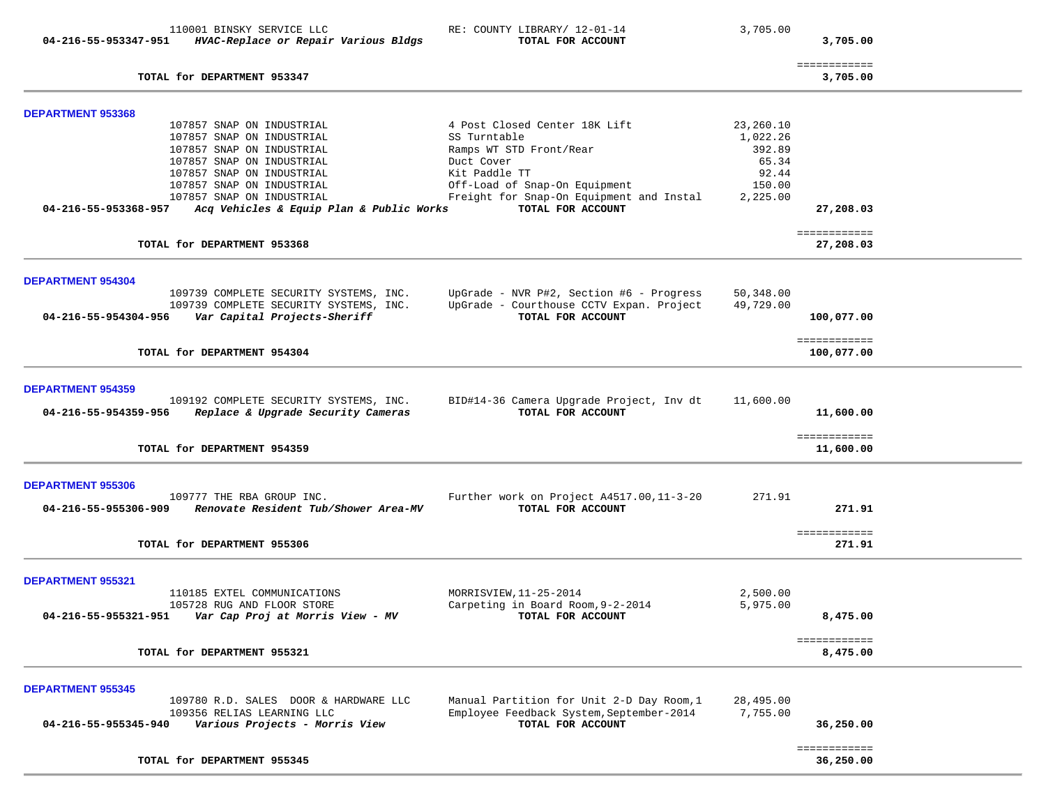|                                                  | 110001 BINSKY SERVICE LLC                                                                                                                                                                                                                           | RE: COUNTY LIBRARY/ 12-01-14                                                                                                                                                                              | 3,705.00                                                                |                                  |  |
|--------------------------------------------------|-----------------------------------------------------------------------------------------------------------------------------------------------------------------------------------------------------------------------------------------------------|-----------------------------------------------------------------------------------------------------------------------------------------------------------------------------------------------------------|-------------------------------------------------------------------------|----------------------------------|--|
| 04-216-55-953347-951                             | HVAC-Replace or Repair Various Bldgs                                                                                                                                                                                                                | TOTAL FOR ACCOUNT                                                                                                                                                                                         |                                                                         | 3,705.00                         |  |
|                                                  | TOTAL for DEPARTMENT 953347                                                                                                                                                                                                                         |                                                                                                                                                                                                           |                                                                         | ============<br>3,705.00         |  |
| <b>DEPARTMENT 953368</b>                         |                                                                                                                                                                                                                                                     |                                                                                                                                                                                                           |                                                                         |                                  |  |
| 04-216-55-953368-957                             | 107857 SNAP ON INDUSTRIAL<br>107857 SNAP ON INDUSTRIAL<br>107857 SNAP ON INDUSTRIAL<br>107857 SNAP ON INDUSTRIAL<br>107857 SNAP ON INDUSTRIAL<br>107857 SNAP ON INDUSTRIAL<br>107857 SNAP ON INDUSTRIAL<br>Acq Vehicles & Equip Plan & Public Works | 4 Post Closed Center 18K Lift<br>SS Turntable<br>Ramps WT STD Front/Rear<br>Duct Cover<br>Kit Paddle TT<br>Off-Load of Snap-On Equipment<br>Freight for Snap-On Equipment and Instal<br>TOTAL FOR ACCOUNT | 23,260.10<br>1,022.26<br>392.89<br>65.34<br>92.44<br>150.00<br>2,225.00 | 27,208.03                        |  |
|                                                  | TOTAL for DEPARTMENT 953368                                                                                                                                                                                                                         |                                                                                                                                                                                                           |                                                                         | ============<br>27,208.03        |  |
| <b>DEPARTMENT 954304</b>                         |                                                                                                                                                                                                                                                     |                                                                                                                                                                                                           |                                                                         |                                  |  |
|                                                  | 109739 COMPLETE SECURITY SYSTEMS, INC.<br>109739 COMPLETE SECURITY SYSTEMS, INC.<br>04-216-55-954304-956 Var Capital Projects-Sheriff                                                                                                               | UpGrade - NVR P#2, Section #6 - Progress<br>UpGrade - Courthouse CCTV Expan. Project<br>TOTAL FOR ACCOUNT                                                                                                 | 50,348.00<br>49,729.00                                                  | 100,077.00                       |  |
|                                                  | TOTAL for DEPARTMENT 954304                                                                                                                                                                                                                         |                                                                                                                                                                                                           |                                                                         | ============<br>100,077.00       |  |
| <b>DEPARTMENT 954359</b><br>04-216-55-954359-956 | 109192 COMPLETE SECURITY SYSTEMS, INC.<br>Replace & Upgrade Security Cameras                                                                                                                                                                        | BID#14-36 Camera Upgrade Project, Inv dt<br>TOTAL FOR ACCOUNT                                                                                                                                             | 11,600.00                                                               | 11,600.00                        |  |
|                                                  | TOTAL for DEPARTMENT 954359                                                                                                                                                                                                                         |                                                                                                                                                                                                           |                                                                         | ============<br>11,600.00        |  |
| <b>DEPARTMENT 955306</b><br>04-216-55-955306-909 | 109777 THE RBA GROUP INC.<br>Renovate Resident Tub/Shower Area-MV<br>TOTAL for DEPARTMENT 955306                                                                                                                                                    | Further work on Project A4517.00, 11-3-20<br>TOTAL FOR ACCOUNT                                                                                                                                            | 271.91                                                                  | 271.91<br>============<br>271.91 |  |
|                                                  |                                                                                                                                                                                                                                                     |                                                                                                                                                                                                           |                                                                         |                                  |  |
| <b>DEPARTMENT 955321</b>                         | 110185 EXTEL COMMUNICATIONS<br>105728 RUG AND FLOOR STORE                                                                                                                                                                                           | MORRISVIEW, 11-25-2014<br>Carpeting in Board Room, 9-2-2014<br>TOTAL FOR ACCOUNT                                                                                                                          | 2,500.00<br>5,975.00                                                    | 8,475.00                         |  |
|                                                  | TOTAL for DEPARTMENT 955321                                                                                                                                                                                                                         |                                                                                                                                                                                                           |                                                                         | ============<br>8,475.00         |  |
| <b>DEPARTMENT 955345</b><br>04-216-55-955345-940 | 109780 R.D. SALES DOOR & HARDWARE LLC<br>109356 RELIAS LEARNING LLC<br>Various Projects - Morris View                                                                                                                                               | Manual Partition for Unit 2-D Day Room, 1<br>Employee Feedback System, September-2014<br>TOTAL FOR ACCOUNT                                                                                                | 28,495.00<br>7,755.00                                                   | 36,250.00                        |  |
|                                                  | TOTAL for DEPARTMENT 955345                                                                                                                                                                                                                         |                                                                                                                                                                                                           |                                                                         | ============<br>36,250.00        |  |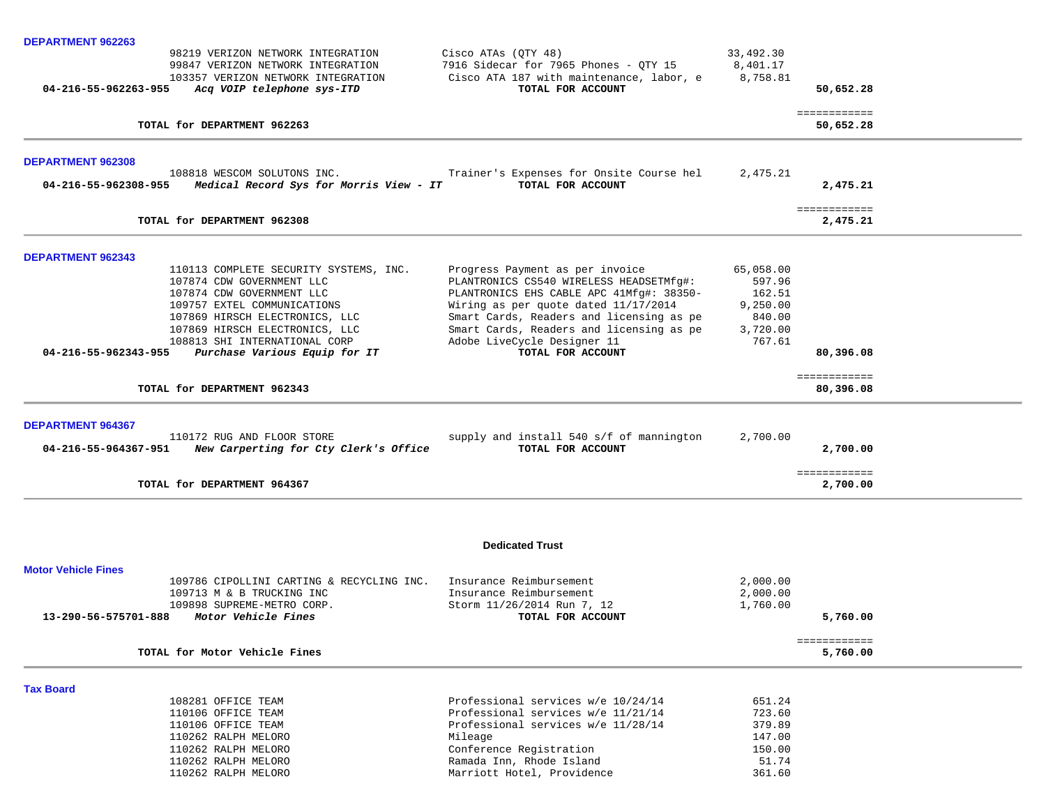| DEPARTMENT 962263          |                                                                         |                                                                                   |                      |                           |
|----------------------------|-------------------------------------------------------------------------|-----------------------------------------------------------------------------------|----------------------|---------------------------|
|                            | 98219 VERIZON NETWORK INTEGRATION                                       | Cisco ATAs (OTY 48)                                                               | 33,492.30            |                           |
|                            | 99847 VERIZON NETWORK INTEGRATION<br>103357 VERIZON NETWORK INTEGRATION | 7916 Sidecar for 7965 Phones - QTY 15<br>Cisco ATA 187 with maintenance, labor, e | 8,401.17<br>8,758.81 |                           |
| 04-216-55-962263-955       | Acq VOIP telephone sys-ITD                                              | TOTAL FOR ACCOUNT                                                                 |                      | 50,652.28                 |
|                            | TOTAL for DEPARTMENT 962263                                             |                                                                                   |                      | ============<br>50,652.28 |
|                            |                                                                         |                                                                                   |                      |                           |
| DEPARTMENT 962308          | 108818 WESCOM SOLUTONS INC.                                             | Trainer's Expenses for Onsite Course hel                                          | 2,475.21             |                           |
| 04-216-55-962308-955       | Medical Record Sys for Morris View - IT                                 | TOTAL FOR ACCOUNT                                                                 |                      | 2,475.21                  |
|                            | TOTAL for DEPARTMENT 962308                                             |                                                                                   |                      | ============<br>2,475.21  |
| <b>DEPARTMENT 962343</b>   |                                                                         |                                                                                   |                      |                           |
|                            | 110113 COMPLETE SECURITY SYSTEMS, INC.                                  | Progress Payment as per invoice                                                   | 65,058.00            |                           |
|                            | 107874 CDW GOVERNMENT LLC                                               | PLANTRONICS CS540 WIRELESS HEADSETMfg#:                                           | 597.96               |                           |
|                            | 107874 CDW GOVERNMENT LLC<br>109757 EXTEL COMMUNICATIONS                | PLANTRONICS EHS CABLE APC 41Mfg#: 38350-<br>Wiring as per quote dated 11/17/2014  | 162.51<br>9,250.00   |                           |
|                            | 107869 HIRSCH ELECTRONICS, LLC                                          | Smart Cards, Readers and licensing as pe                                          | 840.00               |                           |
|                            | 107869 HIRSCH ELECTRONICS, LLC                                          | Smart Cards, Readers and licensing as pe                                          | 3,720.00             |                           |
|                            | 108813 SHI INTERNATIONAL CORP                                           | Adobe LiveCycle Designer 11                                                       | 767.61               |                           |
| 04-216-55-962343-955       | Purchase Various Equip for IT                                           | TOTAL FOR ACCOUNT                                                                 |                      | 80,396.08                 |
|                            | TOTAL for DEPARTMENT 962343                                             |                                                                                   |                      | ============<br>80,396.08 |
| DEPARTMENT 964367          |                                                                         |                                                                                   |                      |                           |
|                            | 110172 RUG AND FLOOR STORE                                              | supply and install 540 s/f of mannington                                          | 2,700.00             |                           |
| 04-216-55-964367-951       | New Carperting for Cty Clerk's Office                                   | TOTAL FOR ACCOUNT                                                                 |                      | 2,700.00                  |
|                            | TOTAL for DEPARTMENT 964367                                             |                                                                                   |                      | ============<br>2,700.00  |
|                            |                                                                         |                                                                                   |                      |                           |
|                            |                                                                         | <b>Dedicated Trust</b>                                                            |                      |                           |
| <b>Motor Vehicle Fines</b> |                                                                         |                                                                                   |                      |                           |
|                            | 109786 CIPOLLINI CARTING & RECYCLING INC.                               | Insurance Reimbursement                                                           | 2,000.00             |                           |
|                            | 109713 M & B TRUCKING INC                                               | Insurance Reimbursement                                                           | 2,000.00             |                           |
|                            | 109898 SUPREME-METRO CORP.                                              | Storm 11/26/2014 Run 7, 12                                                        | 1,760.00             |                           |
| 13-290-56-575701-888       | Motor Vehicle Fines                                                     | TOTAL FOR ACCOUNT                                                                 |                      | 5,760.00                  |
|                            | TOTAL for Motor Vehicle Fines                                           |                                                                                   |                      | ============<br>5,760.00  |
| <b>Tax Board</b>           |                                                                         |                                                                                   |                      |                           |
|                            | 108281 OFFICE TEAM                                                      | Professional services w/e 10/24/14                                                | 651.24               |                           |
|                            | 110106 OFFICE TEAM                                                      | Professional services w/e 11/21/14                                                | 723.60               |                           |
|                            | 110106 OFFICE TEAM                                                      | Professional services w/e 11/28/14                                                | 379.89               |                           |
|                            | 110262 RALPH MELORO                                                     | Mileage                                                                           | 147.00               |                           |
|                            | 110262 RALPH MELORO<br>110262 RALPH MELORO                              | Conference Registration<br>Ramada Inn, Rhode Island                               | 150.00<br>51.74      |                           |
|                            | 110262 RALPH MELORO                                                     | Marriott Hotel, Providence                                                        | 361.60               |                           |
|                            |                                                                         |                                                                                   |                      |                           |